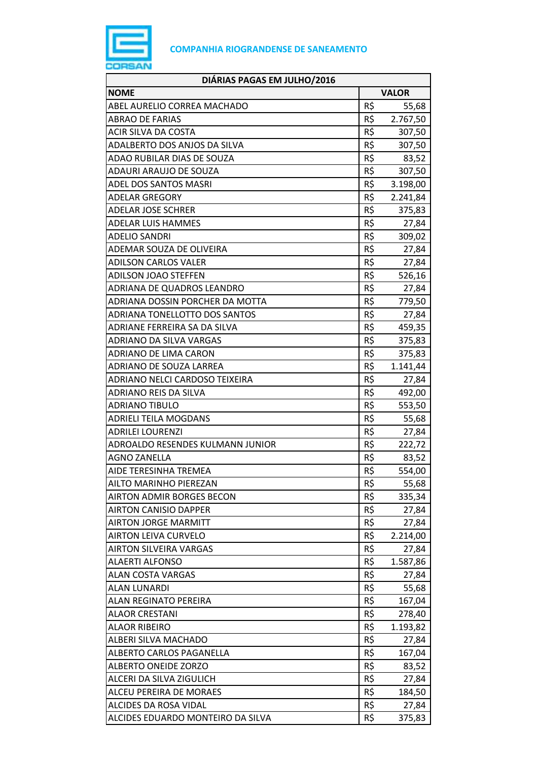

| DIÁRIAS PAGAS EM JULHO/2016       |              |          |
|-----------------------------------|--------------|----------|
| <b>NOME</b>                       | <b>VALOR</b> |          |
| ABEL AURELIO CORREA MACHADO       | R\$          | 55,68    |
| <b>ABRAO DE FARIAS</b>            | R\$          | 2.767,50 |
| <b>ACIR SILVA DA COSTA</b>        | R\$          | 307,50   |
| ADALBERTO DOS ANJOS DA SILVA      | R\$          | 307,50   |
| ADAO RUBILAR DIAS DE SOUZA        | R\$          | 83,52    |
| <b>ADAURI ARAUJO DE SOUZA</b>     | R\$          | 307,50   |
| ADEL DOS SANTOS MASRI             | R\$          | 3.198,00 |
| ADELAR GREGORY                    | R\$          | 2.241,84 |
| <b>ADELAR JOSE SCHRER</b>         | R\$          | 375,83   |
| ADELAR LUIS HAMMES                | R\$          | 27,84    |
| ADELIO SANDRI                     | R\$          | 309,02   |
| ADEMAR SOUZA DE OLIVEIRA          | R\$          | 27,84    |
| <b>ADILSON CARLOS VALER</b>       | R\$          | 27,84    |
| <b>ADILSON JOAO STEFFEN</b>       | R\$          | 526,16   |
| ADRIANA DE QUADROS LEANDRO        | R\$          | 27,84    |
| ADRIANA DOSSIN PORCHER DA MOTTA   | R\$          | 779,50   |
| ADRIANA TONELLOTTO DOS SANTOS     | R\$          | 27,84    |
| ADRIANE FERREIRA SA DA SILVA      | R\$          | 459,35   |
| ADRIANO DA SILVA VARGAS           | R\$          | 375,83   |
| <b>ADRIANO DE LIMA CARON</b>      | R\$          | 375,83   |
| ADRIANO DE SOUZA LARREA           | R\$          | 1.141,44 |
| ADRIANO NELCI CARDOSO TEIXEIRA    | R\$          | 27,84    |
| ADRIANO REIS DA SILVA             | R\$          | 492,00   |
| <b>ADRIANO TIBULO</b>             | R\$          | 553,50   |
| <b>ADRIELI TEILA MOGDANS</b>      | R\$          | 55,68    |
| <b>ADRILEI LOURENZI</b>           | R\$          | 27,84    |
| ADROALDO RESENDES KULMANN JUNIOR  | R\$          | 222,72   |
| <b>AGNO ZANELLA</b>               | R\$          | 83,52    |
| AIDE TERESINHA TREMEA             | R\$          | 554,00   |
| AILTO MARINHO PIEREZAN            | R\$          | 55,68    |
| <b>AIRTON ADMIR BORGES BECON</b>  | R\$          | 335,34   |
| <b>AIRTON CANISIO DAPPER</b>      | R\$          | 27,84    |
| <b>AIRTON JORGE MARMITT</b>       | R\$          | 27,84    |
| <b>AIRTON LEIVA CURVELO</b>       | R\$          | 2.214,00 |
| AIRTON SILVEIRA VARGAS            | R\$          | 27,84    |
| <b>ALAERTI ALFONSO</b>            | R\$          | 1.587,86 |
| <b>ALAN COSTA VARGAS</b>          | R\$          | 27,84    |
| ALAN LUNARDI                      | R\$          | 55,68    |
| ALAN REGINATO PEREIRA             | R\$          | 167,04   |
| ALAOR CRESTANI                    | R\$          | 278,40   |
| <b>ALAOR RIBEIRO</b>              | R\$          | 1.193,82 |
| ALBERI SILVA MACHADO              | R\$          | 27,84    |
| ALBERTO CARLOS PAGANELLA          | R\$          | 167,04   |
| ALBERTO ONEIDE ZORZO              | R\$          | 83,52    |
| ALCERI DA SILVA ZIGULICH          | R\$          | 27,84    |
| ALCEU PEREIRA DE MORAES           | R\$          | 184,50   |
| ALCIDES DA ROSA VIDAL             | R\$          | 27,84    |
| ALCIDES EDUARDO MONTEIRO DA SILVA | R\$          | 375,83   |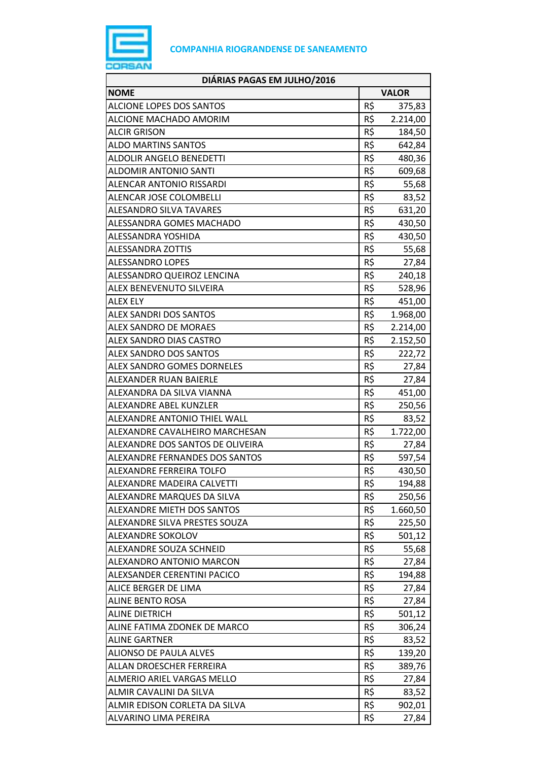

| DIÁRIAS PAGAS EM JULHO/2016       |              |          |
|-----------------------------------|--------------|----------|
| <b>NOME</b>                       | <b>VALOR</b> |          |
| <b>ALCIONE LOPES DOS SANTOS</b>   | R\$          | 375,83   |
| ALCIONE MACHADO AMORIM            | R\$          | 2.214,00 |
| <b>ALCIR GRISON</b>               | R\$          | 184,50   |
| <b>ALDO MARTINS SANTOS</b>        | R\$          | 642,84   |
| <b>ALDOLIR ANGELO BENEDETTI</b>   | R\$          | 480,36   |
| <b>ALDOMIR ANTONIO SANTI</b>      | R\$          | 609,68   |
| ALENCAR ANTONIO RISSARDI          | R\$          | 55,68    |
| ALENCAR JOSE COLOMBELLI           | R\$          | 83,52    |
| <b>ALESANDRO SILVA TAVARES</b>    | R\$          | 631,20   |
| ALESSANDRA GOMES MACHADO          | R\$          | 430,50   |
| ALESSANDRA YOSHIDA                | R\$          | 430,50   |
| <b>ALESSANDRA ZOTTIS</b>          | R\$          | 55,68    |
| <b>ALESSANDRO LOPES</b>           | R\$          | 27,84    |
| ALESSANDRO QUEIROZ LENCINA        | R\$          | 240,18   |
| ALEX BENEVENUTO SILVEIRA          | R\$          | 528,96   |
| <b>ALEX ELY</b>                   | R\$          | 451,00   |
| <b>ALEX SANDRI DOS SANTOS</b>     | R\$          | 1.968,00 |
| <b>ALEX SANDRO DE MORAES</b>      | R\$          | 2.214,00 |
| ALEX SANDRO DIAS CASTRO           | R\$          | 2.152,50 |
| <b>ALEX SANDRO DOS SANTOS</b>     | R\$          | 222,72   |
| <b>ALEX SANDRO GOMES DORNELES</b> | R\$          | 27,84    |
| ALEXANDER RUAN BAIERLE            | R\$          | 27,84    |
| ALEXANDRA DA SILVA VIANNA         | R\$          | 451,00   |
| ALEXANDRE ABEL KUNZLER            | R\$          | 250,56   |
| ALEXANDRE ANTONIO THIEL WALL      | R\$          | 83,52    |
| ALEXANDRE CAVALHEIRO MARCHESAN    | R\$          | 1.722,00 |
| ALEXANDRE DOS SANTOS DE OLIVEIRA  | R\$          | 27,84    |
| ALEXANDRE FERNANDES DOS SANTOS    | R\$          | 597,54   |
| ALEXANDRE FERREIRA TOLFO          | R\$          | 430,50   |
| ALEXANDRE MADEIRA CALVETTI        | R\$          | 194,88   |
| ALEXANDRE MARQUES DA SILVA        | R\$          | 250,56   |
| ALEXANDRE MIETH DOS SANTOS        | R\$          | 1.660,50 |
| ALEXANDRE SILVA PRESTES SOUZA     | R\$          | 225,50   |
| ALEXANDRE SOKOLOV                 | R\$          | 501,12   |
| ALEXANDRE SOUZA SCHNEID           | R\$          | 55,68    |
| ALEXANDRO ANTONIO MARCON          | R\$          | 27,84    |
| ALEXSANDER CERENTINI PACICO       | R\$          | 194,88   |
| ALICE BERGER DE LIMA              | R\$          | 27,84    |
| <b>ALINE BENTO ROSA</b>           | R\$          | 27,84    |
| <b>ALINE DIETRICH</b>             | R\$          | 501,12   |
| ALINE FATIMA ZDONEK DE MARCO      | R\$          | 306,24   |
| <b>ALINE GARTNER</b>              | R\$          | 83,52    |
| <b>ALIONSO DE PAULA ALVES</b>     | R\$          | 139,20   |
| ALLAN DROESCHER FERREIRA          | R\$          | 389,76   |
| ALMERIO ARIEL VARGAS MELLO        | R\$          | 27,84    |
| ALMIR CAVALINI DA SILVA           | R\$          | 83,52    |
| ALMIR EDISON CORLETA DA SILVA     | R\$          | 902,01   |
| ALVARINO LIMA PEREIRA             | R\$          | 27,84    |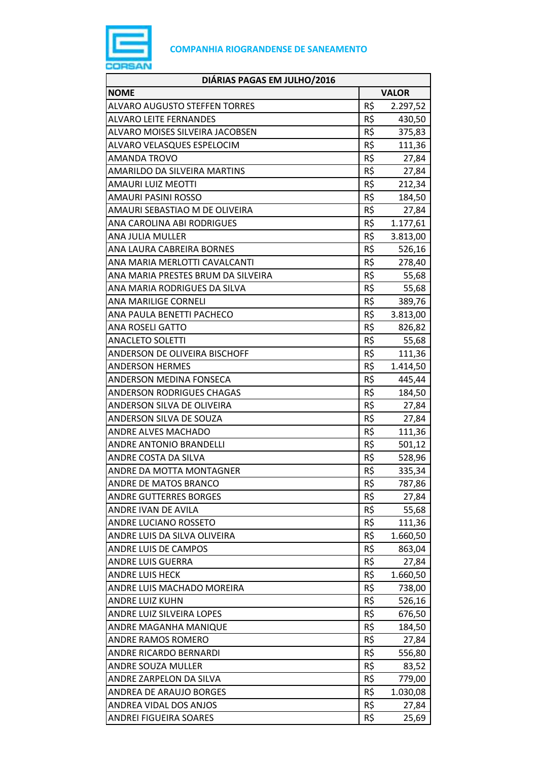

| DIÁRIAS PAGAS EM JULHO/2016          |     |              |
|--------------------------------------|-----|--------------|
| <b>NOME</b>                          |     | <b>VALOR</b> |
| <b>ALVARO AUGUSTO STEFFEN TORRES</b> | R\$ | 2.297,52     |
| <b>ALVARO LEITE FERNANDES</b>        | R\$ | 430,50       |
| ALVARO MOISES SILVEIRA JACOBSEN      | R\$ | 375,83       |
| ALVARO VELASQUES ESPELOCIM           | R\$ | 111,36       |
| AMANDA TROVO                         | R\$ | 27,84        |
| AMARILDO DA SILVEIRA MARTINS         | R\$ | 27,84        |
| <b>AMAURI LUIZ MEOTTI</b>            | R\$ | 212,34       |
| AMAURI PASINI ROSSO                  | R\$ | 184,50       |
| AMAURI SEBASTIAO M DE OLIVEIRA       | R\$ | 27,84        |
| ANA CAROLINA ABI RODRIGUES           | R\$ | 1.177,61     |
| ANA JULIA MULLER                     | R\$ | 3.813,00     |
| ANA LAURA CABREIRA BORNES            | R\$ | 526,16       |
| ANA MARIA MERLOTTI CAVALCANTI        | R\$ | 278,40       |
| ANA MARIA PRESTES BRUM DA SILVEIRA   | R\$ | 55,68        |
| ANA MARIA RODRIGUES DA SILVA         | R\$ | 55,68        |
| ANA MARILIGE CORNELI                 | R\$ | 389,76       |
| ANA PAULA BENETTI PACHECO            | R\$ | 3.813,00     |
| ANA ROSELI GATTO                     | R\$ | 826,82       |
| <b>ANACLETO SOLETTI</b>              | R\$ | 55,68        |
| ANDERSON DE OLIVEIRA BISCHOFF        | R\$ | 111,36       |
| <b>ANDERSON HERMES</b>               | R\$ | 1.414,50     |
| ANDERSON MEDINA FONSECA              | R\$ | 445,44       |
| ANDERSON RODRIGUES CHAGAS            | R\$ | 184,50       |
| ANDERSON SILVA DE OLIVEIRA           | R\$ | 27,84        |
| ANDERSON SILVA DE SOUZA              | R\$ | 27,84        |
| <b>ANDRE ALVES MACHADO</b>           | R\$ | 111,36       |
| <b>ANDRE ANTONIO BRANDELLI</b>       | R\$ | 501,12       |
| ANDRE COSTA DA SILVA                 | R\$ | 528,96       |
| ANDRE DA MOTTA MONTAGNER             | R\$ | 335,34       |
| ANDRE DE MATOS BRANCO                | R\$ | 787,86       |
| <b>ANDRE GUTTERRES BORGES</b>        | R\$ | 27,84        |
| ANDRE IVAN DE AVILA                  | R\$ | 55,68        |
| ANDRE LUCIANO ROSSETO                | R\$ | 111,36       |
| ANDRE LUIS DA SILVA OLIVEIRA         | R\$ | 1.660,50     |
| <b>ANDRE LUIS DE CAMPOS</b>          | R\$ | 863,04       |
| ANDRE LUIS GUERRA                    | R\$ | 27,84        |
| <b>ANDRE LUIS HECK</b>               | R\$ | 1.660,50     |
| ANDRE LUIS MACHADO MOREIRA           | R\$ | 738,00       |
| <b>ANDRE LUIZ KUHN</b>               | R\$ | 526,16       |
| ANDRE LUIZ SILVEIRA LOPES            | R\$ | 676,50       |
| ANDRE MAGANHA MANIQUE                | R\$ | 184,50       |
| ANDRE RAMOS ROMERO                   | R\$ | 27,84        |
| ANDRE RICARDO BERNARDI               | R\$ | 556,80       |
| ANDRE SOUZA MULLER                   | R\$ | 83,52        |
| ANDRE ZARPELON DA SILVA              | R\$ | 779,00       |
| ANDREA DE ARAUJO BORGES              | R\$ | 1.030,08     |
| ANDREA VIDAL DOS ANJOS               | R\$ | 27,84        |
| <b>ANDREI FIGUEIRA SOARES</b>        | R\$ | 25,69        |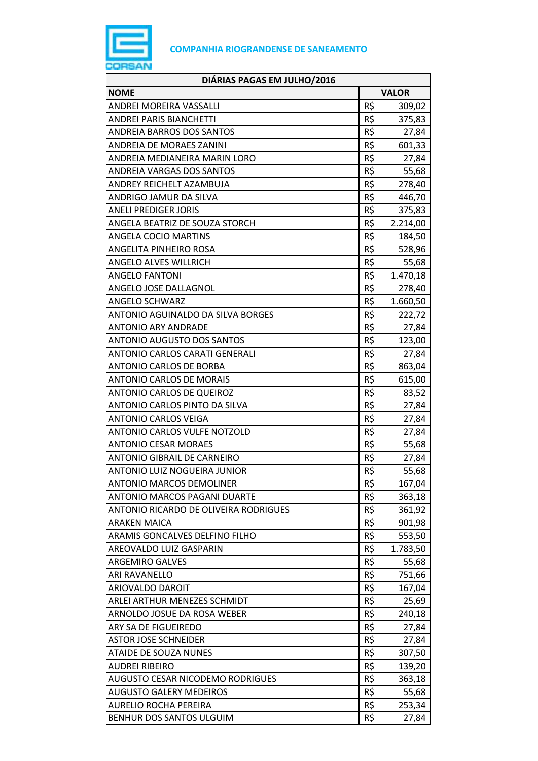

| DIÁRIAS PAGAS EM JULHO/2016           |     |              |
|---------------------------------------|-----|--------------|
| <b>NOME</b>                           |     | <b>VALOR</b> |
| ANDREI MOREIRA VASSALLI               | R\$ | 309,02       |
| <b>ANDREI PARIS BIANCHETTI</b>        | R\$ | 375,83       |
| <b>ANDREIA BARROS DOS SANTOS</b>      | R\$ | 27,84        |
| <b>ANDREIA DE MORAES ZANINI</b>       | R\$ | 601,33       |
| ANDREIA MEDIANEIRA MARIN LORO         | R\$ | 27,84        |
| <b>ANDREIA VARGAS DOS SANTOS</b>      | R\$ | 55,68        |
| ANDREY REICHELT AZAMBUJA              | R\$ | 278,40       |
| <b>ANDRIGO JAMUR DA SILVA</b>         | R\$ | 446,70       |
| <b>ANELI PREDIGER JORIS</b>           | R\$ | 375,83       |
| ANGELA BEATRIZ DE SOUZA STORCH        | R\$ | 2.214,00     |
| ANGELA COCIO MARTINS                  | R\$ | 184,50       |
| ANGELITA PINHEIRO ROSA                | R\$ | 528,96       |
| <b>ANGELO ALVES WILLRICH</b>          | R\$ | 55,68        |
| <b>ANGELO FANTONI</b>                 | R\$ | 1.470,18     |
| ANGELO JOSE DALLAGNOL                 | R\$ | 278,40       |
| <b>ANGELO SCHWARZ</b>                 | R\$ | 1.660,50     |
| ANTONIO AGUINALDO DA SILVA BORGES     | R\$ | 222,72       |
| <b>ANTONIO ARY ANDRADE</b>            | R\$ | 27,84        |
| <b>ANTONIO AUGUSTO DOS SANTOS</b>     | R\$ | 123,00       |
| ANTONIO CARLOS CARATI GENERALI        | R\$ | 27,84        |
| <b>ANTONIO CARLOS DE BORBA</b>        | R\$ | 863,04       |
| <b>ANTONIO CARLOS DE MORAIS</b>       | R\$ | 615,00       |
| <b>ANTONIO CARLOS DE QUEIROZ</b>      | R\$ | 83,52        |
| ANTONIO CARLOS PINTO DA SILVA         | R\$ | 27,84        |
| <b>ANTONIO CARLOS VEIGA</b>           | R\$ | 27,84        |
| <b>ANTONIO CARLOS VULFE NOTZOLD</b>   | R\$ | 27,84        |
| <b>ANTONIO CESAR MORAES</b>           | R\$ | 55,68        |
| <b>ANTONIO GIBRAIL DE CARNEIRO</b>    | R\$ | 27,84        |
| ANTONIO LUIZ NOGUEIRA JUNIOR          | R\$ | 55,68        |
| <b>ANTONIO MARCOS DEMOLINER</b>       | R\$ | 167,04       |
| <b>ANTONIO MARCOS PAGANI DUARTE</b>   | R\$ | 363,18       |
| ANTONIO RICARDO DE OLIVEIRA RODRIGUES | R\$ | 361,92       |
| <b>ARAKEN MAICA</b>                   | R\$ | 901,98       |
| ARAMIS GONCALVES DELFINO FILHO        | R\$ | 553,50       |
| AREOVALDO LUIZ GASPARIN               | R\$ | 1.783,50     |
| <b>ARGEMIRO GALVES</b>                | R\$ | 55,68        |
| ARI RAVANELLO                         | R\$ | 751,66       |
| ARIOVALDO DAROIT                      | R\$ | 167,04       |
| ARLEI ARTHUR MENEZES SCHMIDT          | R\$ | 25,69        |
| ARNOLDO JOSUE DA ROSA WEBER           | R\$ | 240,18       |
| ARY SA DE FIGUEIREDO                  | R\$ | 27,84        |
| <b>ASTOR JOSE SCHNEIDER</b>           | R\$ | 27,84        |
| <b>ATAIDE DE SOUZA NUNES</b>          | R\$ | 307,50       |
| <b>AUDREI RIBEIRO</b>                 | R\$ | 139,20       |
| AUGUSTO CESAR NICODEMO RODRIGUES      | R\$ | 363,18       |
| <b>AUGUSTO GALERY MEDEIROS</b>        | R\$ | 55,68        |
| AURELIO ROCHA PEREIRA                 | R\$ | 253,34       |
| BENHUR DOS SANTOS ULGUIM              | R\$ | 27,84        |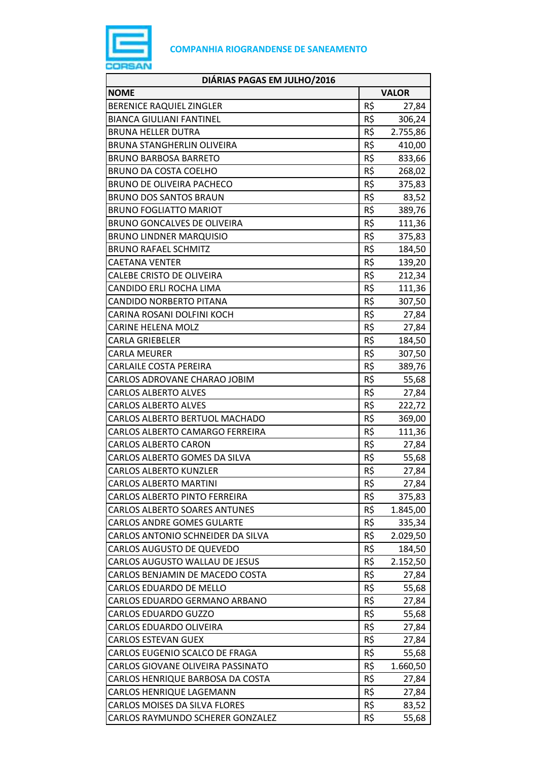

| DIÁRIAS PAGAS EM JULHO/2016          |              |          |
|--------------------------------------|--------------|----------|
| <b>NOME</b>                          | <b>VALOR</b> |          |
| BERENICE RAQUIEL ZINGLER             | R\$          | 27,84    |
| <b>BIANCA GIULIANI FANTINEL</b>      | R\$          | 306,24   |
| <b>BRUNA HELLER DUTRA</b>            | R\$          | 2.755,86 |
| BRUNA STANGHERLIN OLIVEIRA           | R\$          | 410,00   |
| <b>BRUNO BARBOSA BARRETO</b>         | R\$          | 833,66   |
| BRUNO DA COSTA COELHO                | R\$          | 268,02   |
| <b>BRUNO DE OLIVEIRA PACHECO</b>     | R\$          | 375,83   |
| <b>BRUNO DOS SANTOS BRAUN</b>        | R\$          | 83,52    |
| <b>BRUNO FOGLIATTO MARIOT</b>        | R\$          | 389,76   |
| BRUNO GONCALVES DE OLIVEIRA          | R\$          | 111,36   |
| <b>BRUNO LINDNER MARQUISIO</b>       | R\$          | 375,83   |
| <b>BRUNO RAFAEL SCHMITZ</b>          | R\$          | 184,50   |
| <b>CAETANA VENTER</b>                | R\$          | 139,20   |
| <b>CALEBE CRISTO DE OLIVEIRA</b>     | R\$          | 212,34   |
| CANDIDO ERLI ROCHA LIMA              | R\$          | 111,36   |
| <b>CANDIDO NORBERTO PITANA</b>       | R\$          | 307,50   |
| CARINA ROSANI DOLFINI KOCH           | R\$          | 27,84    |
| <b>CARINE HELENA MOLZ</b>            | R\$          | 27,84    |
| <b>CARLA GRIEBELER</b>               | R\$          | 184,50   |
| <b>CARLA MEURER</b>                  | R\$          | 307,50   |
| <b>CARLAILE COSTA PEREIRA</b>        | R\$          | 389,76   |
| CARLOS ADROVANE CHARAO JOBIM         | R\$          | 55,68    |
| <b>CARLOS ALBERTO ALVES</b>          | R\$          | 27,84    |
| <b>CARLOS ALBERTO ALVES</b>          | R\$          | 222,72   |
| CARLOS ALBERTO BERTUOL MACHADO       | R\$          | 369,00   |
| CARLOS ALBERTO CAMARGO FERREIRA      | R\$          | 111,36   |
| <b>CARLOS ALBERTO CARON</b>          | R\$          | 27,84    |
| CARLOS ALBERTO GOMES DA SILVA        | R\$          | 55,68    |
| <b>CARLOS ALBERTO KUNZLER</b>        | R\$          | 27,84    |
| <b>CARLOS ALBERTO MARTINI</b>        | R\$          | 27,84    |
| <b>CARLOS ALBERTO PINTO FERREIRA</b> | R\$          | 375,83   |
| <b>CARLOS ALBERTO SOARES ANTUNES</b> | R\$          | 1.845,00 |
| <b>CARLOS ANDRE GOMES GULARTE</b>    | R\$          | 335,34   |
| CARLOS ANTONIO SCHNEIDER DA SILVA    | R\$          | 2.029,50 |
| <b>CARLOS AUGUSTO DE QUEVEDO</b>     | R\$          | 184,50   |
| CARLOS AUGUSTO WALLAU DE JESUS       | R\$          | 2.152,50 |
| CARLOS BENJAMIN DE MACEDO COSTA      | R\$          | 27,84    |
| <b>CARLOS EDUARDO DE MELLO</b>       | R\$          | 55,68    |
| CARLOS EDUARDO GERMANO ARBANO        | R\$          | 27,84    |
| <b>CARLOS EDUARDO GUZZO</b>          | R\$          | 55,68    |
| CARLOS EDUARDO OLIVEIRA              | R\$          | 27,84    |
| <b>CARLOS ESTEVAN GUEX</b>           | R\$          | 27,84    |
| CARLOS EUGENIO SCALCO DE FRAGA       | R\$          | 55,68    |
| CARLOS GIOVANE OLIVEIRA PASSINATO    | R\$          | 1.660,50 |
| CARLOS HENRIQUE BARBOSA DA COSTA     | R\$          | 27,84    |
| CARLOS HENRIQUE LAGEMANN             | R\$          | 27,84    |
| CARLOS MOISES DA SILVA FLORES        | R\$          | 83,52    |
| CARLOS RAYMUNDO SCHERER GONZALEZ     | R\$          | 55,68    |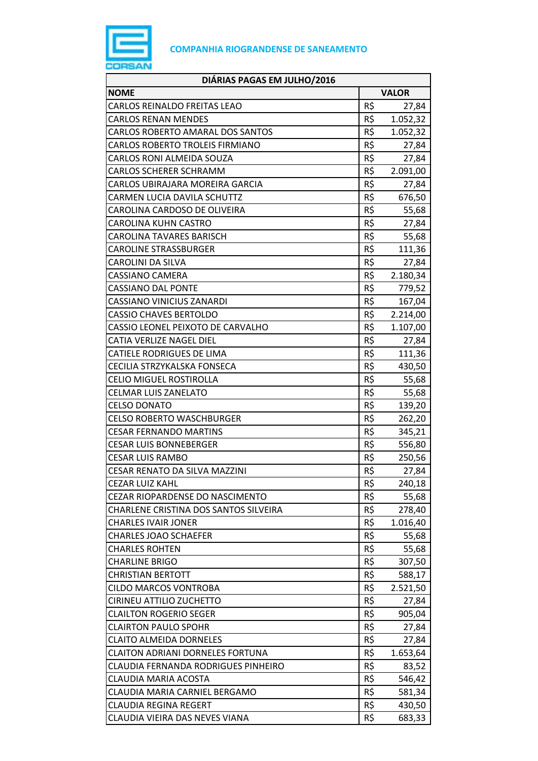

| DIÁRIAS PAGAS EM JULHO/2016            |              |          |
|----------------------------------------|--------------|----------|
| <b>NOME</b>                            | <b>VALOR</b> |          |
| <b>CARLOS REINALDO FREITAS LEAO</b>    | R\$          | 27,84    |
| <b>CARLOS RENAN MENDES</b>             | R\$          | 1.052,32 |
| CARLOS ROBERTO AMARAL DOS SANTOS       | R\$          | 1.052,32 |
| CARLOS ROBERTO TROLEIS FIRMIANO        | R\$          | 27,84    |
| CARLOS RONI ALMEIDA SOUZA              | R\$          | 27,84    |
| CARLOS SCHERER SCHRAMM                 | R\$          | 2.091,00 |
| CARLOS UBIRAJARA MOREIRA GARCIA        | R\$          | 27,84    |
| CARMEN LUCIA DAVILA SCHUTTZ            | R\$          | 676,50   |
| CAROLINA CARDOSO DE OLIVEIRA           | R\$          | 55,68    |
| CAROLINA KUHN CASTRO                   | R\$          | 27,84    |
| CAROLINA TAVARES BARISCH               | R\$          | 55,68    |
| <b>CAROLINE STRASSBURGER</b>           | R\$          | 111,36   |
| CAROLINI DA SILVA                      | R\$          | 27,84    |
| CASSIANO CAMERA                        | R\$          | 2.180,34 |
| <b>CASSIANO DAL PONTE</b>              | R\$          | 779,52   |
| CASSIANO VINICIUS ZANARDI              | R\$          | 167,04   |
| <b>CASSIO CHAVES BERTOLDO</b>          | R\$          | 2.214,00 |
| CASSIO LEONEL PEIXOTO DE CARVALHO      | R\$          | 1.107,00 |
| CATIA VERLIZE NAGEL DIEL               | R\$          | 27,84    |
| CATIELE RODRIGUES DE LIMA              | R\$          | 111,36   |
| CECILIA STRZYKALSKA FONSECA            | R\$          | 430,50   |
| <b>CELIO MIGUEL ROSTIROLLA</b>         | R\$          | 55,68    |
| CELMAR LUIS ZANELATO                   | R\$          | 55,68    |
| <b>CELSO DONATO</b>                    | R\$          | 139,20   |
| <b>CELSO ROBERTO WASCHBURGER</b>       | R\$          | 262,20   |
| <b>CESAR FERNANDO MARTINS</b>          | R\$          | 345,21   |
| <b>CESAR LUIS BONNEBERGER</b>          | R\$          | 556,80   |
| <b>CESAR LUIS RAMBO</b>                | R\$          | 250,56   |
| <b>CESAR RENATO DA SILVA MAZZINI</b>   | R\$          | 27,84    |
| <b>CEZAR LUIZ KAHL</b>                 | R\$          | 240,18   |
| <b>CEZAR RIOPARDENSE DO NASCIMENTO</b> | R\$          | 55,68    |
| CHARLENE CRISTINA DOS SANTOS SILVEIRA  | R\$          | 278,40   |
| <b>CHARLES IVAIR JONER</b>             | R\$          | 1.016,40 |
| <b>CHARLES JOAO SCHAEFER</b>           | R\$          | 55,68    |
| <b>CHARLES ROHTEN</b>                  | R\$          | 55,68    |
| <b>CHARLINE BRIGO</b>                  | R\$          | 307,50   |
| <b>CHRISTIAN BERTOTT</b>               | R\$          | 588,17   |
| <b>CILDO MARCOS VONTROBA</b>           | R\$          | 2.521,50 |
| CIRINEU ATTILIO ZUCHETTO               | R\$          | 27,84    |
| <b>CLAILTON ROGERIO SEGER</b>          | R\$          | 905,04   |
| <b>CLAIRTON PAULO SPOHR</b>            | R\$          | 27,84    |
| <b>CLAITO ALMEIDA DORNELES</b>         | R\$          | 27,84    |
| CLAITON ADRIANI DORNELES FORTUNA       | R\$          | 1.653,64 |
| CLAUDIA FERNANDA RODRIGUES PINHEIRO    | R\$          | 83,52    |
| CLAUDIA MARIA ACOSTA                   | R\$          | 546,42   |
| CLAUDIA MARIA CARNIEL BERGAMO          | R\$          | 581,34   |
| <b>CLAUDIA REGINA REGERT</b>           | R\$          | 430,50   |
| CLAUDIA VIEIRA DAS NEVES VIANA         | R\$          | 683,33   |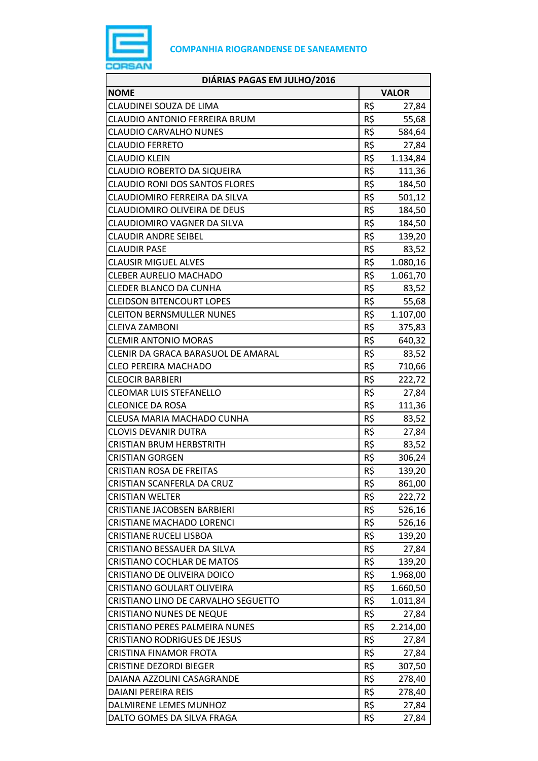

| DIÁRIAS PAGAS EM JULHO/2016           |     |              |
|---------------------------------------|-----|--------------|
| <b>NOME</b>                           |     | <b>VALOR</b> |
| CLAUDINEI SOUZA DE LIMA               | R\$ | 27,84        |
| CLAUDIO ANTONIO FERREIRA BRUM         | R\$ | 55,68        |
| <b>CLAUDIO CARVALHO NUNES</b>         | R\$ | 584,64       |
| <b>CLAUDIO FERRETO</b>                | R\$ | 27,84        |
| <b>CLAUDIO KLEIN</b>                  | R\$ | 1.134,84     |
| CLAUDIO ROBERTO DA SIQUEIRA           | R\$ | 111,36       |
| <b>CLAUDIO RONI DOS SANTOS FLORES</b> | R\$ | 184,50       |
| CLAUDIOMIRO FERREIRA DA SILVA         | R\$ | 501,12       |
| CLAUDIOMIRO OLIVEIRA DE DEUS          | R\$ | 184,50       |
| CLAUDIOMIRO VAGNER DA SILVA           | R\$ | 184,50       |
| <b>CLAUDIR ANDRE SEIBEL</b>           | R\$ | 139,20       |
| <b>CLAUDIR PASE</b>                   | R\$ | 83,52        |
| <b>CLAUSIR MIGUEL ALVES</b>           | R\$ | 1.080,16     |
| <b>CLEBER AURELIO MACHADO</b>         | R\$ | 1.061,70     |
| CLEDER BLANCO DA CUNHA                | R\$ | 83,52        |
| <b>CLEIDSON BITENCOURT LOPES</b>      | R\$ | 55,68        |
| <b>CLEITON BERNSMULLER NUNES</b>      | R\$ | 1.107,00     |
| <b>CLEIVA ZAMBONI</b>                 | R\$ | 375,83       |
| <b>CLEMIR ANTONIO MORAS</b>           | R\$ | 640,32       |
| CLENIR DA GRACA BARASUOL DE AMARAL    | R\$ | 83,52        |
| <b>CLEO PEREIRA MACHADO</b>           | R\$ | 710,66       |
| <b>CLEOCIR BARBIERI</b>               | R\$ | 222,72       |
| CLEOMAR LUIS STEFANELLO               | R\$ | 27,84        |
| <b>CLEONICE DA ROSA</b>               | R\$ | 111,36       |
| CLEUSA MARIA MACHADO CUNHA            | R\$ | 83,52        |
| <b>CLOVIS DEVANIR DUTRA</b>           | R\$ | 27,84        |
| <b>CRISTIAN BRUM HERBSTRITH</b>       | R\$ | 83,52        |
| <b>CRISTIAN GORGEN</b>                | R\$ | 306,24       |
| <b>CRISTIAN ROSA DE FREITAS</b>       | R\$ | 139,20       |
| CRISTIAN SCANFERLA DA CRUZ            | R\$ | 861,00       |
| <b>CRISTIAN WELTER</b>                | R\$ | 222,72       |
| <b>CRISTIANE JACOBSEN BARBIERI</b>    | R\$ | 526,16       |
| <b>CRISTIANE MACHADO LORENCI</b>      | R\$ | 526,16       |
| <b>CRISTIANE RUCELI LISBOA</b>        | R\$ | 139,20       |
| CRISTIANO BESSAUER DA SILVA           | R\$ | 27,84        |
| <b>CRISTIANO COCHLAR DE MATOS</b>     | R\$ | 139,20       |
| CRISTIANO DE OLIVEIRA DOICO           | R\$ | 1.968,00     |
| CRISTIANO GOULART OLIVEIRA            | R\$ | 1.660,50     |
| CRISTIANO LINO DE CARVALHO SEGUETTO   | R\$ | 1.011,84     |
| <b>CRISTIANO NUNES DE NEQUE</b>       | R\$ | 27,84        |
| CRISTIANO PERES PALMEIRA NUNES        | R\$ | 2.214,00     |
| <b>CRISTIANO RODRIGUES DE JESUS</b>   | R\$ | 27,84        |
| CRISTINA FINAMOR FROTA                | R\$ | 27,84        |
| <b>CRISTINE DEZORDI BIEGER</b>        | R\$ | 307,50       |
| DAIANA AZZOLINI CASAGRANDE            | R\$ | 278,40       |
| <b>DAIANI PEREIRA REIS</b>            | R\$ | 278,40       |
| DALMIRENE LEMES MUNHOZ                | R\$ | 27,84        |
| DALTO GOMES DA SILVA FRAGA            | R\$ | 27,84        |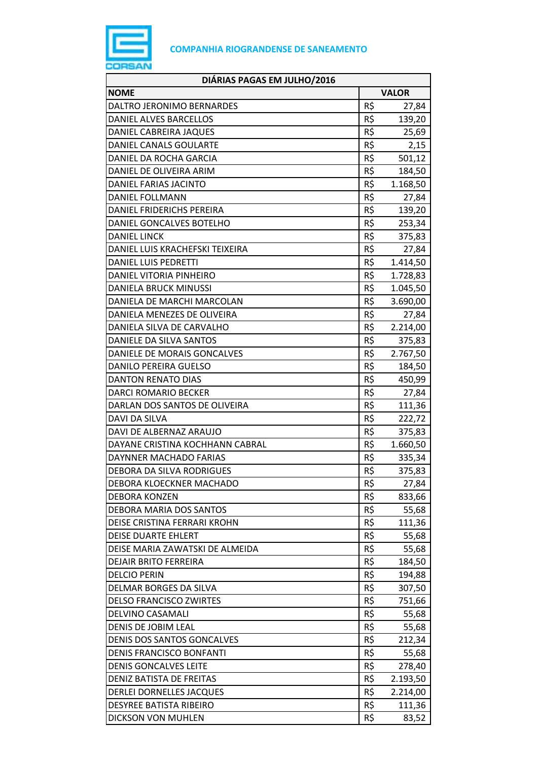

| DIÁRIAS PAGAS EM JULHO/2016     |              |          |
|---------------------------------|--------------|----------|
| <b>NOME</b>                     | <b>VALOR</b> |          |
| DALTRO JERONIMO BERNARDES       | R\$          | 27,84    |
| DANIEL ALVES BARCELLOS          | R\$          | 139,20   |
| DANIEL CABREIRA JAQUES          | R\$          | 25,69    |
| DANIEL CANALS GOULARTE          | R\$          | 2,15     |
| DANIEL DA ROCHA GARCIA          | R\$          | 501,12   |
| DANIEL DE OLIVEIRA ARIM         | R\$          | 184,50   |
| DANIEL FARIAS JACINTO           | R\$          | 1.168,50 |
| <b>DANIEL FOLLMANN</b>          | R\$          | 27,84    |
| DANIEL FRIDERICHS PEREIRA       | R\$          | 139,20   |
| DANIEL GONCALVES BOTELHO        | R\$          | 253,34   |
| <b>DANIEL LINCK</b>             | R\$          | 375,83   |
| DANIEL LUIS KRACHEFSKI TEIXEIRA | R\$          | 27,84    |
| <b>DANIEL LUIS PEDRETTI</b>     | R\$          | 1.414,50 |
| DANIEL VITORIA PINHEIRO         | R\$          | 1.728,83 |
| <b>DANIELA BRUCK MINUSSI</b>    | R\$          | 1.045,50 |
| DANIELA DE MARCHI MARCOLAN      | R\$          | 3.690,00 |
| DANIELA MENEZES DE OLIVEIRA     | R\$          | 27,84    |
| DANIELA SILVA DE CARVALHO       | R\$          | 2.214,00 |
| DANIELE DA SILVA SANTOS         | R\$          | 375,83   |
| DANIELE DE MORAIS GONCALVES     | R\$          | 2.767,50 |
| <b>DANILO PEREIRA GUELSO</b>    | R\$          | 184,50   |
| <b>DANTON RENATO DIAS</b>       | R\$          | 450,99   |
| DARCI ROMARIO BECKER            | R\$          | 27,84    |
| DARLAN DOS SANTOS DE OLIVEIRA   | R\$          | 111,36   |
| DAVI DA SILVA                   | R\$          | 222,72   |
| DAVI DE ALBERNAZ ARAUJO         | R\$          | 375,83   |
| DAYANE CRISTINA KOCHHANN CABRAL | R\$          | 1.660,50 |
| DAYNNER MACHADO FARIAS          | R\$          | 335,34   |
| DEBORA DA SILVA RODRIGUES       | R\$          | 375,83   |
| DEBORA KLOECKNER MACHADO        | R\$          | 27,84    |
| <b>DEBORA KONZEN</b>            | R\$          | 833,66   |
| DEBORA MARIA DOS SANTOS         | R\$          | 55,68    |
| DEISE CRISTINA FERRARI KROHN    | R\$          | 111,36   |
| <b>DEISE DUARTE EHLERT</b>      | R\$          | 55,68    |
| DEISE MARIA ZAWATSKI DE ALMEIDA | R\$          | 55,68    |
| <b>DEJAIR BRITO FERREIRA</b>    | R\$          | 184,50   |
| <b>DELCIO PERIN</b>             | R\$          | 194,88   |
| DELMAR BORGES DA SILVA          | R\$          | 307,50   |
| <b>DELSO FRANCISCO ZWIRTES</b>  | R\$          | 751,66   |
| DELVINO CASAMALI                | R\$          | 55,68    |
| DENIS DE JOBIM LEAL             | R\$          | 55,68    |
| DENIS DOS SANTOS GONCALVES      | R\$          | 212,34   |
| DENIS FRANCISCO BONFANTI        | R\$          | 55,68    |
| <b>DENIS GONCALVES LEITE</b>    | R\$          | 278,40   |
| DENIZ BATISTA DE FREITAS        | R\$          | 2.193,50 |
| DERLEI DORNELLES JACQUES        | R\$          | 2.214,00 |
| <b>DESYREE BATISTA RIBEIRO</b>  | R\$          | 111,36   |
| DICKSON VON MUHLEN              | R\$          | 83,52    |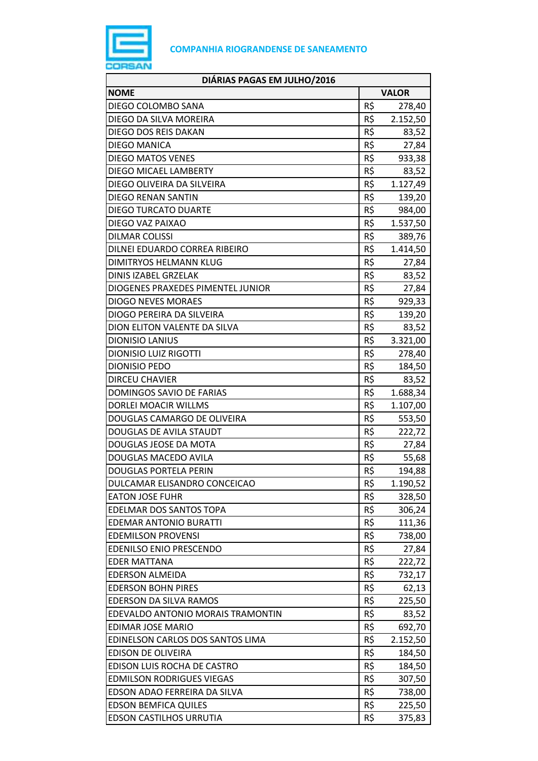

| DIÁRIAS PAGAS EM JULHO/2016       |              |          |
|-----------------------------------|--------------|----------|
| <b>NOME</b>                       | <b>VALOR</b> |          |
| DIEGO COLOMBO SANA                | R\$          | 278,40   |
| DIEGO DA SILVA MOREIRA            | R\$          | 2.152,50 |
| DIEGO DOS REIS DAKAN              | R\$          | 83,52    |
| <b>DIEGO MANICA</b>               | R\$          | 27,84    |
| <b>DIEGO MATOS VENES</b>          | R\$          | 933,38   |
| <b>DIEGO MICAEL LAMBERTY</b>      | R\$          | 83,52    |
| DIEGO OLIVEIRA DA SILVEIRA        | R\$          | 1.127,49 |
| DIEGO RENAN SANTIN                | R\$          | 139,20   |
| <b>DIEGO TURCATO DUARTE</b>       | R\$          | 984,00   |
| DIEGO VAZ PAIXAO                  | R\$          | 1.537,50 |
| <b>DILMAR COLISSI</b>             | R\$          | 389,76   |
| DILNEI EDUARDO CORREA RIBEIRO     | R\$          | 1.414,50 |
| <b>DIMITRYOS HELMANN KLUG</b>     | R\$          | 27,84    |
| DINIS IZABEL GRZELAK              | R\$          | 83,52    |
| DIOGENES PRAXEDES PIMENTEL JUNIOR | R\$          | 27,84    |
| <b>DIOGO NEVES MORAES</b>         | R\$          | 929,33   |
| DIOGO PEREIRA DA SILVEIRA         | R\$          | 139,20   |
| DION ELITON VALENTE DA SILVA      | R\$          | 83,52    |
| <b>DIONISIO LANIUS</b>            | R\$          | 3.321,00 |
| <b>DIONISIO LUIZ RIGOTTI</b>      | R\$          | 278,40   |
| <b>DIONISIO PEDO</b>              | R\$          | 184,50   |
| <b>DIRCEU CHAVIER</b>             | R\$          | 83,52    |
| DOMINGOS SAVIO DE FARIAS          | R\$          | 1.688,34 |
| DORLEI MOACIR WILLMS              | R\$          | 1.107,00 |
| DOUGLAS CAMARGO DE OLIVEIRA       | R\$          | 553,50   |
| DOUGLAS DE AVILA STAUDT           | R\$          | 222,72   |
| DOUGLAS JEOSE DA MOTA             | R\$          | 27,84    |
| DOUGLAS MACEDO AVILA              | R\$          | 55,68    |
| <b>DOUGLAS PORTELA PERIN</b>      | R\$          | 194,88   |
| DULCAMAR ELISANDRO CONCEICAO      | R\$          | 1.190,52 |
| <b>EATON JOSE FUHR</b>            | R\$          | 328,50   |
| EDELMAR DOS SANTOS TOPA           | R\$          | 306,24   |
| <b>EDEMAR ANTONIO BURATTI</b>     | R\$          | 111,36   |
| <b>EDEMILSON PROVENSI</b>         | R\$          | 738,00   |
| <b>EDENILSO ENIO PRESCENDO</b>    | R\$          | 27,84    |
| <b>EDER MATTANA</b>               | R\$          | 222,72   |
| <b>EDERSON ALMEIDA</b>            | R\$          | 732,17   |
| <b>EDERSON BOHN PIRES</b>         | R\$          | 62,13    |
| EDERSON DA SILVA RAMOS            | R\$          | 225,50   |
| EDEVALDO ANTONIO MORAIS TRAMONTIN | R\$          | 83,52    |
| EDIMAR JOSE MARIO                 | R\$          | 692,70   |
| EDINELSON CARLOS DOS SANTOS LIMA  | R\$          | 2.152,50 |
| <b>EDISON DE OLIVEIRA</b>         | R\$          | 184,50   |
| EDISON LUIS ROCHA DE CASTRO       | R\$          | 184,50   |
| <b>EDMILSON RODRIGUES VIEGAS</b>  | R\$          | 307,50   |
| EDSON ADAO FERREIRA DA SILVA      | R\$          | 738,00   |
| <b>EDSON BEMFICA QUILES</b>       | R\$          | 225,50   |
| EDSON CASTILHOS URRUTIA           | R\$          | 375,83   |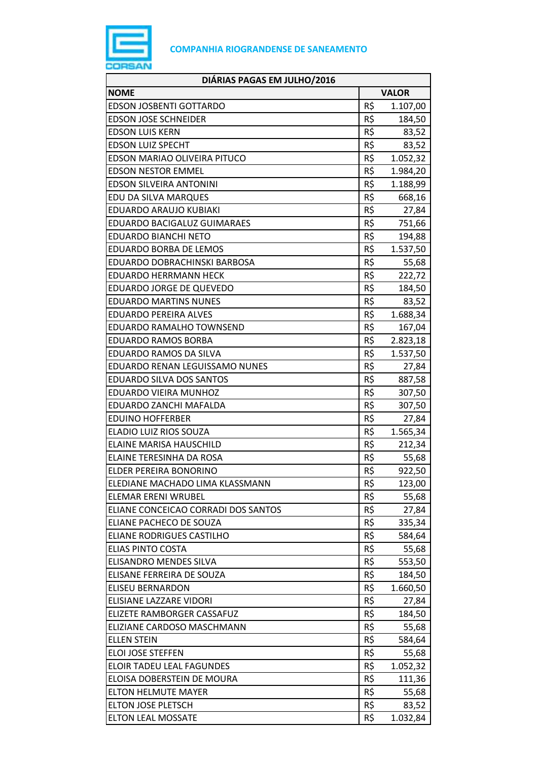

| DIÁRIAS PAGAS EM JULHO/2016         |              |          |
|-------------------------------------|--------------|----------|
| <b>NOME</b>                         | <b>VALOR</b> |          |
| <b>EDSON JOSBENTI GOTTARDO</b>      | R\$          | 1.107,00 |
| <b>EDSON JOSE SCHNEIDER</b>         | R\$          | 184,50   |
| <b>EDSON LUIS KERN</b>              | R\$          | 83,52    |
| <b>EDSON LUIZ SPECHT</b>            | R\$          | 83,52    |
| EDSON MARIAO OLIVEIRA PITUCO        | R\$          | 1.052,32 |
| <b>EDSON NESTOR EMMEL</b>           | R\$          | 1.984,20 |
| <b>EDSON SILVEIRA ANTONINI</b>      | R\$          | 1.188,99 |
| EDU DA SILVA MARQUES                | R\$          | 668,16   |
| EDUARDO ARAUJO KUBIAKI              | R\$          | 27,84    |
| <b>EDUARDO BACIGALUZ GUIMARAES</b>  | R\$          | 751,66   |
| <b>EDUARDO BIANCHI NETO</b>         | R\$          | 194,88   |
| <b>EDUARDO BORBA DE LEMOS</b>       | R\$          | 1.537,50 |
| EDUARDO DOBRACHINSKI BARBOSA        | R\$          | 55,68    |
| <b>EDUARDO HERRMANN HECK</b>        | R\$          | 222,72   |
| EDUARDO JORGE DE QUEVEDO            | R\$          | 184,50   |
| <b>EDUARDO MARTINS NUNES</b>        | R\$          | 83,52    |
| <b>EDUARDO PEREIRA ALVES</b>        | R\$          | 1.688,34 |
| EDUARDO RAMALHO TOWNSEND            | R\$          | 167,04   |
| <b>EDUARDO RAMOS BORBA</b>          | R\$          | 2.823,18 |
| EDUARDO RAMOS DA SILVA              | R\$          | 1.537,50 |
| EDUARDO RENAN LEGUISSAMO NUNES      | R\$          | 27,84    |
| <b>EDUARDO SILVA DOS SANTOS</b>     | R\$          | 887,58   |
| EDUARDO VIEIRA MUNHOZ               | R\$          | 307,50   |
| EDUARDO ZANCHI MAFALDA              | R\$          | 307,50   |
| <b>EDUINO HOFFERBER</b>             | R\$          | 27,84    |
| ELADIO LUIZ RIOS SOUZA              | R\$          | 1.565,34 |
| <b>ELAINE MARISA HAUSCHILD</b>      | R\$          | 212,34   |
| ELAINE TERESINHA DA ROSA            | R\$          | 55,68    |
| ELDER PEREIRA BONORINO              | R\$          | 922,50   |
| ELEDIANE MACHADO LIMA KLASSMANN     | R\$          | 123,00   |
| <b>ELEMAR ERENI WRUBEL</b>          | R\$          | 55,68    |
| ELIANE CONCEICAO CORRADI DOS SANTOS | R\$          | 27,84    |
| ELIANE PACHECO DE SOUZA             | R\$          | 335,34   |
| ELIANE RODRIGUES CASTILHO           | R\$          | 584,64   |
| <b>ELIAS PINTO COSTA</b>            | R\$          | 55,68    |
| ELISANDRO MENDES SILVA              | R\$          | 553,50   |
| ELISANE FERREIRA DE SOUZA           | R\$          | 184,50   |
| <b>ELISEU BERNARDON</b>             | R\$          | 1.660,50 |
| ELISIANE LAZZARE VIDORI             | R\$          | 27,84    |
| ELIZETE RAMBORGER CASSAFUZ          | R\$          | 184,50   |
| ELIZIANE CARDOSO MASCHMANN          | R\$          | 55,68    |
| <b>ELLEN STEIN</b>                  | R\$          | 584,64   |
| <b>ELOI JOSE STEFFEN</b>            | R\$          | 55,68    |
| ELOIR TADEU LEAL FAGUNDES           | R\$          | 1.052,32 |
| ELOISA DOBERSTEIN DE MOURA          | R\$          | 111,36   |
| <b>ELTON HELMUTE MAYER</b>          | R\$          | 55,68    |
| ELTON JOSE PLETSCH                  | R\$          | 83,52    |
| <b>ELTON LEAL MOSSATE</b>           | R\$          | 1.032,84 |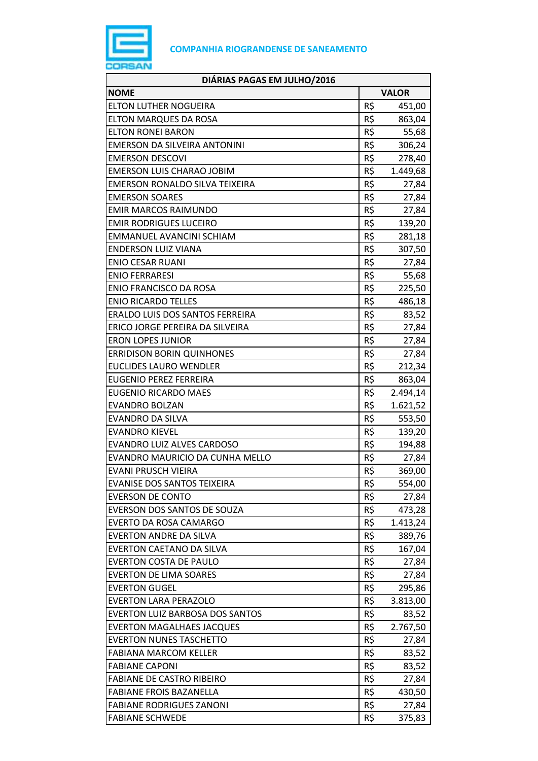

| DIÁRIAS PAGAS EM JULHO/2016           |     |              |
|---------------------------------------|-----|--------------|
| <b>NOME</b>                           |     | <b>VALOR</b> |
| <b>ELTON LUTHER NOGUEIRA</b>          | R\$ | 451,00       |
| <b>ELTON MARQUES DA ROSA</b>          | R\$ | 863,04       |
| <b>ELTON RONEI BARON</b>              | R\$ | 55,68        |
| EMERSON DA SILVEIRA ANTONINI          | R\$ | 306,24       |
| <b>EMERSON DESCOVI</b>                | R\$ | 278,40       |
| <b>EMERSON LUIS CHARAO JOBIM</b>      | R\$ | 1.449,68     |
| <b>EMERSON RONALDO SILVA TEIXEIRA</b> | R\$ | 27,84        |
| <b>EMERSON SOARES</b>                 | R\$ | 27,84        |
| <b>EMIR MARCOS RAIMUNDO</b>           | R\$ | 27,84        |
| <b>EMIR RODRIGUES LUCEIRO</b>         | R\$ | 139,20       |
| EMMANUEL AVANCINI SCHIAM              | R\$ | 281,18       |
| <b>ENDERSON LUIZ VIANA</b>            | R\$ | 307,50       |
| <b>ENIO CESAR RUANI</b>               | R\$ | 27,84        |
| <b>ENIO FERRARESI</b>                 | R\$ | 55,68        |
| <b>ENIO FRANCISCO DA ROSA</b>         | R\$ | 225,50       |
| <b>ENIO RICARDO TELLES</b>            | R\$ | 486,18       |
| ERALDO LUIS DOS SANTOS FERREIRA       | R\$ | 83,52        |
| ERICO JORGE PEREIRA DA SILVEIRA       | R\$ | 27,84        |
| <b>ERON LOPES JUNIOR</b>              | R\$ | 27,84        |
| <b>ERRIDISON BORIN QUINHONES</b>      | R\$ | 27,84        |
| <b>EUCLIDES LAURO WENDLER</b>         | R\$ | 212,34       |
| <b>EUGENIO PEREZ FERREIRA</b>         | R\$ | 863,04       |
| <b>EUGENIO RICARDO MAES</b>           | R\$ | 2.494,14     |
| <b>EVANDRO BOLZAN</b>                 | R\$ | 1.621,52     |
| <b>EVANDRO DA SILVA</b>               | R\$ | 553,50       |
| <b>EVANDRO KIEVEL</b>                 | R\$ | 139,20       |
| <b>EVANDRO LUIZ ALVES CARDOSO</b>     | R\$ | 194,88       |
| EVANDRO MAURICIO DA CUNHA MELLO       | R\$ | 27,84        |
| <b>EVANI PRUSCH VIEIRA</b>            | R\$ | 369,00       |
| <b>EVANISE DOS SANTOS TEIXEIRA</b>    | R\$ | 554,00       |
| <b>EVERSON DE CONTO</b>               | R\$ | 27,84        |
| EVERSON DOS SANTOS DE SOUZA           | R\$ | 473,28       |
| EVERTO DA ROSA CAMARGO                | R\$ | 1.413,24     |
| <b>EVERTON ANDRE DA SILVA</b>         | R\$ | 389,76       |
| <b>EVERTON CAETANO DA SILVA</b>       | R\$ | 167,04       |
| <b>EVERTON COSTA DE PAULO</b>         | R\$ | 27,84        |
| <b>EVERTON DE LIMA SOARES</b>         | R\$ | 27,84        |
| <b>EVERTON GUGEL</b>                  | R\$ | 295,86       |
| <b>EVERTON LARA PERAZOLO</b>          | R\$ | 3.813,00     |
| EVERTON LUIZ BARBOSA DOS SANTOS       | R\$ | 83,52        |
| <b>EVERTON MAGALHAES JACQUES</b>      | R\$ | 2.767,50     |
| <b>EVERTON NUNES TASCHETTO</b>        | R\$ | 27,84        |
| <b>FABIANA MARCOM KELLER</b>          | R\$ | 83,52        |
| <b>FABIANE CAPONI</b>                 | R\$ | 83,52        |
| <b>FABIANE DE CASTRO RIBEIRO</b>      | R\$ | 27,84        |
| <b>FABIANE FROIS BAZANELLA</b>        | R\$ | 430,50       |
| <b>FABIANE RODRIGUES ZANONI</b>       | R\$ | 27,84        |
| <b>FABIANE SCHWEDE</b>                | R\$ | 375,83       |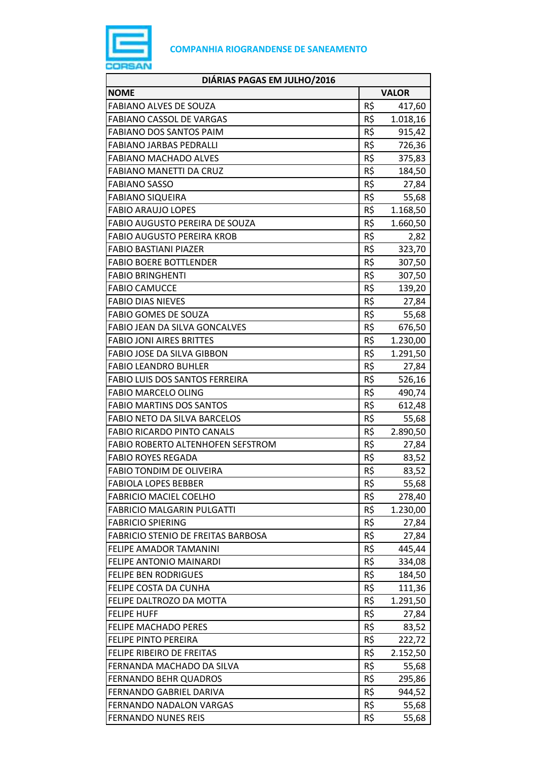

| DIÁRIAS PAGAS EM JULHO/2016               |                 |          |
|-------------------------------------------|-----------------|----------|
| <b>NOME</b>                               | <b>VALOR</b>    |          |
| <b>FABIANO ALVES DE SOUZA</b>             | R\$             | 417,60   |
| <b>FABIANO CASSOL DE VARGAS</b>           | R\$             | 1.018,16 |
| <b>FABIANO DOS SANTOS PAIM</b>            | R\$             | 915,42   |
| <b>FABIANO JARBAS PEDRALLI</b>            | R\$             | 726,36   |
| <b>FABIANO MACHADO ALVES</b>              | R\$             | 375,83   |
| <b>FABIANO MANETTI DA CRUZ</b>            | R\$             | 184,50   |
| <b>FABIANO SASSO</b>                      | R\$             | 27,84    |
| <b>FABIANO SIQUEIRA</b>                   | R\$             | 55,68    |
| <b>FABIO ARAUJO LOPES</b>                 | R\$             | 1.168,50 |
| FABIO AUGUSTO PEREIRA DE SOUZA            | R\$             | 1.660,50 |
| <b>FABIO AUGUSTO PEREIRA KROB</b>         | R\$             | 2,82     |
| <b>FABIO BASTIANI PIAZER</b>              | R\$             | 323,70   |
| <b>FABIO BOERE BOTTLENDER</b>             | R\$             | 307,50   |
| <b>FABIO BRINGHENTI</b>                   | R\$             | 307,50   |
| <b>FABIO CAMUCCE</b>                      | R\$             | 139,20   |
| <b>FABIO DIAS NIEVES</b>                  | R\$             | 27,84    |
| <b>FABIO GOMES DE SOUZA</b>               | R\$             | 55,68    |
| <b>FABIO JEAN DA SILVA GONCALVES</b>      | R\$             | 676,50   |
| <b>FABIO JONI AIRES BRITTES</b>           | R\$             | 1.230,00 |
| FABIO JOSE DA SILVA GIBBON                | R\$             | 1.291,50 |
| <b>FABIO LEANDRO BUHLER</b>               | R\$             | 27,84    |
| FABIO LUIS DOS SANTOS FERREIRA            | R\$             | 526,16   |
| <b>FABIO MARCELO OLING</b>                | R\$             | 490,74   |
| <b>FABIO MARTINS DOS SANTOS</b>           | R\$             | 612,48   |
| <b>FABIO NETO DA SILVA BARCELOS</b>       | R\$             | 55,68    |
| <b>FABIO RICARDO PINTO CANALS</b>         | R\$             | 2.890,50 |
| FABIO ROBERTO ALTENHOFEN SEFSTROM         | R\$             | 27,84    |
| <b>FABIO ROYES REGADA</b>                 | R\$             | 83,52    |
| <b>FABIO TONDIM DE OLIVEIRA</b>           | R\$             | 83,52    |
| <b>FABIOLA LOPES BEBBER</b>               | R\$             | 55,68    |
| <b>FABRICIO MACIEL COELHO</b>             | R\$             | 278,40   |
| <b>FABRICIO MALGARIN PULGATTI</b>         | R\$             | 1.230,00 |
| <b>FABRICIO SPIERING</b>                  | R\$             | 27,84    |
| <b>FABRICIO STENIO DE FREITAS BARBOSA</b> | R\$             | 27,84    |
| FELIPE AMADOR TAMANINI                    | R\$             | 445,44   |
| <b>FELIPE ANTONIO MAINARDI</b>            | R\$             | 334,08   |
| <b>FELIPE BEN RODRIGUES</b>               | R\$             | 184,50   |
| FELIPE COSTA DA CUNHA                     | R\$             | 111,36   |
| FELIPE DALTROZO DA MOTTA                  | R\$             | 1.291,50 |
| <b>FELIPE HUFF</b>                        | R\$             | 27,84    |
| FELIPE MACHADO PERES                      | R\$             | 83,52    |
| <b>FELIPE PINTO PEREIRA</b>               | $R\overline{S}$ | 222,72   |
| FELIPE RIBEIRO DE FREITAS                 | R\$             | 2.152,50 |
| FERNANDA MACHADO DA SILVA                 | R\$             | 55,68    |
| <b>FERNANDO BEHR QUADROS</b>              | R\$             | 295,86   |
| FERNANDO GABRIEL DARIVA                   | R\$             | 944,52   |
| FERNANDO NADALON VARGAS                   | R\$             | 55,68    |
| <b>FERNANDO NUNES REIS</b>                | R\$             | 55,68    |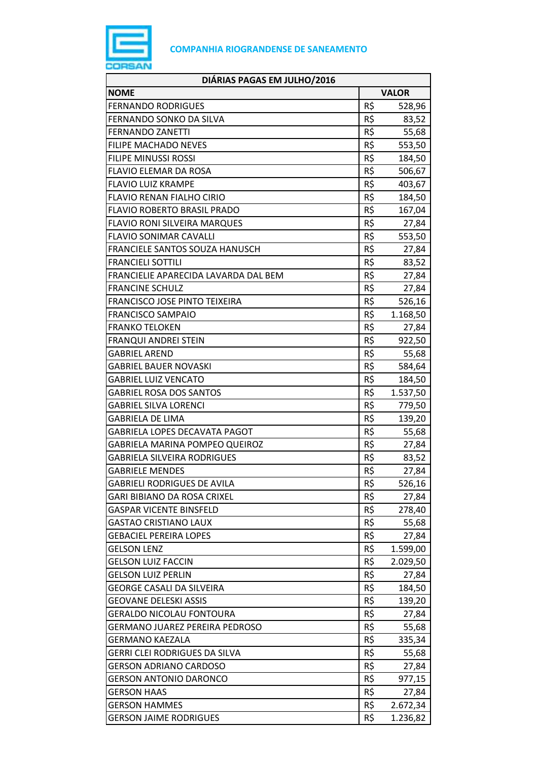

| DIÁRIAS PAGAS EM JULHO/2016          |              |          |
|--------------------------------------|--------------|----------|
| <b>NOME</b>                          | <b>VALOR</b> |          |
| <b>FERNANDO RODRIGUES</b>            | R\$          | 528,96   |
| FERNANDO SONKO DA SILVA              | R\$          | 83,52    |
| <b>FERNANDO ZANETTI</b>              | R\$          | 55,68    |
| <b>FILIPE MACHADO NEVES</b>          | R\$          | 553,50   |
| <b>FILIPE MINUSSI ROSSI</b>          | R\$          | 184,50   |
| <b>FLAVIO ELEMAR DA ROSA</b>         | R\$          | 506,67   |
| <b>FLAVIO LUIZ KRAMPE</b>            | R\$          | 403,67   |
| <b>FLAVIO RENAN FIALHO CIRIO</b>     | R\$          | 184,50   |
| <b>FLAVIO ROBERTO BRASIL PRADO</b>   | R\$          | 167,04   |
| <b>FLAVIO RONI SILVEIRA MARQUES</b>  | R\$          | 27,84    |
| <b>FLAVIO SONIMAR CAVALLI</b>        | R\$          | 553,50   |
| FRANCIELE SANTOS SOUZA HANUSCH       | R\$          | 27,84    |
| <b>FRANCIELI SOTTILI</b>             | R\$          | 83,52    |
| FRANCIELIE APARECIDA LAVARDA DAL BEM | R\$          | 27,84    |
| <b>FRANCINE SCHULZ</b>               | R\$          | 27,84    |
| <b>FRANCISCO JOSE PINTO TEIXEIRA</b> | R\$          | 526,16   |
| <b>FRANCISCO SAMPAIO</b>             | R\$          | 1.168,50 |
| <b>FRANKO TELOKEN</b>                | R\$          | 27,84    |
| <b>FRANQUI ANDREI STEIN</b>          | R\$          | 922,50   |
| <b>GABRIEL AREND</b>                 | R\$          | 55,68    |
| <b>GABRIEL BAUER NOVASKI</b>         | R\$          | 584,64   |
| <b>GABRIEL LUIZ VENCATO</b>          | R\$          | 184,50   |
| <b>GABRIEL ROSA DOS SANTOS</b>       | R\$          | 1.537,50 |
| <b>GABRIEL SILVA LORENCI</b>         | R\$          | 779,50   |
| <b>GABRIELA DE LIMA</b>              | R\$          | 139,20   |
| <b>GABRIELA LOPES DECAVATA PAGOT</b> | R\$          | 55,68    |
| GABRIELA MARINA POMPEO QUEIROZ       | R\$          | 27,84    |
| GABRIELA SILVEIRA RODRIGUES          | R\$          | 83,52    |
| <b>GABRIELE MENDES</b>               | R\$          | 27,84    |
| <b>GABRIELI RODRIGUES DE AVILA</b>   | R\$          | 526,16   |
| GARI BIBIANO DA ROSA CRIXEL          | R\$          | 27,84    |
| <b>GASPAR VICENTE BINSFELD</b>       | R\$          | 278,40   |
| GASTAO CRISTIANO LAUX                | R\$          | 55,68    |
| <b>GEBACIEL PEREIRA LOPES</b>        | R\$          | 27,84    |
| <b>GELSON LENZ</b>                   | R\$          | 1.599,00 |
| <b>GELSON LUIZ FACCIN</b>            | R\$          | 2.029,50 |
| <b>GELSON LUIZ PERLIN</b>            | R\$          | 27,84    |
| <b>GEORGE CASALI DA SILVEIRA</b>     | R\$          | 184,50   |
| GEOVANE DELESKI ASSIS                | R\$          | 139,20   |
| <b>GERALDO NICOLAU FONTOURA</b>      | R\$          | 27,84    |
| GERMANO JUAREZ PEREIRA PEDROSO       | R\$          | 55,68    |
| <b>GERMANO KAEZALA</b>               | R\$          | 335,34   |
| GERRI CLEI RODRIGUES DA SILVA        | R\$          | 55,68    |
| <b>GERSON ADRIANO CARDOSO</b>        | R\$          | 27,84    |
| <b>GERSON ANTONIO DARONCO</b>        | R\$          | 977,15   |
| <b>GERSON HAAS</b>                   | R\$          | 27,84    |
| <b>GERSON HAMMES</b>                 | R\$          | 2.672,34 |
| <b>GERSON JAIME RODRIGUES</b>        | R\$          | 1.236,82 |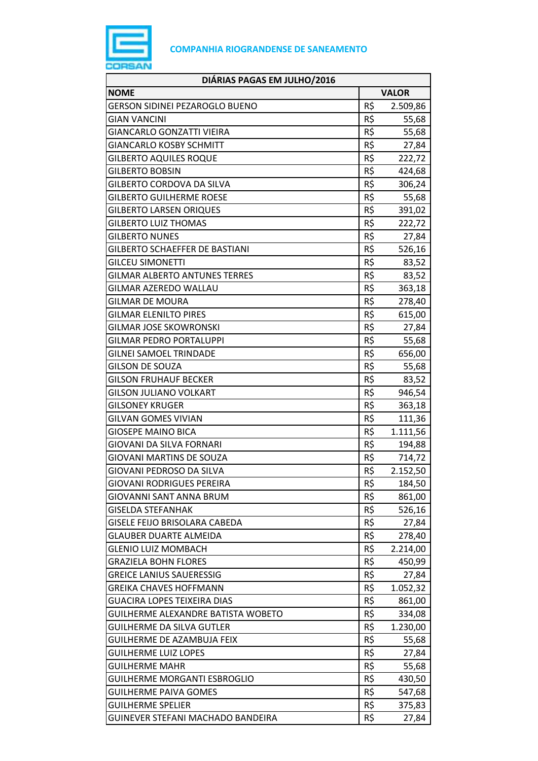

| DIÁRIAS PAGAS EM JULHO/2016           |              |          |
|---------------------------------------|--------------|----------|
| <b>NOME</b>                           | <b>VALOR</b> |          |
| <b>GERSON SIDINEI PEZAROGLO BUENO</b> | R\$          | 2.509,86 |
| <b>GIAN VANCINI</b>                   | R\$          | 55,68    |
| <b>GIANCARLO GONZATTI VIEIRA</b>      | R\$          | 55,68    |
| <b>GIANCARLO KOSBY SCHMITT</b>        | R\$          | 27,84    |
| <b>GILBERTO AQUILES ROQUE</b>         | R\$          | 222,72   |
| <b>GILBERTO BOBSIN</b>                | R\$          | 424,68   |
| GILBERTO CORDOVA DA SILVA             | R\$          | 306,24   |
| <b>GILBERTO GUILHERME ROESE</b>       | R\$          | 55,68    |
| <b>GILBERTO LARSEN ORIQUES</b>        | R\$          | 391,02   |
| <b>GILBERTO LUIZ THOMAS</b>           | R\$          | 222,72   |
| <b>GILBERTO NUNES</b>                 | R\$          | 27,84    |
| <b>GILBERTO SCHAEFFER DE BASTIANI</b> | R\$          | 526,16   |
| <b>GILCEU SIMONETTI</b>               | R\$          | 83,52    |
| <b>GILMAR ALBERTO ANTUNES TERRES</b>  | R\$          | 83,52    |
| GILMAR AZEREDO WALLAU                 | R\$          | 363,18   |
| GILMAR DE MOURA                       | R\$          | 278,40   |
| <b>GILMAR ELENILTO PIRES</b>          | R\$          | 615,00   |
| <b>GILMAR JOSE SKOWRONSKI</b>         | R\$          | 27,84    |
| <b>GILMAR PEDRO PORTALUPPI</b>        | R\$          | 55,68    |
| <b>GILNEI SAMOEL TRINDADE</b>         | R\$          | 656,00   |
| <b>GILSON DE SOUZA</b>                | R\$          | 55,68    |
| <b>GILSON FRUHAUF BECKER</b>          | R\$          | 83,52    |
| <b>GILSON JULIANO VOLKART</b>         | R\$          | 946,54   |
| <b>GILSONEY KRUGER</b>                | R\$          | 363,18   |
| <b>GILVAN GOMES VIVIAN</b>            | R\$          | 111,36   |
| <b>GIOSEPE MAINO BICA</b>             | R\$          | 1.111,56 |
| <b>GIOVANI DA SILVA FORNARI</b>       | R\$          | 194,88   |
| <b>GIOVANI MARTINS DE SOUZA</b>       | R\$          | 714,72   |
| GIOVANI PEDROSO DA SILVA              | R\$          | 2.152,50 |
| <b>GIOVANI RODRIGUES PEREIRA</b>      | R\$          | 184,50   |
| <b>GIOVANNI SANT ANNA BRUM</b>        | R\$          | 861,00   |
| <b>GISELDA STEFANHAK</b>              | R\$          | 526,16   |
| GISELE FEIJO BRISOLARA CABEDA         | R\$          | 27,84    |
| <b>GLAUBER DUARTE ALMEIDA</b>         | R\$          | 278,40   |
| <b>GLENIO LUIZ MOMBACH</b>            | R\$          | 2.214,00 |
| <b>GRAZIELA BOHN FLORES</b>           | R\$          | 450,99   |
| <b>GREICE LANIUS SAUERESSIG</b>       | R\$          | 27,84    |
| GREIKA CHAVES HOFFMANN                | R\$          | 1.052,32 |
| <b>GUACIRA LOPES TEIXEIRA DIAS</b>    | R\$          | 861,00   |
| GUILHERME ALEXANDRE BATISTA WOBETO    | R\$          | 334,08   |
| <b>GUILHERME DA SILVA GUTLER</b>      | R\$          | 1.230,00 |
| <b>GUILHERME DE AZAMBUJA FEIX</b>     | R\$          | 55,68    |
| <b>GUILHERME LUIZ LOPES</b>           | R\$          | 27,84    |
| <b>GUILHERME MAHR</b>                 | R\$          | 55,68    |
| <b>GUILHERME MORGANTI ESBROGLIO</b>   | R\$          | 430,50   |
| <b>GUILHERME PAIVA GOMES</b>          | R\$          | 547,68   |
| <b>GUILHERME SPELIER</b>              | R\$          | 375,83   |
| GUINEVER STEFANI MACHADO BANDEIRA     | R\$          | 27,84    |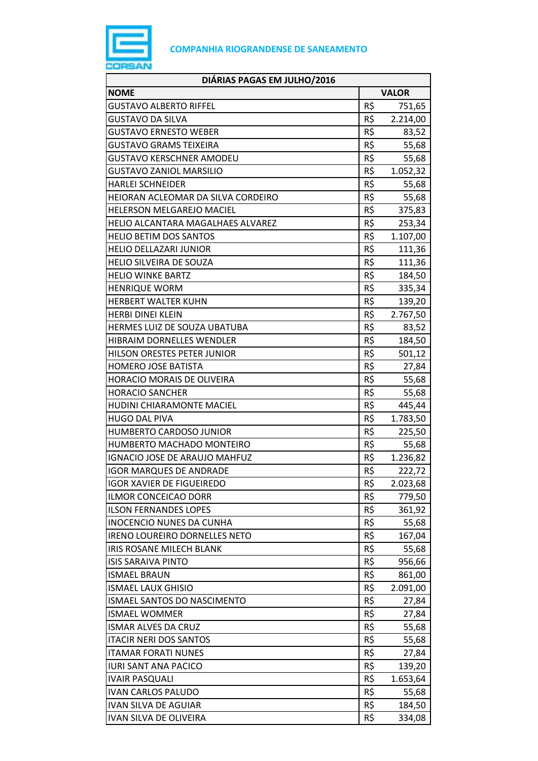

| DIÁRIAS PAGAS EM JULHO/2016        |              |          |
|------------------------------------|--------------|----------|
| <b>NOME</b>                        | <b>VALOR</b> |          |
| <b>GUSTAVO ALBERTO RIFFEL</b>      | R\$          | 751,65   |
| GUSTAVO DA SILVA                   | R\$          | 2.214,00 |
| <b>GUSTAVO ERNESTO WEBER</b>       | R\$          | 83,52    |
| GUSTAVO GRAMS TEIXEIRA             | R\$          | 55,68    |
| <b>GUSTAVO KERSCHNER AMODEU</b>    | R\$          | 55,68    |
| <b>GUSTAVO ZANIOL MARSILIO</b>     | R\$          | 1.052,32 |
| <b>HARLEI SCHNEIDER</b>            | R\$          | 55,68    |
| HEIORAN ACLEOMAR DA SILVA CORDEIRO | R\$          | 55,68    |
| HELERSON MELGAREJO MACIEL          | R\$          | 375,83   |
| HELIO ALCANTARA MAGALHAES ALVAREZ  | R\$          | 253,34   |
| <b>HELIO BETIM DOS SANTOS</b>      | R\$          | 1.107,00 |
| <b>HELIO DELLAZARI JUNIOR</b>      | R\$          | 111,36   |
| HELIO SILVEIRA DE SOUZA            | R\$          | 111,36   |
| <b>HELIO WINKE BARTZ</b>           | R\$          | 184,50   |
| <b>HENRIQUE WORM</b>               | R\$          | 335,34   |
| <b>HERBERT WALTER KUHN</b>         | R\$          | 139,20   |
| <b>HERBI DINEI KLEIN</b>           | R\$          | 2.767,50 |
| HERMES LUIZ DE SOUZA UBATUBA       | R\$          | 83,52    |
| <b>HIBRAIM DORNELLES WENDLER</b>   | R\$          | 184,50   |
| HILSON ORESTES PETER JUNIOR        | R\$          | 501,12   |
| <b>HOMERO JOSE BATISTA</b>         | R\$          | 27,84    |
| HORACIO MORAIS DE OLIVEIRA         | R\$          | 55,68    |
| <b>HORACIO SANCHER</b>             | R\$          | 55,68    |
| HUDINI CHIARAMONTE MACIEL          | R\$          | 445,44   |
| <b>HUGO DAL PIVA</b>               | R\$          | 1.783,50 |
| <b>HUMBERTO CARDOSO JUNIOR</b>     | R\$          | 225,50   |
| HUMBERTO MACHADO MONTEIRO          | R\$          | 55,68    |
| IGNACIO JOSE DE ARAUJO MAHFUZ      | R\$          | 1.236,82 |
| <b>IGOR MARQUES DE ANDRADE</b>     | R\$          | 222,72   |
| <b>IGOR XAVIER DE FIGUEIREDO</b>   | R\$          | 2.023,68 |
| <b>ILMOR CONCEICAO DORR</b>        | R\$          | 779,50   |
| <b>ILSON FERNANDES LOPES</b>       | R\$          | 361,92   |
| <b>INOCENCIO NUNES DA CUNHA</b>    | R\$          | 55,68    |
| IRENO LOUREIRO DORNELLES NETO      | R\$          | 167,04   |
| IRIS ROSANE MILECH BLANK           | R\$          | 55,68    |
| <b>ISIS SARAIVA PINTO</b>          | R\$          | 956,66   |
| <b>ISMAEL BRAUN</b>                | R\$          | 861,00   |
| <b>ISMAEL LAUX GHISIO</b>          | R\$          | 2.091,00 |
| ISMAEL SANTOS DO NASCIMENTO        | R\$          | 27,84    |
| <b>ISMAEL WOMMER</b>               | R\$          | 27,84    |
| <b>ISMAR ALVES DA CRUZ</b>         | R\$          | 55,68    |
| <b>ITACIR NERI DOS SANTOS</b>      | R\$          | 55,68    |
| <b>ITAMAR FORATI NUNES</b>         | R\$          | 27,84    |
| <b>IURI SANT ANA PACICO</b>        | R\$          | 139,20   |
| <b>IVAIR PASQUALI</b>              | R\$          | 1.653,64 |
| <b>IVAN CARLOS PALUDO</b>          | R\$          | 55,68    |
| <b>IVAN SILVA DE AGUIAR</b>        | R\$          | 184,50   |
| IVAN SILVA DE OLIVEIRA             | R\$          | 334,08   |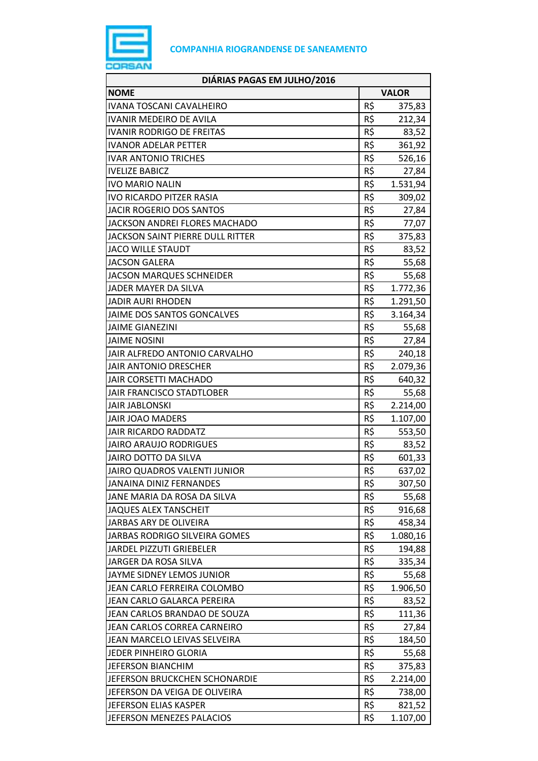

| DIÁRIAS PAGAS EM JULHO/2016      |              |          |
|----------------------------------|--------------|----------|
| <b>NOME</b>                      | <b>VALOR</b> |          |
| IVANA TOSCANI CAVALHEIRO         | R\$          | 375,83   |
| <b>IVANIR MEDEIRO DE AVILA</b>   | R\$          | 212,34   |
| <b>IVANIR RODRIGO DE FREITAS</b> | R\$          | 83,52    |
| <b>IVANOR ADELAR PETTER</b>      | R\$          | 361,92   |
| <b>IVAR ANTONIO TRICHES</b>      | R\$          | 526,16   |
| <b>IVELIZE BABICZ</b>            | R\$          | 27,84    |
| <b>IVO MARIO NALIN</b>           | R\$          | 1.531,94 |
| <b>IVO RICARDO PITZER RASIA</b>  | R\$          | 309,02   |
| <b>JACIR ROGERIO DOS SANTOS</b>  | R\$          | 27,84    |
| JACKSON ANDREI FLORES MACHADO    | R\$          | 77,07    |
| JACKSON SAINT PIERRE DULL RITTER | R\$          | 375,83   |
| <b>JACO WILLE STAUDT</b>         | R\$          | 83,52    |
| <b>JACSON GALERA</b>             | R\$          | 55,68    |
| <b>JACSON MARQUES SCHNEIDER</b>  | R\$          | 55,68    |
| JADER MAYER DA SILVA             | R\$          | 1.772,36 |
| JADIR AURI RHODEN                | R\$          | 1.291,50 |
| JAIME DOS SANTOS GONCALVES       | R\$          | 3.164,34 |
| <b>JAIME GIANEZINI</b>           | R\$          | 55,68    |
| <b>JAIME NOSINI</b>              | R\$          | 27,84    |
| JAIR ALFREDO ANTONIO CARVALHO    | R\$          | 240,18   |
| <b>JAIR ANTONIO DRESCHER</b>     | R\$          | 2.079,36 |
| JAIR CORSETTI MACHADO            | R\$          | 640,32   |
| JAIR FRANCISCO STADTLOBER        | R\$          | 55,68    |
| <b>JAIR JABLONSKI</b>            | R\$          | 2.214,00 |
| <b>JAIR JOAO MADERS</b>          | R\$          | 1.107,00 |
| <b>JAIR RICARDO RADDATZ</b>      | R\$          | 553,50   |
| <b>JAIRO ARAUJO RODRIGUES</b>    | R\$          | 83,52    |
| <b>JAIRO DOTTO DA SILVA</b>      | R\$          | 601,33   |
| JAIRO QUADROS VALENTI JUNIOR     | R\$          | 637,02   |
| <b>JANAINA DINIZ FERNANDES</b>   | R\$          | 307,50   |
| JANE MARIA DA ROSA DA SILVA      | R\$          | 55,68    |
| <b>JAQUES ALEX TANSCHEIT</b>     | R\$          | 916,68   |
| JARBAS ARY DE OLIVEIRA           | R\$          | 458,34   |
| JARBAS RODRIGO SILVEIRA GOMES    | R\$          | 1.080,16 |
| JARDEL PIZZUTI GRIEBELER         | R\$          | 194,88   |
| JARGER DA ROSA SILVA             | R\$          | 335,34   |
| JAYME SIDNEY LEMOS JUNIOR        | R\$          | 55,68    |
| JEAN CARLO FERREIRA COLOMBO      | R\$          | 1.906,50 |
| JEAN CARLO GALARCA PEREIRA       | R\$          | 83,52    |
| JEAN CARLOS BRANDAO DE SOUZA     | R\$          | 111,36   |
| JEAN CARLOS CORREA CARNEIRO      | R\$          | 27,84    |
| JEAN MARCELO LEIVAS SELVEIRA     | R\$          | 184,50   |
| JEDER PINHEIRO GLORIA            | R\$          | 55,68    |
| <b>JEFERSON BIANCHIM</b>         | R\$          | 375,83   |
| JEFERSON BRUCKCHEN SCHONARDIE    | R\$          | 2.214,00 |
| JEFERSON DA VEIGA DE OLIVEIRA    | R\$          | 738,00   |
| JEFERSON ELIAS KASPER            | R\$          | 821,52   |
| JEFERSON MENEZES PALACIOS        | R\$          | 1.107,00 |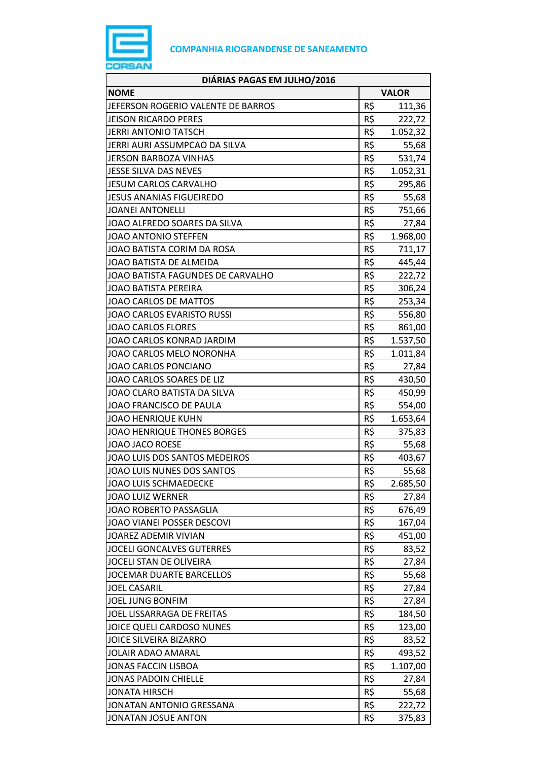

| DIÁRIAS PAGAS EM JULHO/2016        |              |          |
|------------------------------------|--------------|----------|
| <b>NOME</b>                        | <b>VALOR</b> |          |
| JEFERSON ROGERIO VALENTE DE BARROS | R\$          | 111,36   |
| <b>JEISON RICARDO PERES</b>        | R\$          | 222,72   |
| <b>JERRI ANTONIO TATSCH</b>        | R\$          | 1.052,32 |
| JERRI AURI ASSUMPCAO DA SILVA      | R\$          | 55,68    |
| <b>JERSON BARBOZA VINHAS</b>       | R\$          | 531,74   |
| <b>JESSE SILVA DAS NEVES</b>       | R\$          | 1.052,31 |
| <b>JESUM CARLOS CARVALHO</b>       | R\$          | 295,86   |
| JESUS ANANIAS FIGUEIREDO           | R\$          | 55,68    |
| <b>JOANEI ANTONELLI</b>            | R\$          | 751,66   |
| JOAO ALFREDO SOARES DA SILVA       | R\$          | 27,84    |
| <b>JOAO ANTONIO STEFFEN</b>        | R\$          | 1.968,00 |
| JOAO BATISTA CORIM DA ROSA         | R\$          | 711,17   |
| JOAO BATISTA DE ALMEIDA            | R\$          | 445,44   |
| JOAO BATISTA FAGUNDES DE CARVALHO  | R\$          | 222,72   |
| <b>JOAO BATISTA PEREIRA</b>        | R\$          | 306,24   |
| <b>JOAO CARLOS DE MATTOS</b>       | R\$          | 253,34   |
| JOAO CARLOS EVARISTO RUSSI         | R\$          | 556,80   |
| <b>JOAO CARLOS FLORES</b>          | R\$          | 861,00   |
| JOAO CARLOS KONRAD JARDIM          | R\$          | 1.537,50 |
| JOAO CARLOS MELO NORONHA           | R\$          | 1.011,84 |
| JOAO CARLOS PONCIANO               | R\$          | 27,84    |
| JOAO CARLOS SOARES DE LIZ          | R\$          | 430,50   |
| JOAO CLARO BATISTA DA SILVA        | R\$          | 450,99   |
| JOAO FRANCISCO DE PAULA            | R\$          | 554,00   |
| <b>JOAO HENRIQUE KUHN</b>          | R\$          | 1.653,64 |
| JOAO HENRIQUE THONES BORGES        | R\$          | 375,83   |
| JOAO JACO ROESE                    | R\$          | 55,68    |
| JOAO LUIS DOS SANTOS MEDEIROS      | R\$          | 403,67   |
| JOAO LUIS NUNES DOS SANTOS         | R\$          | 55,68    |
| JOAO LUIS SCHMAEDECKE              | R\$          | 2.685,50 |
| <b>JOAO LUIZ WERNER</b>            | R\$          | 27,84    |
| JOAO ROBERTO PASSAGLIA             | R\$          | 676,49   |
| JOAO VIANEI POSSER DESCOVI         | R\$          | 167,04   |
| JOAREZ ADEMIR VIVIAN               | R\$          | 451,00   |
| <b>JOCELI GONCALVES GUTERRES</b>   | R\$          | 83,52    |
| JOCELI STAN DE OLIVEIRA            | R\$          | 27,84    |
| <b>JOCEMAR DUARTE BARCELLOS</b>    | R\$          | 55,68    |
| <b>JOEL CASARIL</b>                | R\$          | 27,84    |
| <b>JOEL JUNG BONFIM</b>            | R\$          | 27,84    |
| JOEL LISSARRAGA DE FREITAS         | R\$          | 184,50   |
| JOICE QUELI CARDOSO NUNES          | R\$          | 123,00   |
| <b>JOICE SILVEIRA BIZARRO</b>      | R\$          | 83,52    |
| JOLAIR ADAO AMARAL                 | R\$          | 493,52   |
| <b>JONAS FACCIN LISBOA</b>         | R\$          | 1.107,00 |
| <b>JONAS PADOIN CHIELLE</b>        | R\$          | 27,84    |
| <b>JONATA HIRSCH</b>               | R\$          | 55,68    |
| JONATAN ANTONIO GRESSANA           | R\$          | 222,72   |
| <b>JONATAN JOSUE ANTON</b>         | R\$          | 375,83   |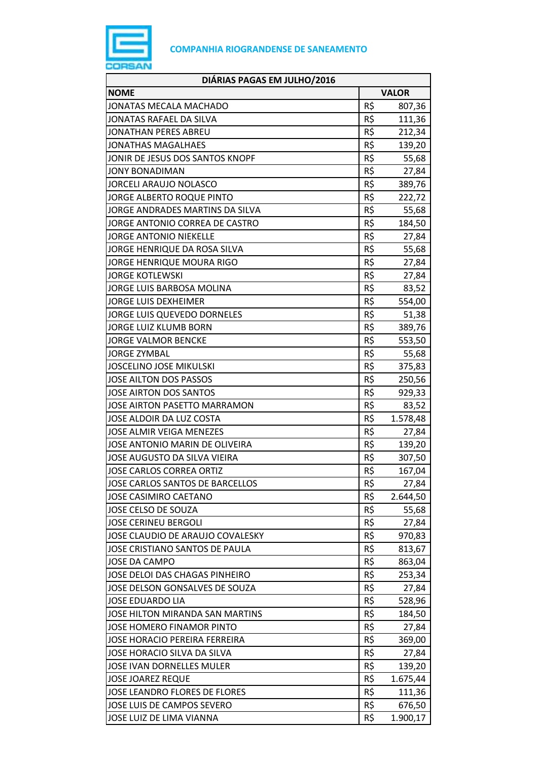

| DIÁRIAS PAGAS EM JULHO/2016          |     |              |
|--------------------------------------|-----|--------------|
| <b>NOME</b>                          |     | <b>VALOR</b> |
| JONATAS MECALA MACHADO               | R\$ | 807,36       |
| JONATAS RAFAEL DA SILVA              | R\$ | 111,36       |
| JONATHAN PERES ABREU                 | R\$ | 212,34       |
| <b>JONATHAS MAGALHAES</b>            | R\$ | 139,20       |
| JONIR DE JESUS DOS SANTOS KNOPF      | R\$ | 55,68        |
| <b>JONY BONADIMAN</b>                | R\$ | 27,84        |
| <b>JORCELI ARAUJO NOLASCO</b>        | R\$ | 389,76       |
| JORGE ALBERTO ROQUE PINTO            | R\$ | 222,72       |
| JORGE ANDRADES MARTINS DA SILVA      | R\$ | 55,68        |
| JORGE ANTONIO CORREA DE CASTRO       | R\$ | 184,50       |
| <b>JORGE ANTONIO NIEKELLE</b>        | R\$ | 27,84        |
| JORGE HENRIQUE DA ROSA SILVA         | R\$ | 55,68        |
| <b>JORGE HENRIQUE MOURA RIGO</b>     | R\$ | 27,84        |
| <b>JORGE KOTLEWSKI</b>               | R\$ | 27,84        |
| JORGE LUIS BARBOSA MOLINA            | R\$ | 83,52        |
| <b>JORGE LUIS DEXHEIMER</b>          | R\$ | 554,00       |
| <b>JORGE LUIS QUEVEDO DORNELES</b>   | R\$ | 51,38        |
| <b>JORGE LUIZ KLUMB BORN</b>         | R\$ | 389,76       |
| <b>JORGE VALMOR BENCKE</b>           | R\$ | 553,50       |
| <b>JORGE ZYMBAL</b>                  | R\$ | 55,68        |
| <b>JOSCELINO JOSE MIKULSKI</b>       | R\$ | 375,83       |
| JOSE AILTON DOS PASSOS               | R\$ | 250,56       |
| <b>JOSE AIRTON DOS SANTOS</b>        | R\$ | 929,33       |
| <b>JOSE AIRTON PASETTO MARRAMON</b>  | R\$ | 83,52        |
| JOSE ALDOIR DA LUZ COSTA             | R\$ | 1.578,48     |
| JOSE ALMIR VEIGA MENEZES             | R\$ | 27,84        |
| JOSE ANTONIO MARIN DE OLIVEIRA       | R\$ | 139,20       |
| JOSE AUGUSTO DA SILVA VIEIRA         | R\$ | 307,50       |
| JOSE CARLOS CORREA ORTIZ             | R\$ | 167,04       |
| JOSE CARLOS SANTOS DE BARCELLOS      | R\$ | 27,84        |
| <b>JOSE CASIMIRO CAETANO</b>         | R\$ | 2.644,50     |
| JOSE CELSO DE SOUZA                  | R\$ | 55,68        |
| <b>JOSE CERINEU BERGOLI</b>          | R\$ | 27,84        |
| JOSE CLAUDIO DE ARAUJO COVALESKY     | R\$ | 970,83       |
| JOSE CRISTIANO SANTOS DE PAULA       | R\$ | 813,67       |
| <b>JOSE DA CAMPO</b>                 | R\$ | 863,04       |
| JOSE DELOI DAS CHAGAS PINHEIRO       | R\$ | 253,34       |
| JOSE DELSON GONSALVES DE SOUZA       | R\$ | 27,84        |
| <b>JOSE EDUARDO LIA</b>              | R\$ | 528,96       |
| JOSE HILTON MIRANDA SAN MARTINS      | R\$ | 184,50       |
| JOSE HOMERO FINAMOR PINTO            | R\$ | 27,84        |
| <b>JOSE HORACIO PEREIRA FERREIRA</b> | R\$ | 369,00       |
| JOSE HORACIO SILVA DA SILVA          | R\$ | 27,84        |
| <b>JOSE IVAN DORNELLES MULER</b>     | R\$ | 139,20       |
| <b>JOSE JOAREZ REQUE</b>             | R\$ | 1.675,44     |
| JOSE LEANDRO FLORES DE FLORES        | R\$ | 111,36       |
| JOSE LUIS DE CAMPOS SEVERO           | R\$ | 676,50       |
| JOSE LUIZ DE LIMA VIANNA             | R\$ | 1.900,17     |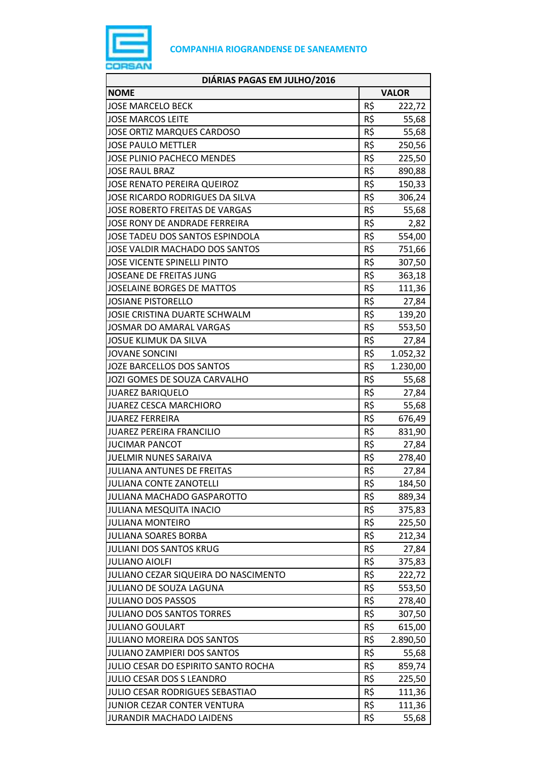

| DIÁRIAS PAGAS EM JULHO/2016            |     |              |
|----------------------------------------|-----|--------------|
| <b>NOME</b>                            |     | <b>VALOR</b> |
| <b>JOSE MARCELO BECK</b>               | R\$ | 222,72       |
| <b>JOSE MARCOS LEITE</b>               | R\$ | 55,68        |
| <b>JOSE ORTIZ MARQUES CARDOSO</b>      | R\$ | 55,68        |
| <b>JOSE PAULO METTLER</b>              | R\$ | 250,56       |
| <b>JOSE PLINIO PACHECO MENDES</b>      | R\$ | 225,50       |
| <b>JOSE RAUL BRAZ</b>                  | R\$ | 890,88       |
| <b>JOSE RENATO PEREIRA QUEIROZ</b>     | R\$ | 150,33       |
| JOSE RICARDO RODRIGUES DA SILVA        | R\$ | 306,24       |
| <b>JOSE ROBERTO FREITAS DE VARGAS</b>  | R\$ | 55,68        |
| JOSE RONY DE ANDRADE FERREIRA          | R\$ | 2,82         |
| JOSE TADEU DOS SANTOS ESPINDOLA        | R\$ | 554,00       |
| JOSE VALDIR MACHADO DOS SANTOS         | R\$ | 751,66       |
| <b>JOSE VICENTE SPINELLI PINTO</b>     | R\$ | 307,50       |
| JOSEANE DE FREITAS JUNG                | R\$ | 363,18       |
| <b>JOSELAINE BORGES DE MATTOS</b>      | R\$ | 111,36       |
| <b>JOSIANE PISTORELLO</b>              | R\$ | 27,84        |
| JOSIE CRISTINA DUARTE SCHWALM          | R\$ | 139,20       |
| JOSMAR DO AMARAL VARGAS                | R\$ | 553,50       |
| <b>JOSUE KLIMUK DA SILVA</b>           | R\$ | 27,84        |
| <b>JOVANE SONCINI</b>                  | R\$ | 1.052,32     |
| JOZE BARCELLOS DOS SANTOS              | R\$ | 1.230,00     |
| JOZI GOMES DE SOUZA CARVALHO           | R\$ | 55,68        |
| <b>JUAREZ BARIQUELO</b>                | R\$ | 27,84        |
| <b>JUAREZ CESCA MARCHIORO</b>          | R\$ | 55,68        |
| <b>JUAREZ FERREIRA</b>                 | R\$ | 676,49       |
| <b>JUAREZ PEREIRA FRANCILIO</b>        | R\$ | 831,90       |
| <b>JUCIMAR PANCOT</b>                  | R\$ | 27,84        |
| <b>JUELMIR NUNES SARAIVA</b>           | R\$ | 278,40       |
| JULIANA ANTUNES DE FREITAS             | R\$ | 27,84        |
| <b>JULIANA CONTE ZANOTELLI</b>         | R\$ | 184,50       |
| <b>JULIANA MACHADO GASPAROTTO</b>      | R\$ | 889,34       |
| <b>JULIANA MESQUITA INACIO</b>         | R\$ | 375,83       |
| <b>JULIANA MONTEIRO</b>                | R\$ | 225,50       |
| <b>JULIANA SOARES BORBA</b>            | R\$ | 212,34       |
| <b>JULIANI DOS SANTOS KRUG</b>         | R\$ | 27,84        |
| <b>JULIANO AIOLFI</b>                  | R\$ | 375,83       |
| JULIANO CEZAR SIQUEIRA DO NASCIMENTO   | R\$ | 222,72       |
| JULIANO DE SOUZA LAGUNA                | R\$ | 553,50       |
| <b>JULIANO DOS PASSOS</b>              | R\$ | 278,40       |
| <b>JULIANO DOS SANTOS TORRES</b>       | R\$ | 307,50       |
| <b>JULIANO GOULART</b>                 | R\$ | 615,00       |
| <b>JULIANO MOREIRA DOS SANTOS</b>      | R\$ | 2.890,50     |
| <b>JULIANO ZAMPIERI DOS SANTOS</b>     | R\$ | 55,68        |
| JULIO CESAR DO ESPIRITO SANTO ROCHA    | R\$ | 859,74       |
| JULIO CESAR DOS S LEANDRO              | R\$ | 225,50       |
| <b>JULIO CESAR RODRIGUES SEBASTIAO</b> | R\$ | 111,36       |
| JUNIOR CEZAR CONTER VENTURA            | R\$ | 111,36       |
| <b>JURANDIR MACHADO LAIDENS</b>        | R\$ | 55,68        |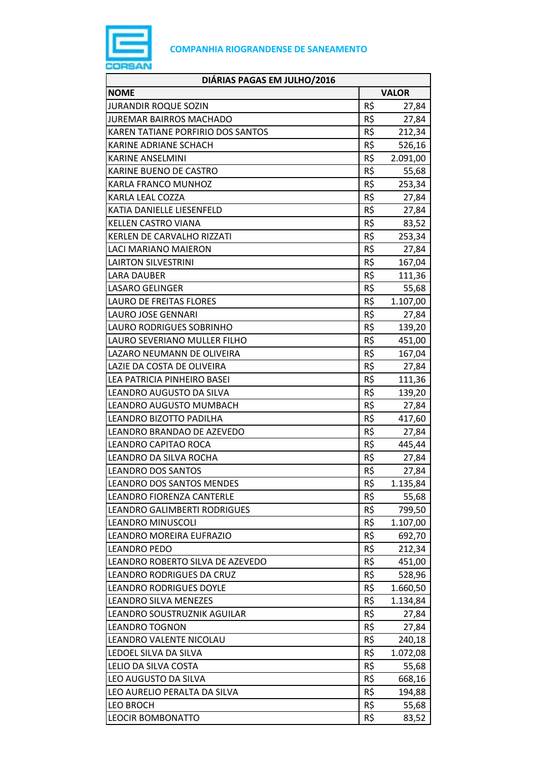

| DIÁRIAS PAGAS EM JULHO/2016       |              |          |
|-----------------------------------|--------------|----------|
| <b>NOME</b>                       | <b>VALOR</b> |          |
| <b>JURANDIR ROQUE SOZIN</b>       | R\$          | 27,84    |
| <b>JUREMAR BAIRROS MACHADO</b>    | R\$          | 27,84    |
| KAREN TATIANE PORFIRIO DOS SANTOS | R\$          | 212,34   |
| KARINE ADRIANE SCHACH             | R\$          | 526,16   |
| KARINE ANSELMINI                  | R\$          | 2.091,00 |
| KARINE BUENO DE CASTRO            | R\$          | 55,68    |
| KARLA FRANCO MUNHOZ               | R\$          | 253,34   |
| <b>KARLA LEAL COZZA</b>           | R\$          | 27,84    |
| KATIA DANIELLE LIESENFELD         | R\$          | 27,84    |
| <b>KELLEN CASTRO VIANA</b>        | R\$          | 83,52    |
| KERLEN DE CARVALHO RIZZATI        | R\$          | 253,34   |
| LACI MARIANO MAIERON              | R\$          | 27,84    |
| <b>LAIRTON SILVESTRINI</b>        | R\$          | 167,04   |
| <b>LARA DAUBER</b>                | R\$          | 111,36   |
| <b>LASARO GELINGER</b>            | R\$          | 55,68    |
| LAURO DE FREITAS FLORES           | R\$          | 1.107,00 |
| <b>LAURO JOSE GENNARI</b>         | R\$          | 27,84    |
| LAURO RODRIGUES SOBRINHO          | R\$          | 139,20   |
| LAURO SEVERIANO MULLER FILHO      | R\$          | 451,00   |
| LAZARO NEUMANN DE OLIVEIRA        | R\$          | 167,04   |
| LAZIE DA COSTA DE OLIVEIRA        | R\$          | 27,84    |
| LEA PATRICIA PINHEIRO BASEI       | R\$          | 111,36   |
| LEANDRO AUGUSTO DA SILVA          | R\$          | 139,20   |
| LEANDRO AUGUSTO MUMBACH           | R\$          | 27,84    |
| LEANDRO BIZOTTO PADILHA           | R\$          | 417,60   |
| LEANDRO BRANDAO DE AZEVEDO        | R\$          | 27,84    |
| LEANDRO CAPITAO ROCA              | R\$          | 445,44   |
| LEANDRO DA SILVA ROCHA            | R\$          | 27,84    |
| <b>LEANDRO DOS SANTOS</b>         | R\$          | 27,84    |
| <b>LEANDRO DOS SANTOS MENDES</b>  | R\$          | 1.135,84 |
| <b>LEANDRO FIORENZA CANTERLE</b>  | R\$          | 55,68    |
| LEANDRO GALIMBERTI RODRIGUES      | R\$          | 799,50   |
| <b>LEANDRO MINUSCOLI</b>          | R\$          | 1.107,00 |
| LEANDRO MOREIRA EUFRAZIO          | R\$          | 692,70   |
| <b>LEANDRO PEDO</b>               | R\$          | 212,34   |
| LEANDRO ROBERTO SILVA DE AZEVEDO  | R\$          | 451,00   |
| LEANDRO RODRIGUES DA CRUZ         | R\$          | 528,96   |
| <b>LEANDRO RODRIGUES DOYLE</b>    | R\$          | 1.660,50 |
| <b>LEANDRO SILVA MENEZES</b>      | R\$          | 1.134,84 |
| LEANDRO SOUSTRUZNIK AGUILAR       | R\$          | 27,84    |
| <b>LEANDRO TOGNON</b>             | R\$          | 27,84    |
| LEANDRO VALENTE NICOLAU           | R\$          | 240,18   |
| LEDOEL SILVA DA SILVA             | R\$          | 1.072,08 |
| LELIO DA SILVA COSTA              | R\$          | 55,68    |
| LEO AUGUSTO DA SILVA              | R\$          | 668,16   |
| LEO AURELIO PERALTA DA SILVA      | R\$          | 194,88   |
| <b>LEO BROCH</b>                  | R\$          | 55,68    |
| <b>LEOCIR BOMBONATTO</b>          | R\$          | 83,52    |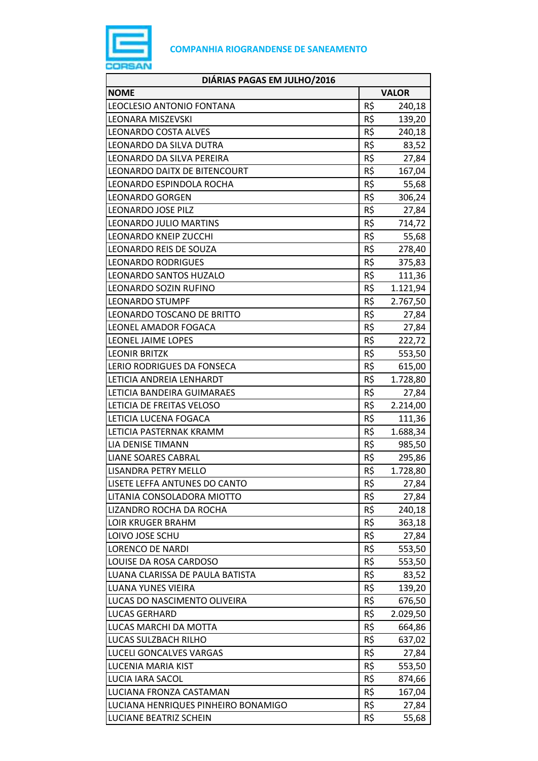

| DIÁRIAS PAGAS EM JULHO/2016         |     |              |
|-------------------------------------|-----|--------------|
| <b>NOME</b>                         |     | <b>VALOR</b> |
| <b>LEOCLESIO ANTONIO FONTANA</b>    | R\$ | 240,18       |
| <b>LEONARA MISZEVSKI</b>            | R\$ | 139,20       |
| LEONARDO COSTA ALVES                | R\$ | 240,18       |
| LEONARDO DA SILVA DUTRA             | R\$ | 83,52        |
| LEONARDO DA SILVA PEREIRA           | R\$ | 27,84        |
| LEONARDO DAITX DE BITENCOURT        | R\$ | 167,04       |
| LEONARDO ESPINDOLA ROCHA            | R\$ | 55,68        |
| <b>LEONARDO GORGEN</b>              | R\$ | 306,24       |
| LEONARDO JOSE PILZ                  | R\$ | 27,84        |
| LEONARDO JULIO MARTINS              | R\$ | 714,72       |
| <b>LEONARDO KNEIP ZUCCHI</b>        | R\$ | 55,68        |
| LEONARDO REIS DE SOUZA              | R\$ | 278,40       |
| <b>LEONARDO RODRIGUES</b>           | R\$ | 375,83       |
| LEONARDO SANTOS HUZALO              | R\$ | 111,36       |
| LEONARDO SOZIN RUFINO               | R\$ | 1.121,94     |
| <b>LEONARDO STUMPF</b>              | R\$ | 2.767,50     |
| LEONARDO TOSCANO DE BRITTO          | R\$ | 27,84        |
| LEONEL AMADOR FOGACA                | R\$ | 27,84        |
| LEONEL JAIME LOPES                  | R\$ | 222,72       |
| <b>LEONIR BRITZK</b>                | R\$ | 553,50       |
| LERIO RODRIGUES DA FONSECA          | R\$ | 615,00       |
| LETICIA ANDREIA LENHARDT            | R\$ | 1.728,80     |
| LETICIA BANDEIRA GUIMARAES          | R\$ | 27,84        |
| LETICIA DE FREITAS VELOSO           | R\$ | 2.214,00     |
| LETICIA LUCENA FOGACA               | R\$ | 111,36       |
| LETICIA PASTERNAK KRAMM             | R\$ | 1.688,34     |
| LIA DENISE TIMANN                   | R\$ | 985,50       |
| <b>LIANE SOARES CABRAL</b>          | R\$ | 295,86       |
| LISANDRA PETRY MELLO                | R\$ | 1.728,80     |
| LISETE LEFFA ANTUNES DO CANTO       | R\$ | 27,84        |
| LITANIA CONSOLADORA MIOTTO          | R\$ | 27,84        |
| LIZANDRO ROCHA DA ROCHA             | R\$ | 240,18       |
| <b>LOIR KRUGER BRAHM</b>            | R\$ | 363,18       |
| LOIVO JOSE SCHU                     | R\$ | 27,84        |
| <b>LORENCO DE NARDI</b>             | R\$ | 553,50       |
| LOUISE DA ROSA CARDOSO              | R\$ | 553,50       |
| LUANA CLARISSA DE PAULA BATISTA     | R\$ | 83,52        |
| LUANA YUNES VIEIRA                  | R\$ | 139,20       |
| LUCAS DO NASCIMENTO OLIVEIRA        | R\$ | 676,50       |
| <b>LUCAS GERHARD</b>                | R\$ | 2.029,50     |
| LUCAS MARCHI DA MOTTA               | R\$ | 664,86       |
| LUCAS SULZBACH RILHO                | R\$ | 637,02       |
| LUCELI GONCALVES VARGAS             | R\$ | 27,84        |
| LUCENIA MARIA KIST                  | R\$ | 553,50       |
| LUCIA IARA SACOL                    | R\$ | 874,66       |
| LUCIANA FRONZA CASTAMAN             | R\$ | 167,04       |
| LUCIANA HENRIQUES PINHEIRO BONAMIGO | R\$ | 27,84        |
| LUCIANE BEATRIZ SCHEIN              | R\$ | 55,68        |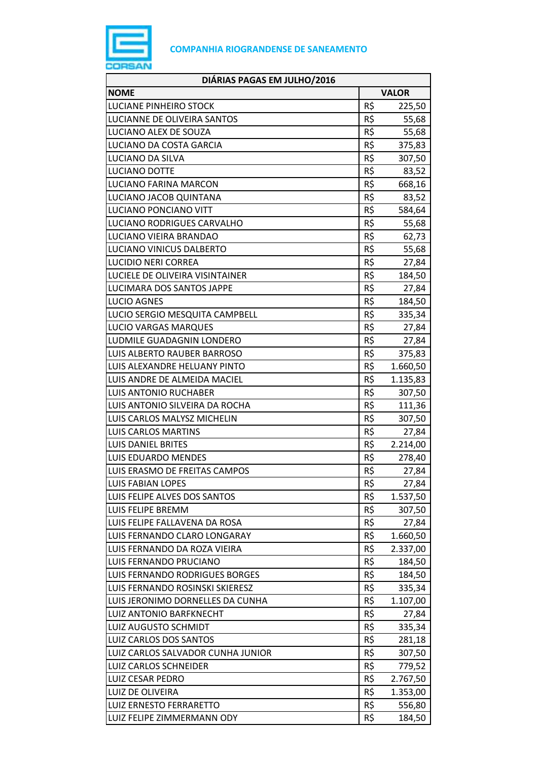

| DIÁRIAS PAGAS EM JULHO/2016       |              |          |
|-----------------------------------|--------------|----------|
| <b>NOME</b>                       | <b>VALOR</b> |          |
| LUCIANE PINHEIRO STOCK            | R\$          | 225,50   |
| LUCIANNE DE OLIVEIRA SANTOS       | R\$          | 55,68    |
| LUCIANO ALEX DE SOUZA             | R\$          | 55,68    |
| LUCIANO DA COSTA GARCIA           | R\$          | 375,83   |
| LUCIANO DA SILVA                  | R\$          | 307,50   |
| LUCIANO DOTTE                     | R\$          | 83,52    |
| <b>LUCIANO FARINA MARCON</b>      | R\$          | 668,16   |
| LUCIANO JACOB QUINTANA            | R\$          | 83,52    |
| LUCIANO PONCIANO VITT             | R\$          | 584,64   |
| LUCIANO RODRIGUES CARVALHO        | R\$          | 55,68    |
| LUCIANO VIEIRA BRANDAO            | R\$          | 62,73    |
| LUCIANO VINICUS DALBERTO          | R\$          | 55,68    |
| <b>LUCIDIO NERI CORREA</b>        | R\$          | 27,84    |
| LUCIELE DE OLIVEIRA VISINTAINER   | R\$          | 184,50   |
| LUCIMARA DOS SANTOS JAPPE         | R\$          | 27,84    |
| <b>LUCIO AGNES</b>                | R\$          | 184,50   |
| LUCIO SERGIO MESQUITA CAMPBELL    | R\$          | 335,34   |
| <b>LUCIO VARGAS MARQUES</b>       | R\$          | 27,84    |
| LUDMILE GUADAGNIN LONDERO         | R\$          | 27,84    |
| LUIS ALBERTO RAUBER BARROSO       | R\$          | 375,83   |
| LUIS ALEXANDRE HELUANY PINTO      | R\$          | 1.660,50 |
| LUIS ANDRE DE ALMEIDA MACIEL      | R\$          | 1.135,83 |
| <b>LUIS ANTONIO RUCHABER</b>      | R\$          | 307,50   |
| LUIS ANTONIO SILVEIRA DA ROCHA    | R\$          | 111,36   |
| LUIS CARLOS MALYSZ MICHELIN       | R\$          | 307,50   |
| <b>LUIS CARLOS MARTINS</b>        | R\$          | 27,84    |
| <b>LUIS DANIEL BRITES</b>         | R\$          | 2.214,00 |
| LUIS EDUARDO MENDES               | R\$          | 278,40   |
| LUIS ERASMO DE FREITAS CAMPOS     | R\$          | 27,84    |
| <b>LUIS FABIAN LOPES</b>          | R\$          | 27,84    |
| LUIS FELIPE ALVES DOS SANTOS      | R\$          | 1.537,50 |
| LUIS FELIPE BREMM                 | R\$          | 307,50   |
| LUIS FELIPE FALLAVENA DA ROSA     | R\$          | 27,84    |
| LUIS FERNANDO CLARO LONGARAY      | R\$          | 1.660,50 |
| LUIS FERNANDO DA ROZA VIEIRA      | R\$          | 2.337,00 |
| LUIS FERNANDO PRUCIANO            | R\$          | 184,50   |
| LUIS FERNANDO RODRIGUES BORGES    | R\$          | 184,50   |
| LUIS FERNANDO ROSINSKI SKIERESZ   | R\$          | 335,34   |
| LUIS JERONIMO DORNELLES DA CUNHA  | R\$          | 1.107,00 |
| LUIZ ANTONIO BARFKNECHT           | R\$          | 27,84    |
| LUIZ AUGUSTO SCHMIDT              | R\$          | 335,34   |
| LUIZ CARLOS DOS SANTOS            | R\$          | 281,18   |
| LUIZ CARLOS SALVADOR CUNHA JUNIOR | R\$          | 307,50   |
| <b>LUIZ CARLOS SCHNEIDER</b>      | R\$          | 779,52   |
| LUIZ CESAR PEDRO                  | R\$          | 2.767,50 |
| LUIZ DE OLIVEIRA                  | R\$          | 1.353,00 |
| <b>LUIZ ERNESTO FERRARETTO</b>    | R\$          | 556,80   |
| LUIZ FELIPE ZIMMERMANN ODY        | R\$          | 184,50   |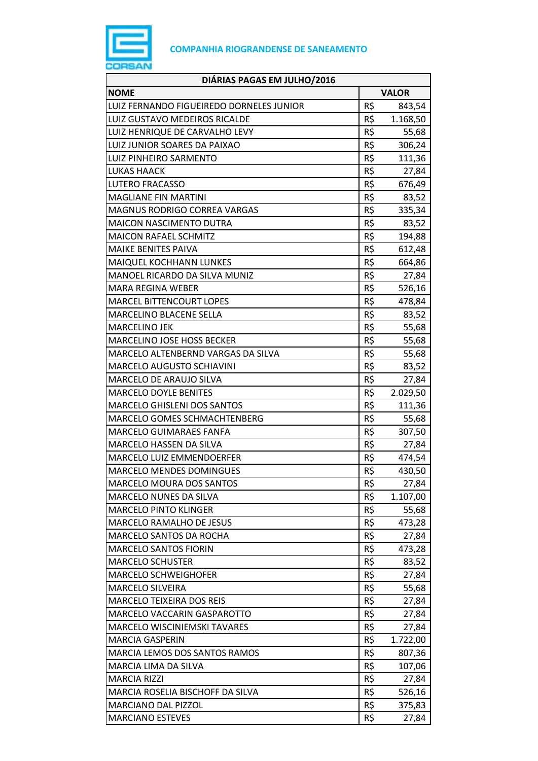

| DIÁRIAS PAGAS EM JULHO/2016              |              |          |
|------------------------------------------|--------------|----------|
| <b>NOME</b>                              | <b>VALOR</b> |          |
| LUIZ FERNANDO FIGUEIREDO DORNELES JUNIOR | R\$          | 843,54   |
| LUIZ GUSTAVO MEDEIROS RICALDE            | R\$          | 1.168,50 |
| LUIZ HENRIQUE DE CARVALHO LEVY           | R\$          | 55,68    |
| LUIZ JUNIOR SOARES DA PAIXAO             | R\$          | 306,24   |
| LUIZ PINHEIRO SARMENTO                   | R\$          | 111,36   |
| LUKAS HAACK                              | R\$          | 27,84    |
| <b>LUTERO FRACASSO</b>                   | R\$          | 676,49   |
| <b>MAGLIANE FIN MARTINI</b>              | R\$          | 83,52    |
| MAGNUS RODRIGO CORREA VARGAS             | R\$          | 335,34   |
| <b>MAICON NASCIMENTO DUTRA</b>           | R\$          | 83,52    |
| <b>MAICON RAFAEL SCHMITZ</b>             | R\$          | 194,88   |
| MAIKE BENITES PAIVA                      | R\$          | 612,48   |
| <b>MAIQUEL KOCHHANN LUNKES</b>           | R\$          | 664,86   |
| MANOEL RICARDO DA SILVA MUNIZ            | R\$          | 27,84    |
| <b>MARA REGINA WEBER</b>                 | R\$          | 526,16   |
| <b>MARCEL BITTENCOURT LOPES</b>          | R\$          | 478,84   |
| MARCELINO BLACENE SELLA                  | R\$          | 83,52    |
| <b>MARCELINO JEK</b>                     | R\$          | 55,68    |
| MARCELINO JOSE HOSS BECKER               | R\$          | 55,68    |
| MARCELO ALTENBERND VARGAS DA SILVA       | R\$          | 55,68    |
| <b>MARCELO AUGUSTO SCHIAVINI</b>         | R\$          | 83,52    |
| MARCELO DE ARAUJO SILVA                  | R\$          | 27,84    |
| <b>MARCELO DOYLE BENITES</b>             | R\$          | 2.029,50 |
| <b>MARCELO GHISLENI DOS SANTOS</b>       | R\$          | 111,36   |
| MARCELO GOMES SCHMACHTENBERG             | R\$          | 55,68    |
| <b>MARCELO GUIMARAES FANFA</b>           | R\$          | 307,50   |
| MARCELO HASSEN DA SILVA                  | R\$          | 27,84    |
| MARCELO LUIZ EMMENDOERFER                | R\$          | 474,54   |
| <b>MARCELO MENDES DOMINGUES</b>          | R\$          | 430,50   |
| <b>MARCELO MOURA DOS SANTOS</b>          | R\$          | 27,84    |
| <b>MARCELO NUNES DA SILVA</b>            | R\$          | 1.107,00 |
| <b>MARCELO PINTO KLINGER</b>             | R\$          | 55,68    |
| MARCELO RAMALHO DE JESUS                 | R\$          | 473,28   |
| MARCELO SANTOS DA ROCHA                  | R\$          | 27,84    |
| <b>MARCELO SANTOS FIORIN</b>             | R\$          | 473,28   |
| <b>MARCELO SCHUSTER</b>                  | R\$          | 83,52    |
| <b>MARCELO SCHWEIGHOFER</b>              | R\$          | 27,84    |
| <b>MARCELO SILVEIRA</b>                  | R\$          | 55,68    |
| <b>MARCELO TEIXEIRA DOS REIS</b>         | R\$          | 27,84    |
| MARCELO VACCARIN GASPAROTTO              | R\$          | 27,84    |
| <b>MARCELO WISCINIEMSKI TAVARES</b>      | R\$          | 27,84    |
| <b>MARCIA GASPERIN</b>                   | R\$          | 1.722,00 |
| MARCIA LEMOS DOS SANTOS RAMOS            | R\$          | 807,36   |
| MARCIA LIMA DA SILVA                     | R\$          | 107,06   |
| <b>MARCIA RIZZI</b>                      | R\$          | 27,84    |
| MARCIA ROSELIA BISCHOFF DA SILVA         | R\$          | 526,16   |
| MARCIANO DAL PIZZOL                      | R\$          | 375,83   |
| <b>MARCIANO ESTEVES</b>                  | R\$          | 27,84    |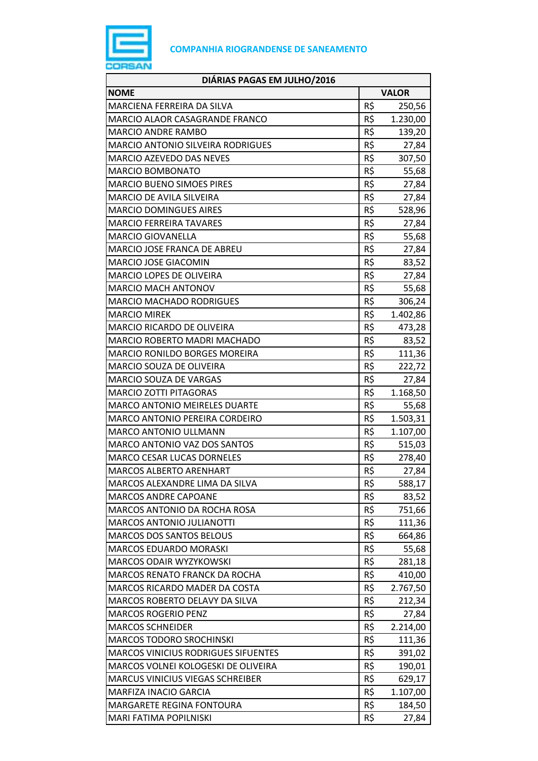

| DIÁRIAS PAGAS EM JULHO/2016                |              |          |
|--------------------------------------------|--------------|----------|
| <b>NOME</b>                                | <b>VALOR</b> |          |
| MARCIENA FERREIRA DA SILVA                 | R\$          | 250,56   |
| <b>MARCIO ALAOR CASAGRANDE FRANCO</b>      | R\$          | 1.230,00 |
| <b>MARCIO ANDRE RAMBO</b>                  | R\$          | 139,20   |
| MARCIO ANTONIO SILVEIRA RODRIGUES          | R\$          | 27,84    |
| MARCIO AZEVEDO DAS NEVES                   | R\$          | 307,50   |
| <b>MARCIO BOMBONATO</b>                    | R\$          | 55,68    |
| <b>MARCIO BUENO SIMOES PIRES</b>           | R\$          | 27,84    |
| <b>MARCIO DE AVILA SILVEIRA</b>            | R\$          | 27,84    |
| <b>MARCIO DOMINGUES AIRES</b>              | R\$          | 528,96   |
| <b>MARCIO FERREIRA TAVARES</b>             | R\$          | 27,84    |
| <b>MARCIO GIOVANELLA</b>                   | R\$          | 55,68    |
| MARCIO JOSE FRANCA DE ABREU                | R\$          | 27,84    |
| MARCIO JOSE GIACOMIN                       | R\$          | 83,52    |
| MARCIO LOPES DE OLIVEIRA                   | R\$          | 27,84    |
| <b>MARCIO MACH ANTONOV</b>                 | R\$          | 55,68    |
| <b>MARCIO MACHADO RODRIGUES</b>            | R\$          | 306,24   |
| <b>MARCIO MIREK</b>                        | R\$          | 1.402,86 |
| MARCIO RICARDO DE OLIVEIRA                 | R\$          | 473,28   |
| MARCIO ROBERTO MADRI MACHADO               | R\$          | 83,52    |
| MARCIO RONILDO BORGES MOREIRA              | R\$          | 111,36   |
| MARCIO SOUZA DE OLIVEIRA                   | R\$          | 222,72   |
| MARCIO SOUZA DE VARGAS                     | R\$          | 27,84    |
| <b>MARCIO ZOTTI PITAGORAS</b>              | R\$          | 1.168,50 |
| MARCO ANTONIO MEIRELES DUARTE              | R\$          | 55,68    |
| MARCO ANTONIO PEREIRA CORDEIRO             | R\$          | 1.503,31 |
| <b>MARCO ANTONIO ULLMANN</b>               | R\$          | 1.107,00 |
| MARCO ANTONIO VAZ DOS SANTOS               | R\$          | 515,03   |
| <b>MARCO CESAR LUCAS DORNELES</b>          | R\$          | 278,40   |
| <b>MARCOS ALBERTO ARENHART</b>             | R\$          | 27,84    |
| MARCOS ALEXANDRE LIMA DA SILVA             | R\$          | 588,17   |
| <b>MARCOS ANDRE CAPOANE</b>                | R\$          | 83,52    |
| MARCOS ANTONIO DA ROCHA ROSA               | R\$          | 751,66   |
| <b>MARCOS ANTONIO JULIANOTTI</b>           | R\$          | 111,36   |
| <b>MARCOS DOS SANTOS BELOUS</b>            | R\$          | 664,86   |
| <b>MARCOS EDUARDO MORASKI</b>              | R\$          | 55,68    |
| <b>MARCOS ODAIR WYZYKOWSKI</b>             | R\$          | 281,18   |
| MARCOS RENATO FRANCK DA ROCHA              | R\$          | 410,00   |
| MARCOS RICARDO MADER DA COSTA              | R\$          | 2.767,50 |
| MARCOS ROBERTO DELAVY DA SILVA             | R\$          | 212,34   |
| <b>MARCOS ROGERIO PENZ</b>                 | R\$          | 27,84    |
| <b>MARCOS SCHNEIDER</b>                    | R\$          | 2.214,00 |
| <b>MARCOS TODORO SROCHINSKI</b>            | R\$          | 111,36   |
| <b>MARCOS VINICIUS RODRIGUES SIFUENTES</b> | R\$          | 391,02   |
| MARCOS VOLNEI KOLOGESKI DE OLIVEIRA        | R\$          | 190,01   |
| <b>MARCUS VINICIUS VIEGAS SCHREIBER</b>    | R\$          | 629,17   |
| MARFIZA INACIO GARCIA                      | R\$          | 1.107,00 |
| MARGARETE REGINA FONTOURA                  | R\$          | 184,50   |
| MARI FATIMA POPILNISKI                     | R\$          | 27,84    |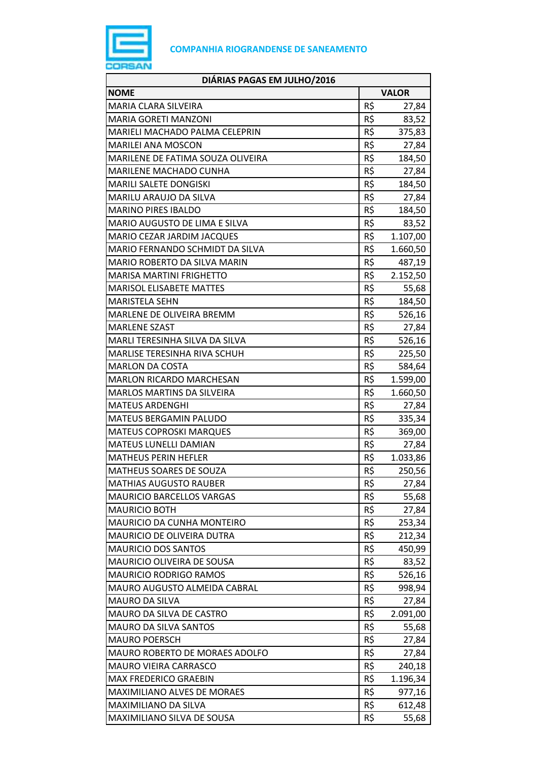

| DIÁRIAS PAGAS EM JULHO/2016           |     |              |
|---------------------------------------|-----|--------------|
| <b>NOME</b>                           |     | <b>VALOR</b> |
| MARIA CLARA SILVEIRA                  | R\$ | 27,84        |
| <b>MARIA GORETI MANZONI</b>           | R\$ | 83,52        |
| <b>MARIELI MACHADO PALMA CELEPRIN</b> | R\$ | 375,83       |
| <b>MARILEI ANA MOSCON</b>             | R\$ | 27,84        |
| MARILENE DE FATIMA SOUZA OLIVEIRA     | R\$ | 184,50       |
| <b>MARILENE MACHADO CUNHA</b>         | R\$ | 27,84        |
| MARILI SALETE DONGISKI                | R\$ | 184,50       |
| <b>MARILU ARAUJO DA SILVA</b>         | R\$ | 27,84        |
| <b>MARINO PIRES IBALDO</b>            | R\$ | 184,50       |
| MARIO AUGUSTO DE LIMA E SILVA         | R\$ | 83,52        |
| MARIO CEZAR JARDIM JACQUES            | R\$ | 1.107,00     |
| MARIO FERNANDO SCHMIDT DA SILVA       | R\$ | 1.660,50     |
| MARIO ROBERTO DA SILVA MARIN          | R\$ | 487,19       |
| <b>MARISA MARTINI FRIGHETTO</b>       | R\$ | 2.152,50     |
| <b>MARISOL ELISABETE MATTES</b>       | R\$ | 55,68        |
| <b>MARISTELA SEHN</b>                 | R\$ | 184,50       |
| MARLENE DE OLIVEIRA BREMM             | R\$ | 526,16       |
| <b>MARLENE SZAST</b>                  | R\$ | 27,84        |
| MARLI TERESINHA SILVA DA SILVA        | R\$ | 526,16       |
| MARLISE TERESINHA RIVA SCHUH          | R\$ | 225,50       |
| <b>MARLON DA COSTA</b>                | R\$ | 584,64       |
| <b>MARLON RICARDO MARCHESAN</b>       | R\$ | 1.599,00     |
| <b>MARLOS MARTINS DA SILVEIRA</b>     | R\$ | 1.660,50     |
| <b>MATEUS ARDENGHI</b>                | R\$ | 27,84        |
| MATEUS BERGAMIN PALUDO                | R\$ | 335,34       |
| <b>MATEUS COPROSKI MARQUES</b>        | R\$ | 369,00       |
| MATEUS LUNELLI DAMIAN                 | R\$ | 27,84        |
| <b>MATHEUS PERIN HEFLER</b>           | R\$ | 1.033,86     |
| MATHEUS SOARES DE SOUZA               | R\$ | 250,56       |
| <b>MATHIAS AUGUSTO RAUBER</b>         | R\$ | 27,84        |
| <b>MAURICIO BARCELLOS VARGAS</b>      | R\$ | 55,68        |
| <b>MAURICIO BOTH</b>                  | R\$ | 27,84        |
| MAURICIO DA CUNHA MONTEIRO            | R\$ | 253,34       |
| MAURICIO DE OLIVEIRA DUTRA            | R\$ | 212,34       |
| <b>MAURICIO DOS SANTOS</b>            | R\$ | 450,99       |
| <b>MAURICIO OLIVEIRA DE SOUSA</b>     | R\$ | 83,52        |
| <b>MAURICIO RODRIGO RAMOS</b>         | R\$ | 526,16       |
| MAURO AUGUSTO ALMEIDA CABRAL          | R\$ | 998,94       |
| <b>MAURO DA SILVA</b>                 | R\$ | 27,84        |
| MAURO DA SILVA DE CASTRO              | R\$ | 2.091,00     |
| MAURO DA SILVA SANTOS                 | R\$ | 55,68        |
| <b>MAURO POERSCH</b>                  | R\$ | 27,84        |
| <b>MAURO ROBERTO DE MORAES ADOLFO</b> | R\$ | 27,84        |
| <b>MAURO VIEIRA CARRASCO</b>          | R\$ | 240,18       |
| <b>MAX FREDERICO GRAEBIN</b>          | R\$ | 1.196,34     |
| MAXIMILIANO ALVES DE MORAES           | R\$ | 977,16       |
| MAXIMILIANO DA SILVA                  | R\$ | 612,48       |
| MAXIMILIANO SILVA DE SOUSA            | R\$ | 55,68        |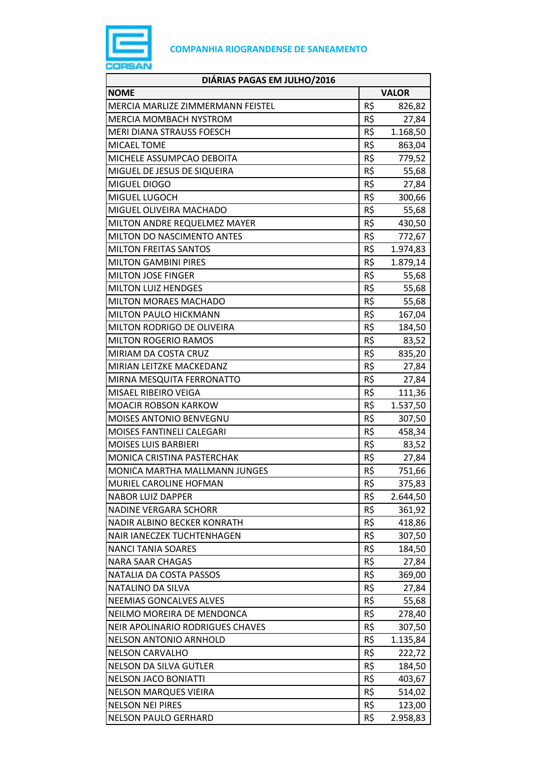

| DIÁRIAS PAGAS EM JULHO/2016             |              |          |
|-----------------------------------------|--------------|----------|
| <b>NOME</b>                             | <b>VALOR</b> |          |
| MERCIA MARLIZE ZIMMERMANN FEISTEL       | R\$          | 826,82   |
| <b>MERCIA MOMBACH NYSTROM</b>           | R\$          | 27,84    |
| MERI DIANA STRAUSS FOESCH               | R\$          | 1.168,50 |
| <b>MICAEL TOME</b>                      | R\$          | 863,04   |
| MICHELE ASSUMPCAO DEBOITA               | R\$          | 779,52   |
| MIGUEL DE JESUS DE SIQUEIRA             | R\$          | 55,68    |
| MIGUEL DIOGO                            | R\$          | 27,84    |
| MIGUEL LUGOCH                           | R\$          | 300,66   |
| MIGUEL OLIVEIRA MACHADO                 | R\$          | 55,68    |
| MILTON ANDRE REQUELMEZ MAYER            | R\$          | 430,50   |
| <b>MILTON DO NASCIMENTO ANTES</b>       | R\$          | 772,67   |
| <b>MILTON FREITAS SANTOS</b>            | R\$          | 1.974,83 |
| <b>MILTON GAMBINI PIRES</b>             | R\$          | 1.879,14 |
| <b>MILTON JOSE FINGER</b>               | R\$          | 55,68    |
| <b>MILTON LUIZ HENDGES</b>              | R\$          | 55,68    |
| <b>MILTON MORAES MACHADO</b>            | R\$          | 55,68    |
| MILTON PAULO HICKMANN                   | R\$          | 167,04   |
| MILTON RODRIGO DE OLIVEIRA              | R\$          | 184,50   |
| <b>MILTON ROGERIO RAMOS</b>             | R\$          | 83,52    |
| MIRIAM DA COSTA CRUZ                    | R\$          | 835,20   |
| MIRIAN LEITZKE MACKEDANZ                | R\$          | 27,84    |
| MIRNA MESQUITA FERRONATTO               | R\$          | 27,84    |
| MISAEL RIBEIRO VEIGA                    | R\$          | 111,36   |
| <b>MOACIR ROBSON KARKOW</b>             | R\$          | 1.537,50 |
| MOISES ANTONIO BENVEGNU                 | R\$          | 307,50   |
| MOISES FANTINELI CALEGARI               | R\$          | 458,34   |
| <b>MOISES LUIS BARBIERI</b>             | R\$          | 83,52    |
| MONICA CRISTINA PASTERCHAK              | R\$          | 27,84    |
| <b>MONICA MARTHA MALLMANN JUNGES</b>    | R\$          | 751,66   |
| MURIEL CAROLINE HOFMAN                  | R\$          | 375,83   |
| <b>NABOR LUIZ DAPPER</b>                | R\$          | 2.644,50 |
| <b>NADINE VERGARA SCHORR</b>            | R\$          | 361,92   |
| NADIR ALBINO BECKER KONRATH             | R\$          | 418,86   |
| NAIR IANECZEK TUCHTENHAGEN              | R\$          | 307,50   |
| <b>NANCI TANIA SOARES</b>               | R\$          | 184,50   |
| <b>NARA SAAR CHAGAS</b>                 | R\$          | 27,84    |
| NATALIA DA COSTA PASSOS                 | R\$          | 369,00   |
| NATALINO DA SILVA                       | R\$          | 27,84    |
| NEEMIAS GONCALVES ALVES                 | R\$          | 55,68    |
| NEILMO MOREIRA DE MENDONCA              | R\$          | 278,40   |
| <b>NEIR APOLINARIO RODRIGUES CHAVES</b> | R\$          | 307,50   |
| <b>NELSON ANTONIO ARNHOLD</b>           | R\$          | 1.135,84 |
| <b>NELSON CARVALHO</b>                  | R\$          | 222,72   |
| <b>NELSON DA SILVA GUTLER</b>           | R\$          | 184,50   |
| <b>NELSON JACO BONIATTI</b>             | R\$          | 403,67   |
| <b>NELSON MARQUES VIEIRA</b>            | R\$          | 514,02   |
| <b>NELSON NEI PIRES</b>                 | R\$          | 123,00   |
| <b>NELSON PAULO GERHARD</b>             | R\$          | 2.958,83 |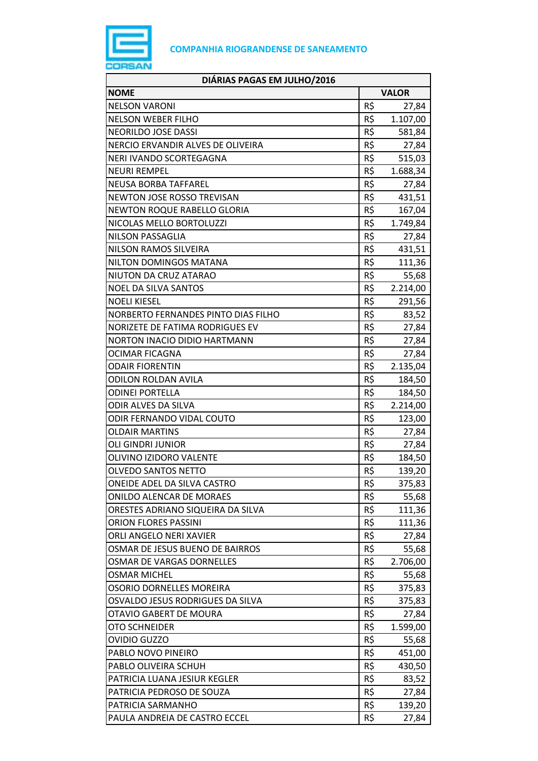

| DIÁRIAS PAGAS EM JULHO/2016         |     |              |
|-------------------------------------|-----|--------------|
| <b>NOME</b>                         |     | <b>VALOR</b> |
| <b>NELSON VARONI</b>                | R\$ | 27,84        |
| <b>NELSON WEBER FILHO</b>           | R\$ | 1.107,00     |
| NEORILDO JOSE DASSI                 | R\$ | 581,84       |
| NERCIO ERVANDIR ALVES DE OLIVEIRA   | R\$ | 27,84        |
| NERI IVANDO SCORTEGAGNA             | R\$ | 515,03       |
| <b>NEURI REMPEL</b>                 | R\$ | 1.688,34     |
| <b>NEUSA BORBA TAFFAREL</b>         | R\$ | 27,84        |
| NEWTON JOSE ROSSO TREVISAN          | R\$ | 431,51       |
| <b>NEWTON ROQUE RABELLO GLORIA</b>  | R\$ | 167,04       |
| NICOLAS MELLO BORTOLUZZI            | R\$ | 1.749,84     |
| <b>NILSON PASSAGLIA</b>             | R\$ | 27,84        |
| NILSON RAMOS SILVEIRA               | R\$ | 431,51       |
| NILTON DOMINGOS MATANA              | R\$ | 111,36       |
| NIUTON DA CRUZ ATARAO               | R\$ | 55,68        |
| <b>NOEL DA SILVA SANTOS</b>         | R\$ | 2.214,00     |
| <b>NOELI KIESEL</b>                 | R\$ | 291,56       |
| NORBERTO FERNANDES PINTO DIAS FILHO | R\$ | 83,52        |
| NORIZETE DE FATIMA RODRIGUES EV     | R\$ | 27,84        |
| NORTON INACIO DIDIO HARTMANN        | R\$ | 27,84        |
| <b>OCIMAR FICAGNA</b>               | R\$ | 27,84        |
| <b>ODAIR FIORENTIN</b>              | R\$ | 2.135,04     |
| <b>ODILON ROLDAN AVILA</b>          | R\$ | 184,50       |
| <b>ODINEI PORTELLA</b>              | R\$ | 184,50       |
| <b>ODIR ALVES DA SILVA</b>          | R\$ | 2.214,00     |
| ODIR FERNANDO VIDAL COUTO           | R\$ | 123,00       |
| <b>OLDAIR MARTINS</b>               | R\$ | 27,84        |
| <b>OLI GINDRI JUNIOR</b>            | R\$ | 27,84        |
| OLIVINO IZIDORO VALENTE             | R\$ | 184,50       |
| <b>OLVEDO SANTOS NETTO</b>          | R\$ | 139,20       |
| ONEIDE ADEL DA SILVA CASTRO         | R\$ | 375,83       |
| <b>ONILDO ALENCAR DE MORAES</b>     | R\$ | 55,68        |
| ORESTES ADRIANO SIQUEIRA DA SILVA   | R\$ | 111,36       |
| <b>ORION FLORES PASSINI</b>         | R\$ | 111,36       |
| ORLI ANGELO NERI XAVIER             | R\$ | 27,84        |
| OSMAR DE JESUS BUENO DE BAIRROS     | R\$ | 55,68        |
| <b>OSMAR DE VARGAS DORNELLES</b>    | R\$ | 2.706,00     |
| <b>OSMAR MICHEL</b>                 | R\$ | 55,68        |
| OSORIO DORNELLES MOREIRA            | R\$ | 375,83       |
| OSVALDO JESUS RODRIGUES DA SILVA    | R\$ | 375,83       |
| OTAVIO GABERT DE MOURA              | R\$ | 27,84        |
| <b>OTO SCHNEIDER</b>                | R\$ | 1.599,00     |
| <b>OVIDIO GUZZO</b>                 | R\$ | 55,68        |
| PABLO NOVO PINEIRO                  | R\$ | 451,00       |
| PABLO OLIVEIRA SCHUH                | R\$ | 430,50       |
| PATRICIA LUANA JESIUR KEGLER        | R\$ | 83,52        |
| PATRICIA PEDROSO DE SOUZA           | R\$ | 27,84        |
| PATRICIA SARMANHO                   | R\$ | 139,20       |
| PAULA ANDREIA DE CASTRO ECCEL       | R\$ | 27,84        |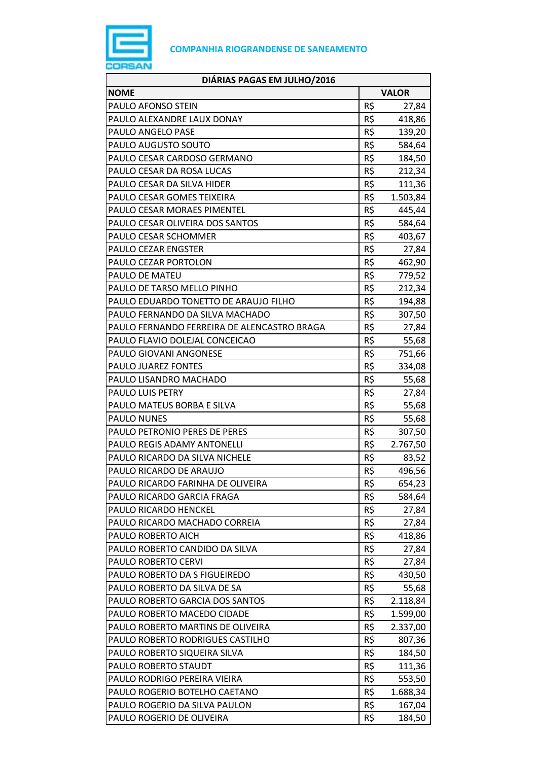

| DIÁRIAS PAGAS EM JULHO/2016                 |     |              |
|---------------------------------------------|-----|--------------|
| <b>NOME</b>                                 |     | <b>VALOR</b> |
| PAULO AFONSO STEIN                          | R\$ | 27,84        |
| PAULO ALEXANDRE LAUX DONAY                  | R\$ | 418,86       |
| PAULO ANGELO PASE                           | R\$ | 139,20       |
| PAULO AUGUSTO SOUTO                         | R\$ | 584,64       |
| PAULO CESAR CARDOSO GERMANO                 | R\$ | 184,50       |
| PAULO CESAR DA ROSA LUCAS                   | R\$ | 212,34       |
| PAULO CESAR DA SILVA HIDER                  | R\$ | 111,36       |
| PAULO CESAR GOMES TEIXEIRA                  | R\$ | 1.503,84     |
| PAULO CESAR MORAES PIMENTEL                 | R\$ | 445,44       |
| PAULO CESAR OLIVEIRA DOS SANTOS             | R\$ | 584,64       |
| PAULO CESAR SCHOMMER                        | R\$ | 403,67       |
| PAULO CEZAR ENGSTER                         | R\$ | 27,84        |
| PAULO CEZAR PORTOLON                        | R\$ | 462,90       |
| PAULO DE MATEU                              | R\$ | 779,52       |
| PAULO DE TARSO MELLO PINHO                  | R\$ | 212,34       |
| PAULO EDUARDO TONETTO DE ARAUJO FILHO       | R\$ | 194,88       |
| PAULO FERNANDO DA SILVA MACHADO             | R\$ | 307,50       |
| PAULO FERNANDO FERREIRA DE ALENCASTRO BRAGA | R\$ | 27,84        |
| PAULO FLAVIO DOLEJAL CONCEICAO              | R\$ | 55,68        |
| PAULO GIOVANI ANGONESE                      | R\$ | 751,66       |
| PAULO JUAREZ FONTES                         | R\$ | 334,08       |
| PAULO LISANDRO MACHADO                      | R\$ | 55,68        |
| PAULO LUIS PETRY                            | R\$ | 27,84        |
| PAULO MATEUS BORBA E SILVA                  | R\$ | 55,68        |
| <b>PAULO NUNES</b>                          | R\$ | 55,68        |
| PAULO PETRONIO PERES DE PERES               | R\$ | 307,50       |
| PAULO REGIS ADAMY ANTONELLI                 | R\$ | 2.767,50     |
| PAULO RICARDO DA SILVA NICHELE              | R\$ | 83,52        |
| PAULO RICARDO DE ARAUJO                     | R\$ | 496,56       |
| PAULO RICARDO FARINHA DE OLIVEIRA           | R\$ | 654,23       |
| PAULO RICARDO GARCIA FRAGA                  | R\$ | 584,64       |
| PAULO RICARDO HENCKEL                       | R\$ | 27,84        |
| PAULO RICARDO MACHADO CORREIA               | R\$ | 27,84        |
| PAULO ROBERTO AICH                          | R\$ | 418,86       |
| PAULO ROBERTO CANDIDO DA SILVA              | R\$ | 27,84        |
| PAULO ROBERTO CERVI                         | R\$ | 27,84        |
| PAULO ROBERTO DA S FIGUEIREDO               | R\$ | 430,50       |
| PAULO ROBERTO DA SILVA DE SA                | R\$ | 55,68        |
| PAULO ROBERTO GARCIA DOS SANTOS             | R\$ | 2.118,84     |
| PAULO ROBERTO MACEDO CIDADE                 | R\$ | 1.599,00     |
| PAULO ROBERTO MARTINS DE OLIVEIRA           | R\$ | 2.337,00     |
| PAULO ROBERTO RODRIGUES CASTILHO            | R\$ | 807,36       |
| PAULO ROBERTO SIQUEIRA SILVA                | R\$ | 184,50       |
| PAULO ROBERTO STAUDT                        | R\$ | 111,36       |
| PAULO RODRIGO PEREIRA VIEIRA                | R\$ | 553,50       |
| PAULO ROGERIO BOTELHO CAETANO               | R\$ | 1.688,34     |
| PAULO ROGERIO DA SILVA PAULON               | R\$ | 167,04       |
| PAULO ROGERIO DE OLIVEIRA                   | R\$ | 184,50       |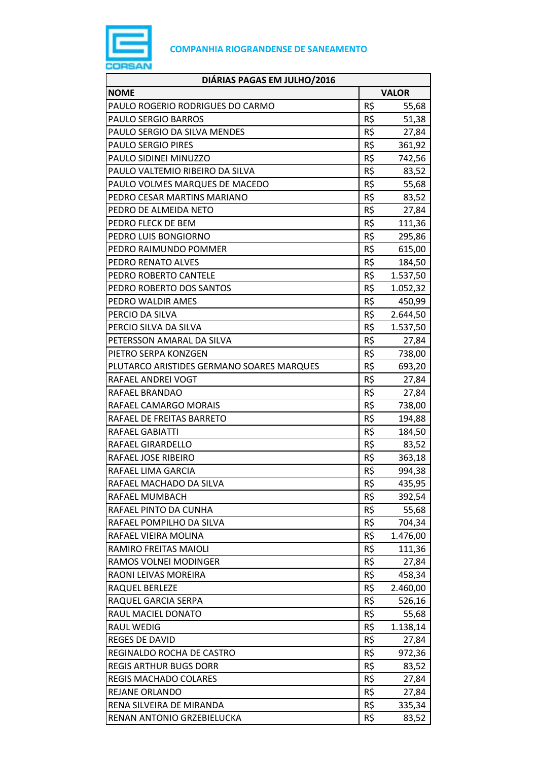

| DIÁRIAS PAGAS EM JULHO/2016               |              |          |
|-------------------------------------------|--------------|----------|
| <b>NOME</b>                               | <b>VALOR</b> |          |
| PAULO ROGERIO RODRIGUES DO CARMO          | R\$          | 55,68    |
| PAULO SERGIO BARROS                       | R\$          | 51,38    |
| PAULO SERGIO DA SILVA MENDES              | R\$          | 27,84    |
| <b>PAULO SERGIO PIRES</b>                 | R\$          | 361,92   |
| PAULO SIDINEI MINUZZO                     | R\$          | 742,56   |
| PAULO VALTEMIO RIBEIRO DA SILVA           | R\$          | 83,52    |
| PAULO VOLMES MARQUES DE MACEDO            | R\$          | 55,68    |
| PEDRO CESAR MARTINS MARIANO               | R\$          | 83,52    |
| PEDRO DE ALMEIDA NETO                     | R\$          | 27,84    |
| PEDRO FLECK DE BEM                        | R\$          | 111,36   |
| PEDRO LUIS BONGIORNO                      | R\$          | 295,86   |
| PEDRO RAIMUNDO POMMER                     | R\$          | 615,00   |
| PEDRO RENATO ALVES                        | R\$          | 184,50   |
| PEDRO ROBERTO CANTELE                     | R\$          | 1.537,50 |
| PEDRO ROBERTO DOS SANTOS                  | R\$          | 1.052,32 |
| PEDRO WALDIR AMES                         | R\$          | 450,99   |
| PERCIO DA SILVA                           | R\$          | 2.644,50 |
| PERCIO SILVA DA SILVA                     | R\$          | 1.537,50 |
| PETERSSON AMARAL DA SILVA                 | R\$          | 27,84    |
| PIETRO SERPA KONZGEN                      | R\$          | 738,00   |
| PLUTARCO ARISTIDES GERMANO SOARES MARQUES | R\$          | 693,20   |
| RAFAEL ANDREI VOGT                        | R\$          | 27,84    |
| RAFAEL BRANDAO                            | R\$          | 27,84    |
| RAFAEL CAMARGO MORAIS                     | R\$          | 738,00   |
| RAFAEL DE FREITAS BARRETO                 | R\$          | 194,88   |
| RAFAEL GABIATTI                           | R\$          | 184,50   |
| RAFAEL GIRARDELLO                         | R\$          | 83,52    |
| RAFAEL JOSE RIBEIRO                       | R\$          | 363,18   |
| RAFAEL LIMA GARCIA                        | R\$          | 994,38   |
| RAFAEL MACHADO DA SILVA                   | R\$          | 435,95   |
| RAFAEL MUMBACH                            | R\$          | 392,54   |
| RAFAEL PINTO DA CUNHA                     | R\$          | 55,68    |
| RAFAEL POMPILHO DA SILVA                  | R\$          | 704,34   |
| RAFAEL VIEIRA MOLINA                      | R\$          | 1.476,00 |
| RAMIRO FREITAS MAIOLI                     | R\$          | 111,36   |
| RAMOS VOLNEI MODINGER                     | R\$          | 27,84    |
| RAONI LEIVAS MOREIRA                      | R\$          | 458,34   |
| RAQUEL BERLEZE                            | R\$          | 2.460,00 |
| RAQUEL GARCIA SERPA                       | R\$          | 526,16   |
| RAUL MACIEL DONATO                        | R\$          | 55,68    |
| <b>RAUL WEDIG</b>                         | R\$          | 1.138,14 |
| REGES DE DAVID                            | R\$          | 27,84    |
| REGINALDO ROCHA DE CASTRO                 | R\$          | 972,36   |
| <b>REGIS ARTHUR BUGS DORR</b>             | R\$          | 83,52    |
| <b>REGIS MACHADO COLARES</b>              | R\$          | 27,84    |
| REJANE ORLANDO                            | R\$          | 27,84    |
| RENA SILVEIRA DE MIRANDA                  | R\$          | 335,34   |
| RENAN ANTONIO GRZEBIELUCKA                | R\$          | 83,52    |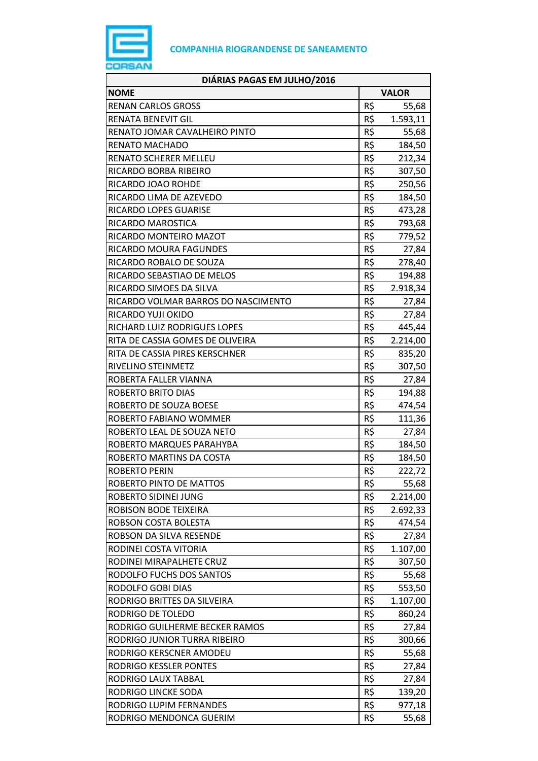

| DIÁRIAS PAGAS EM JULHO/2016         |              |          |
|-------------------------------------|--------------|----------|
| <b>NOME</b>                         | <b>VALOR</b> |          |
| <b>RENAN CARLOS GROSS</b>           | R\$          | 55,68    |
| RENATA BENEVIT GIL                  | R\$          | 1.593,11 |
| RENATO JOMAR CAVALHEIRO PINTO       | R\$          | 55,68    |
| <b>RENATO MACHADO</b>               | R\$          | 184,50   |
| RENATO SCHERER MELLEU               | R\$          | 212,34   |
| RICARDO BORBA RIBEIRO               | R\$          | 307,50   |
| RICARDO JOAO ROHDE                  | R\$          | 250,56   |
| RICARDO LIMA DE AZEVEDO             | R\$          | 184,50   |
| RICARDO LOPES GUARISE               | R\$          | 473,28   |
| RICARDO MAROSTICA                   | R\$          | 793,68   |
| RICARDO MONTEIRO MAZOT              | R\$          | 779,52   |
| RICARDO MOURA FAGUNDES              | R\$          | 27,84    |
| RICARDO ROBALO DE SOUZA             | R\$          | 278,40   |
| RICARDO SEBASTIAO DE MELOS          | R\$          | 194,88   |
| RICARDO SIMOES DA SILVA             | R\$          | 2.918,34 |
| RICARDO VOLMAR BARROS DO NASCIMENTO | R\$          | 27,84    |
| RICARDO YUJI OKIDO                  | R\$          | 27,84    |
| RICHARD LUIZ RODRIGUES LOPES        | R\$          | 445,44   |
| RITA DE CASSIA GOMES DE OLIVEIRA    | R\$          | 2.214,00 |
| RITA DE CASSIA PIRES KERSCHNER      | R\$          | 835,20   |
| RIVELINO STEINMETZ                  | R\$          | 307,50   |
| ROBERTA FALLER VIANNA               | R\$          | 27,84    |
| ROBERTO BRITO DIAS                  | R\$          | 194,88   |
| ROBERTO DE SOUZA BOESE              | R\$          | 474,54   |
| ROBERTO FABIANO WOMMER              | R\$          | 111,36   |
| ROBERTO LEAL DE SOUZA NETO          | R\$          | 27,84    |
| ROBERTO MARQUES PARAHYBA            | R\$          | 184,50   |
| ROBERTO MARTINS DA COSTA            | R\$          | 184,50   |
| <b>ROBERTO PERIN</b>                | R\$          | 222,72   |
| ROBERTO PINTO DE MATTOS             | R\$          | 55,68    |
| ROBERTO SIDINEI JUNG                | R\$          | 2.214,00 |
| ROBISON BODE TEIXEIRA               | R\$          | 2.692,33 |
| ROBSON COSTA BOLESTA                | R\$          | 474,54   |
| ROBSON DA SILVA RESENDE             | R\$          | 27,84    |
| RODINEI COSTA VITORIA               | R\$          | 1.107,00 |
| RODINEI MIRAPALHETE CRUZ            | R\$          | 307,50   |
| RODOLFO FUCHS DOS SANTOS            | R\$          | 55,68    |
| RODOLFO GOBI DIAS                   | R\$          | 553,50   |
| RODRIGO BRITTES DA SILVEIRA         | R\$          | 1.107,00 |
| RODRIGO DE TOLEDO                   | R\$          | 860,24   |
| RODRIGO GUILHERME BECKER RAMOS      | R\$          | 27,84    |
| RODRIGO JUNIOR TURRA RIBEIRO        | R\$          | 300,66   |
| RODRIGO KERSCNER AMODEU             | R\$          | 55,68    |
| RODRIGO KESSLER PONTES              | R\$          | 27,84    |
| RODRIGO LAUX TABBAL                 | R\$          | 27,84    |
| RODRIGO LINCKE SODA                 | R\$          | 139,20   |
| RODRIGO LUPIM FERNANDES             | R\$          | 977,18   |
| RODRIGO MENDONCA GUERIM             | R\$          | 55,68    |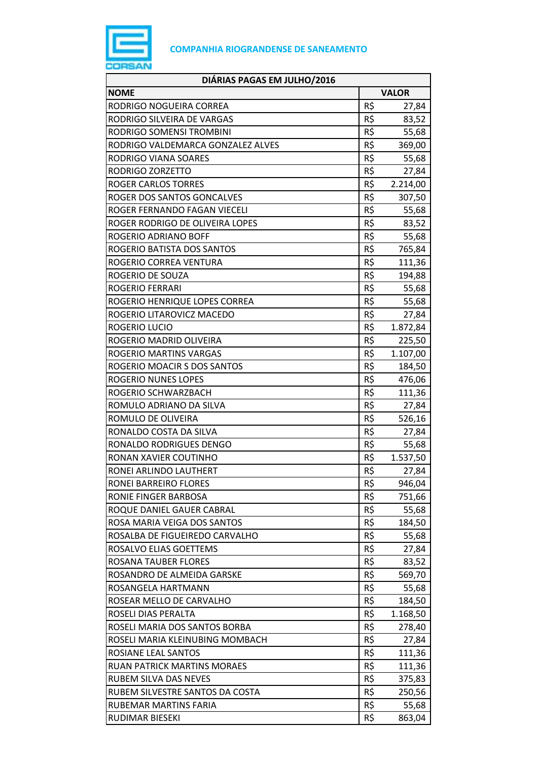

| <b>NOME</b><br><b>VALOR</b><br>R\$<br>RODRIGO NOGUEIRA CORREA<br>27,84<br>R\$<br>RODRIGO SILVEIRA DE VARGAS<br>83,52<br>R\$<br>RODRIGO SOMENSI TROMBINI<br>55,68<br>R\$<br>RODRIGO VALDEMARCA GONZALEZ ALVES<br>369,00<br>R\$<br>RODRIGO VIANA SOARES<br>55,68<br>R\$<br>RODRIGO ZORZETTO<br>27,84<br>R\$<br><b>ROGER CARLOS TORRES</b><br>2.214,00<br>R\$<br>ROGER DOS SANTOS GONCALVES<br>307,50<br>R\$<br>ROGER FERNANDO FAGAN VIECELI<br>55,68<br>R\$<br>ROGER RODRIGO DE OLIVEIRA LOPES<br>83,52<br>R\$<br>ROGERIO ADRIANO BOFF<br>55,68<br>R\$<br>ROGERIO BATISTA DOS SANTOS<br>765,84<br>R\$<br>ROGERIO CORREA VENTURA<br>111,36<br>R\$<br>ROGERIO DE SOUZA<br>194,88<br>R\$<br><b>ROGERIO FERRARI</b><br>55,68<br>R\$<br>ROGERIO HENRIQUE LOPES CORREA<br>55,68<br>R\$<br>ROGERIO LITAROVICZ MACEDO<br>27,84<br>R\$<br>ROGERIO LUCIO<br>1.872,84<br>R\$<br>ROGERIO MADRID OLIVEIRA<br>225,50<br>R\$<br>ROGERIO MARTINS VARGAS<br>1.107,00<br>R\$<br>ROGERIO MOACIR S DOS SANTOS<br>184,50<br>R\$<br>ROGERIO NUNES LOPES<br>476,06<br>R\$<br>111,36<br>ROGERIO SCHWARZBACH<br>R\$<br>ROMULO ADRIANO DA SILVA<br>27,84<br>R\$<br>526,16<br>ROMULO DE OLIVEIRA<br>R\$<br>RONALDO COSTA DA SILVA<br>27,84<br>R\$<br>RONALDO RODRIGUES DENGO<br>55,68<br>R\$<br>RONAN XAVIER COUTINHO<br>1.537,50<br>R\$<br>RONEI ARLINDO LAUTHERT<br>27,84<br>R\$<br>RONEI BARREIRO FLORES<br>946,04<br>R\$<br>RONIE FINGER BARBOSA<br>751,66<br>R\$<br>ROQUE DANIEL GAUER CABRAL<br>55,68<br>R\$<br>ROSA MARIA VEIGA DOS SANTOS<br>184,50<br>R\$<br>ROSALBA DE FIGUEIREDO CARVALHO<br>55,68<br>R\$<br>ROSALVO ELIAS GOETTEMS<br>27,84<br>R\$<br><b>ROSANA TAUBER FLORES</b><br>83,52<br>R\$<br>ROSANDRO DE ALMEIDA GARSKE<br>569,70<br>R\$<br>ROSANGELA HARTMANN<br>55,68<br>R\$<br>ROSEAR MELLO DE CARVALHO<br>184,50<br>R\$<br>ROSELI DIAS PERALTA<br>1.168,50<br>R\$<br>ROSELI MARIA DOS SANTOS BORBA<br>278,40<br>R\$<br>ROSELI MARIA KLEINUBING MOMBACH<br>27,84<br>R\$<br>ROSIANE LEAL SANTOS<br>111,36<br>R\$<br><b>RUAN PATRICK MARTINS MORAES</b><br>111,36<br>R\$<br><b>RUBEM SILVA DAS NEVES</b><br>375,83<br>R\$<br>RUBEM SILVESTRE SANTOS DA COSTA<br>250,56<br>R\$<br>RUBEMAR MARTINS FARIA<br>55,68 | DIÁRIAS PAGAS EM JULHO/2016 |     |        |
|---------------------------------------------------------------------------------------------------------------------------------------------------------------------------------------------------------------------------------------------------------------------------------------------------------------------------------------------------------------------------------------------------------------------------------------------------------------------------------------------------------------------------------------------------------------------------------------------------------------------------------------------------------------------------------------------------------------------------------------------------------------------------------------------------------------------------------------------------------------------------------------------------------------------------------------------------------------------------------------------------------------------------------------------------------------------------------------------------------------------------------------------------------------------------------------------------------------------------------------------------------------------------------------------------------------------------------------------------------------------------------------------------------------------------------------------------------------------------------------------------------------------------------------------------------------------------------------------------------------------------------------------------------------------------------------------------------------------------------------------------------------------------------------------------------------------------------------------------------------------------------------------------------------------------------------------------------------------------------------------------------------------------------------------------------------------------------------------------------------------------------------------------------------------------------------------------------|-----------------------------|-----|--------|
|                                                                                                                                                                                                                                                                                                                                                                                                                                                                                                                                                                                                                                                                                                                                                                                                                                                                                                                                                                                                                                                                                                                                                                                                                                                                                                                                                                                                                                                                                                                                                                                                                                                                                                                                                                                                                                                                                                                                                                                                                                                                                                                                                                                                         |                             |     |        |
|                                                                                                                                                                                                                                                                                                                                                                                                                                                                                                                                                                                                                                                                                                                                                                                                                                                                                                                                                                                                                                                                                                                                                                                                                                                                                                                                                                                                                                                                                                                                                                                                                                                                                                                                                                                                                                                                                                                                                                                                                                                                                                                                                                                                         |                             |     |        |
|                                                                                                                                                                                                                                                                                                                                                                                                                                                                                                                                                                                                                                                                                                                                                                                                                                                                                                                                                                                                                                                                                                                                                                                                                                                                                                                                                                                                                                                                                                                                                                                                                                                                                                                                                                                                                                                                                                                                                                                                                                                                                                                                                                                                         |                             |     |        |
|                                                                                                                                                                                                                                                                                                                                                                                                                                                                                                                                                                                                                                                                                                                                                                                                                                                                                                                                                                                                                                                                                                                                                                                                                                                                                                                                                                                                                                                                                                                                                                                                                                                                                                                                                                                                                                                                                                                                                                                                                                                                                                                                                                                                         |                             |     |        |
|                                                                                                                                                                                                                                                                                                                                                                                                                                                                                                                                                                                                                                                                                                                                                                                                                                                                                                                                                                                                                                                                                                                                                                                                                                                                                                                                                                                                                                                                                                                                                                                                                                                                                                                                                                                                                                                                                                                                                                                                                                                                                                                                                                                                         |                             |     |        |
|                                                                                                                                                                                                                                                                                                                                                                                                                                                                                                                                                                                                                                                                                                                                                                                                                                                                                                                                                                                                                                                                                                                                                                                                                                                                                                                                                                                                                                                                                                                                                                                                                                                                                                                                                                                                                                                                                                                                                                                                                                                                                                                                                                                                         |                             |     |        |
|                                                                                                                                                                                                                                                                                                                                                                                                                                                                                                                                                                                                                                                                                                                                                                                                                                                                                                                                                                                                                                                                                                                                                                                                                                                                                                                                                                                                                                                                                                                                                                                                                                                                                                                                                                                                                                                                                                                                                                                                                                                                                                                                                                                                         |                             |     |        |
|                                                                                                                                                                                                                                                                                                                                                                                                                                                                                                                                                                                                                                                                                                                                                                                                                                                                                                                                                                                                                                                                                                                                                                                                                                                                                                                                                                                                                                                                                                                                                                                                                                                                                                                                                                                                                                                                                                                                                                                                                                                                                                                                                                                                         |                             |     |        |
|                                                                                                                                                                                                                                                                                                                                                                                                                                                                                                                                                                                                                                                                                                                                                                                                                                                                                                                                                                                                                                                                                                                                                                                                                                                                                                                                                                                                                                                                                                                                                                                                                                                                                                                                                                                                                                                                                                                                                                                                                                                                                                                                                                                                         |                             |     |        |
|                                                                                                                                                                                                                                                                                                                                                                                                                                                                                                                                                                                                                                                                                                                                                                                                                                                                                                                                                                                                                                                                                                                                                                                                                                                                                                                                                                                                                                                                                                                                                                                                                                                                                                                                                                                                                                                                                                                                                                                                                                                                                                                                                                                                         |                             |     |        |
|                                                                                                                                                                                                                                                                                                                                                                                                                                                                                                                                                                                                                                                                                                                                                                                                                                                                                                                                                                                                                                                                                                                                                                                                                                                                                                                                                                                                                                                                                                                                                                                                                                                                                                                                                                                                                                                                                                                                                                                                                                                                                                                                                                                                         |                             |     |        |
|                                                                                                                                                                                                                                                                                                                                                                                                                                                                                                                                                                                                                                                                                                                                                                                                                                                                                                                                                                                                                                                                                                                                                                                                                                                                                                                                                                                                                                                                                                                                                                                                                                                                                                                                                                                                                                                                                                                                                                                                                                                                                                                                                                                                         |                             |     |        |
|                                                                                                                                                                                                                                                                                                                                                                                                                                                                                                                                                                                                                                                                                                                                                                                                                                                                                                                                                                                                                                                                                                                                                                                                                                                                                                                                                                                                                                                                                                                                                                                                                                                                                                                                                                                                                                                                                                                                                                                                                                                                                                                                                                                                         |                             |     |        |
|                                                                                                                                                                                                                                                                                                                                                                                                                                                                                                                                                                                                                                                                                                                                                                                                                                                                                                                                                                                                                                                                                                                                                                                                                                                                                                                                                                                                                                                                                                                                                                                                                                                                                                                                                                                                                                                                                                                                                                                                                                                                                                                                                                                                         |                             |     |        |
|                                                                                                                                                                                                                                                                                                                                                                                                                                                                                                                                                                                                                                                                                                                                                                                                                                                                                                                                                                                                                                                                                                                                                                                                                                                                                                                                                                                                                                                                                                                                                                                                                                                                                                                                                                                                                                                                                                                                                                                                                                                                                                                                                                                                         |                             |     |        |
|                                                                                                                                                                                                                                                                                                                                                                                                                                                                                                                                                                                                                                                                                                                                                                                                                                                                                                                                                                                                                                                                                                                                                                                                                                                                                                                                                                                                                                                                                                                                                                                                                                                                                                                                                                                                                                                                                                                                                                                                                                                                                                                                                                                                         |                             |     |        |
|                                                                                                                                                                                                                                                                                                                                                                                                                                                                                                                                                                                                                                                                                                                                                                                                                                                                                                                                                                                                                                                                                                                                                                                                                                                                                                                                                                                                                                                                                                                                                                                                                                                                                                                                                                                                                                                                                                                                                                                                                                                                                                                                                                                                         |                             |     |        |
|                                                                                                                                                                                                                                                                                                                                                                                                                                                                                                                                                                                                                                                                                                                                                                                                                                                                                                                                                                                                                                                                                                                                                                                                                                                                                                                                                                                                                                                                                                                                                                                                                                                                                                                                                                                                                                                                                                                                                                                                                                                                                                                                                                                                         |                             |     |        |
|                                                                                                                                                                                                                                                                                                                                                                                                                                                                                                                                                                                                                                                                                                                                                                                                                                                                                                                                                                                                                                                                                                                                                                                                                                                                                                                                                                                                                                                                                                                                                                                                                                                                                                                                                                                                                                                                                                                                                                                                                                                                                                                                                                                                         |                             |     |        |
|                                                                                                                                                                                                                                                                                                                                                                                                                                                                                                                                                                                                                                                                                                                                                                                                                                                                                                                                                                                                                                                                                                                                                                                                                                                                                                                                                                                                                                                                                                                                                                                                                                                                                                                                                                                                                                                                                                                                                                                                                                                                                                                                                                                                         |                             |     |        |
|                                                                                                                                                                                                                                                                                                                                                                                                                                                                                                                                                                                                                                                                                                                                                                                                                                                                                                                                                                                                                                                                                                                                                                                                                                                                                                                                                                                                                                                                                                                                                                                                                                                                                                                                                                                                                                                                                                                                                                                                                                                                                                                                                                                                         |                             |     |        |
|                                                                                                                                                                                                                                                                                                                                                                                                                                                                                                                                                                                                                                                                                                                                                                                                                                                                                                                                                                                                                                                                                                                                                                                                                                                                                                                                                                                                                                                                                                                                                                                                                                                                                                                                                                                                                                                                                                                                                                                                                                                                                                                                                                                                         |                             |     |        |
|                                                                                                                                                                                                                                                                                                                                                                                                                                                                                                                                                                                                                                                                                                                                                                                                                                                                                                                                                                                                                                                                                                                                                                                                                                                                                                                                                                                                                                                                                                                                                                                                                                                                                                                                                                                                                                                                                                                                                                                                                                                                                                                                                                                                         |                             |     |        |
|                                                                                                                                                                                                                                                                                                                                                                                                                                                                                                                                                                                                                                                                                                                                                                                                                                                                                                                                                                                                                                                                                                                                                                                                                                                                                                                                                                                                                                                                                                                                                                                                                                                                                                                                                                                                                                                                                                                                                                                                                                                                                                                                                                                                         |                             |     |        |
|                                                                                                                                                                                                                                                                                                                                                                                                                                                                                                                                                                                                                                                                                                                                                                                                                                                                                                                                                                                                                                                                                                                                                                                                                                                                                                                                                                                                                                                                                                                                                                                                                                                                                                                                                                                                                                                                                                                                                                                                                                                                                                                                                                                                         |                             |     |        |
|                                                                                                                                                                                                                                                                                                                                                                                                                                                                                                                                                                                                                                                                                                                                                                                                                                                                                                                                                                                                                                                                                                                                                                                                                                                                                                                                                                                                                                                                                                                                                                                                                                                                                                                                                                                                                                                                                                                                                                                                                                                                                                                                                                                                         |                             |     |        |
|                                                                                                                                                                                                                                                                                                                                                                                                                                                                                                                                                                                                                                                                                                                                                                                                                                                                                                                                                                                                                                                                                                                                                                                                                                                                                                                                                                                                                                                                                                                                                                                                                                                                                                                                                                                                                                                                                                                                                                                                                                                                                                                                                                                                         |                             |     |        |
|                                                                                                                                                                                                                                                                                                                                                                                                                                                                                                                                                                                                                                                                                                                                                                                                                                                                                                                                                                                                                                                                                                                                                                                                                                                                                                                                                                                                                                                                                                                                                                                                                                                                                                                                                                                                                                                                                                                                                                                                                                                                                                                                                                                                         |                             |     |        |
|                                                                                                                                                                                                                                                                                                                                                                                                                                                                                                                                                                                                                                                                                                                                                                                                                                                                                                                                                                                                                                                                                                                                                                                                                                                                                                                                                                                                                                                                                                                                                                                                                                                                                                                                                                                                                                                                                                                                                                                                                                                                                                                                                                                                         |                             |     |        |
|                                                                                                                                                                                                                                                                                                                                                                                                                                                                                                                                                                                                                                                                                                                                                                                                                                                                                                                                                                                                                                                                                                                                                                                                                                                                                                                                                                                                                                                                                                                                                                                                                                                                                                                                                                                                                                                                                                                                                                                                                                                                                                                                                                                                         |                             |     |        |
|                                                                                                                                                                                                                                                                                                                                                                                                                                                                                                                                                                                                                                                                                                                                                                                                                                                                                                                                                                                                                                                                                                                                                                                                                                                                                                                                                                                                                                                                                                                                                                                                                                                                                                                                                                                                                                                                                                                                                                                                                                                                                                                                                                                                         |                             |     |        |
|                                                                                                                                                                                                                                                                                                                                                                                                                                                                                                                                                                                                                                                                                                                                                                                                                                                                                                                                                                                                                                                                                                                                                                                                                                                                                                                                                                                                                                                                                                                                                                                                                                                                                                                                                                                                                                                                                                                                                                                                                                                                                                                                                                                                         |                             |     |        |
|                                                                                                                                                                                                                                                                                                                                                                                                                                                                                                                                                                                                                                                                                                                                                                                                                                                                                                                                                                                                                                                                                                                                                                                                                                                                                                                                                                                                                                                                                                                                                                                                                                                                                                                                                                                                                                                                                                                                                                                                                                                                                                                                                                                                         |                             |     |        |
|                                                                                                                                                                                                                                                                                                                                                                                                                                                                                                                                                                                                                                                                                                                                                                                                                                                                                                                                                                                                                                                                                                                                                                                                                                                                                                                                                                                                                                                                                                                                                                                                                                                                                                                                                                                                                                                                                                                                                                                                                                                                                                                                                                                                         |                             |     |        |
|                                                                                                                                                                                                                                                                                                                                                                                                                                                                                                                                                                                                                                                                                                                                                                                                                                                                                                                                                                                                                                                                                                                                                                                                                                                                                                                                                                                                                                                                                                                                                                                                                                                                                                                                                                                                                                                                                                                                                                                                                                                                                                                                                                                                         |                             |     |        |
|                                                                                                                                                                                                                                                                                                                                                                                                                                                                                                                                                                                                                                                                                                                                                                                                                                                                                                                                                                                                                                                                                                                                                                                                                                                                                                                                                                                                                                                                                                                                                                                                                                                                                                                                                                                                                                                                                                                                                                                                                                                                                                                                                                                                         |                             |     |        |
|                                                                                                                                                                                                                                                                                                                                                                                                                                                                                                                                                                                                                                                                                                                                                                                                                                                                                                                                                                                                                                                                                                                                                                                                                                                                                                                                                                                                                                                                                                                                                                                                                                                                                                                                                                                                                                                                                                                                                                                                                                                                                                                                                                                                         |                             |     |        |
|                                                                                                                                                                                                                                                                                                                                                                                                                                                                                                                                                                                                                                                                                                                                                                                                                                                                                                                                                                                                                                                                                                                                                                                                                                                                                                                                                                                                                                                                                                                                                                                                                                                                                                                                                                                                                                                                                                                                                                                                                                                                                                                                                                                                         |                             |     |        |
|                                                                                                                                                                                                                                                                                                                                                                                                                                                                                                                                                                                                                                                                                                                                                                                                                                                                                                                                                                                                                                                                                                                                                                                                                                                                                                                                                                                                                                                                                                                                                                                                                                                                                                                                                                                                                                                                                                                                                                                                                                                                                                                                                                                                         |                             |     |        |
|                                                                                                                                                                                                                                                                                                                                                                                                                                                                                                                                                                                                                                                                                                                                                                                                                                                                                                                                                                                                                                                                                                                                                                                                                                                                                                                                                                                                                                                                                                                                                                                                                                                                                                                                                                                                                                                                                                                                                                                                                                                                                                                                                                                                         |                             |     |        |
|                                                                                                                                                                                                                                                                                                                                                                                                                                                                                                                                                                                                                                                                                                                                                                                                                                                                                                                                                                                                                                                                                                                                                                                                                                                                                                                                                                                                                                                                                                                                                                                                                                                                                                                                                                                                                                                                                                                                                                                                                                                                                                                                                                                                         |                             |     |        |
|                                                                                                                                                                                                                                                                                                                                                                                                                                                                                                                                                                                                                                                                                                                                                                                                                                                                                                                                                                                                                                                                                                                                                                                                                                                                                                                                                                                                                                                                                                                                                                                                                                                                                                                                                                                                                                                                                                                                                                                                                                                                                                                                                                                                         |                             |     |        |
|                                                                                                                                                                                                                                                                                                                                                                                                                                                                                                                                                                                                                                                                                                                                                                                                                                                                                                                                                                                                                                                                                                                                                                                                                                                                                                                                                                                                                                                                                                                                                                                                                                                                                                                                                                                                                                                                                                                                                                                                                                                                                                                                                                                                         |                             |     |        |
|                                                                                                                                                                                                                                                                                                                                                                                                                                                                                                                                                                                                                                                                                                                                                                                                                                                                                                                                                                                                                                                                                                                                                                                                                                                                                                                                                                                                                                                                                                                                                                                                                                                                                                                                                                                                                                                                                                                                                                                                                                                                                                                                                                                                         |                             |     |        |
|                                                                                                                                                                                                                                                                                                                                                                                                                                                                                                                                                                                                                                                                                                                                                                                                                                                                                                                                                                                                                                                                                                                                                                                                                                                                                                                                                                                                                                                                                                                                                                                                                                                                                                                                                                                                                                                                                                                                                                                                                                                                                                                                                                                                         |                             |     |        |
|                                                                                                                                                                                                                                                                                                                                                                                                                                                                                                                                                                                                                                                                                                                                                                                                                                                                                                                                                                                                                                                                                                                                                                                                                                                                                                                                                                                                                                                                                                                                                                                                                                                                                                                                                                                                                                                                                                                                                                                                                                                                                                                                                                                                         |                             |     |        |
|                                                                                                                                                                                                                                                                                                                                                                                                                                                                                                                                                                                                                                                                                                                                                                                                                                                                                                                                                                                                                                                                                                                                                                                                                                                                                                                                                                                                                                                                                                                                                                                                                                                                                                                                                                                                                                                                                                                                                                                                                                                                                                                                                                                                         |                             |     |        |
|                                                                                                                                                                                                                                                                                                                                                                                                                                                                                                                                                                                                                                                                                                                                                                                                                                                                                                                                                                                                                                                                                                                                                                                                                                                                                                                                                                                                                                                                                                                                                                                                                                                                                                                                                                                                                                                                                                                                                                                                                                                                                                                                                                                                         |                             |     |        |
|                                                                                                                                                                                                                                                                                                                                                                                                                                                                                                                                                                                                                                                                                                                                                                                                                                                                                                                                                                                                                                                                                                                                                                                                                                                                                                                                                                                                                                                                                                                                                                                                                                                                                                                                                                                                                                                                                                                                                                                                                                                                                                                                                                                                         | RUDIMAR BIESEKI             | R\$ | 863,04 |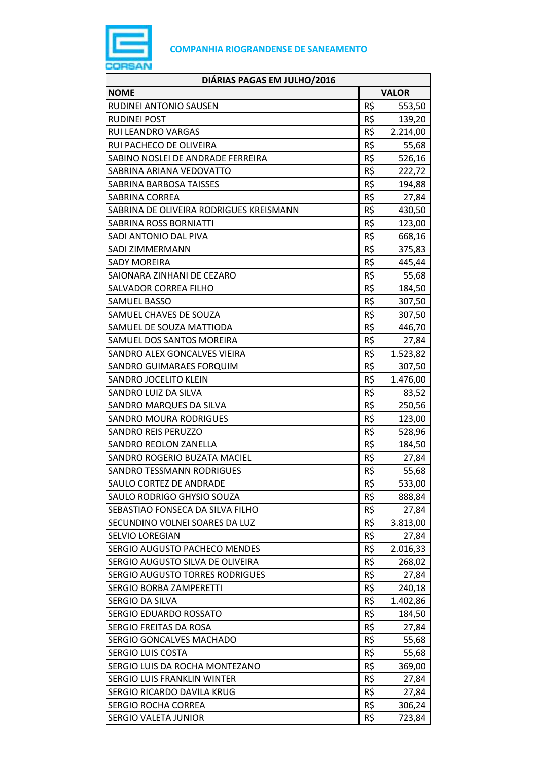

| DIÁRIAS PAGAS EM JULHO/2016             |     |              |
|-----------------------------------------|-----|--------------|
| <b>NOME</b>                             |     | <b>VALOR</b> |
| RUDINEI ANTONIO SAUSEN                  | R\$ | 553,50       |
| <b>RUDINEI POST</b>                     | R\$ | 139,20       |
| <b>RUI LEANDRO VARGAS</b>               | R\$ | 2.214,00     |
| RUI PACHECO DE OLIVEIRA                 | R\$ | 55,68        |
| SABINO NOSLEI DE ANDRADE FERREIRA       | R\$ | 526,16       |
| SABRINA ARIANA VEDOVATTO                | R\$ | 222,72       |
| SABRINA BARBOSA TAISSES                 | R\$ | 194,88       |
| <b>SABRINA CORREA</b>                   | R\$ | 27,84        |
| SABRINA DE OLIVEIRA RODRIGUES KREISMANN | R\$ | 430,50       |
| SABRINA ROSS BORNIATTI                  | R\$ | 123,00       |
| SADI ANTONIO DAL PIVA                   | R\$ | 668,16       |
| SADI ZIMMERMANN                         | R\$ | 375,83       |
| <b>SADY MOREIRA</b>                     | R\$ | 445,44       |
| SAIONARA ZINHANI DE CEZARO              | R\$ | 55,68        |
| <b>SALVADOR CORREA FILHO</b>            | R\$ | 184,50       |
| <b>SAMUEL BASSO</b>                     | R\$ | 307,50       |
| SAMUEL CHAVES DE SOUZA                  | R\$ | 307,50       |
| SAMUEL DE SOUZA MATTIODA                | R\$ | 446,70       |
| SAMUEL DOS SANTOS MOREIRA               | R\$ | 27,84        |
| SANDRO ALEX GONCALVES VIEIRA            | R\$ | 1.523,82     |
| SANDRO GUIMARAES FORQUIM                | R\$ | 307,50       |
| SANDRO JOCELITO KLEIN                   | R\$ | 1.476,00     |
| SANDRO LUIZ DA SILVA                    | R\$ | 83,52        |
| SANDRO MARQUES DA SILVA                 | R\$ | 250,56       |
| <b>SANDRO MOURA RODRIGUES</b>           | R\$ | 123,00       |
| <b>SANDRO REIS PERUZZO</b>              | R\$ | 528,96       |
| <b>SANDRO REOLON ZANELLA</b>            | R\$ | 184,50       |
| SANDRO ROGERIO BUZATA MACIEL            | R\$ | 27,84        |
| <b>SANDRO TESSMANN RODRIGUES</b>        | R\$ | 55,68        |
| SAULO CORTEZ DE ANDRADE                 | R\$ | 533,00       |
| SAULO RODRIGO GHYSIO SOUZA              | R\$ | 888,84       |
| SEBASTIAO FONSECA DA SILVA FILHO        | R\$ | 27,84        |
| SECUNDINO VOLNEI SOARES DA LUZ          | R\$ | 3.813,00     |
| <b>SELVIO LOREGIAN</b>                  | R\$ | 27,84        |
| SERGIO AUGUSTO PACHECO MENDES           | R\$ | 2.016,33     |
| SERGIO AUGUSTO SILVA DE OLIVEIRA        | R\$ | 268,02       |
| SERGIO AUGUSTO TORRES RODRIGUES         | R\$ | 27,84        |
| <b>SERGIO BORBA ZAMPERETTI</b>          | R\$ | 240,18       |
| SERGIO DA SILVA                         | R\$ | 1.402,86     |
| SERGIO EDUARDO ROSSATO                  | R\$ | 184,50       |
| SERGIO FREITAS DA ROSA                  | R\$ | 27,84        |
| SERGIO GONCALVES MACHADO                | R\$ | 55,68        |
| <b>SERGIO LUIS COSTA</b>                | R\$ | 55,68        |
| SERGIO LUIS DA ROCHA MONTEZANO          | R\$ | 369,00       |
| SERGIO LUIS FRANKLIN WINTER             | R\$ | 27,84        |
| SERGIO RICARDO DAVILA KRUG              | R\$ | 27,84        |
| <b>SERGIO ROCHA CORREA</b>              | R\$ | 306,24       |
| SERGIO VALETA JUNIOR                    | R\$ | 723,84       |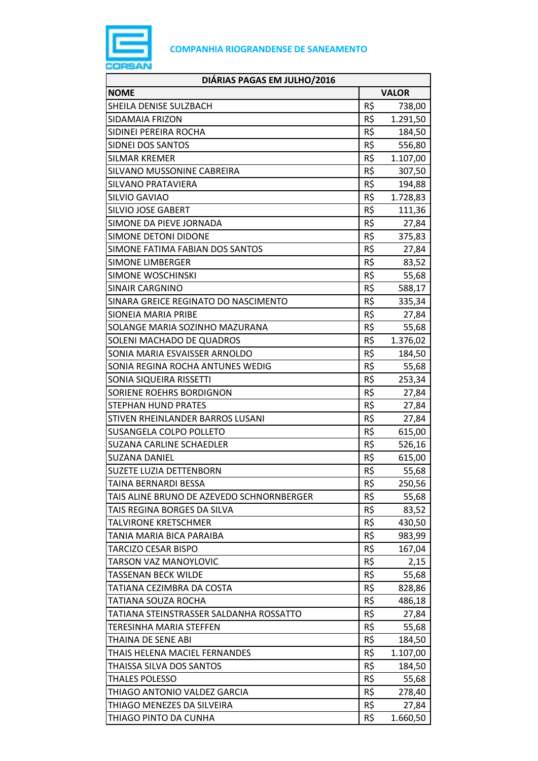

| DIÁRIAS PAGAS EM JULHO/2016               |     |              |
|-------------------------------------------|-----|--------------|
| <b>NOME</b>                               |     | <b>VALOR</b> |
| SHEILA DENISE SULZBACH                    | R\$ | 738,00       |
| SIDAMAIA FRIZON                           | R\$ | 1.291,50     |
| SIDINEI PEREIRA ROCHA                     | R\$ | 184,50       |
| SIDNEI DOS SANTOS                         | R\$ | 556,80       |
| <b>SILMAR KREMER</b>                      | R\$ | 1.107,00     |
| SILVANO MUSSONINE CABREIRA                | R\$ | 307,50       |
| <b>SILVANO PRATAVIERA</b>                 | R\$ | 194,88       |
| SILVIO GAVIAO                             | R\$ | 1.728,83     |
| <b>SILVIO JOSE GABERT</b>                 | R\$ | 111,36       |
| SIMONE DA PIEVE JORNADA                   | R\$ | 27,84        |
| SIMONE DETONI DIDONE                      | R\$ | 375,83       |
| SIMONE FATIMA FABIAN DOS SANTOS           | R\$ | 27,84        |
| <b>SIMONE LIMBERGER</b>                   | R\$ | 83,52        |
| <b>SIMONE WOSCHINSKI</b>                  | R\$ | 55,68        |
| <b>SINAIR CARGNINO</b>                    | R\$ | 588,17       |
| SINARA GREICE REGINATO DO NASCIMENTO      | R\$ | 335,34       |
| <b>SIONEIA MARIA PRIBE</b>                | R\$ | 27,84        |
| SOLANGE MARIA SOZINHO MAZURANA            | R\$ | 55,68        |
| SOLENI MACHADO DE QUADROS                 | R\$ | 1.376,02     |
| SONIA MARIA ESVAISSER ARNOLDO             | R\$ | 184,50       |
| SONIA REGINA ROCHA ANTUNES WEDIG          | R\$ | 55,68        |
| SONIA SIQUEIRA RISSETTI                   | R\$ | 253,34       |
| SORIENE ROEHRS BORDIGNON                  | R\$ | 27,84        |
| <b>STEPHAN HUND PRATES</b>                | R\$ | 27,84        |
| STIVEN RHEINLANDER BARROS LUSANI          | R\$ | 27,84        |
| <b>SUSANGELA COLPO POLLETO</b>            | R\$ | 615,00       |
| <b>SUZANA CARLINE SCHAEDLER</b>           | R\$ | 526,16       |
| <b>SUZANA DANIEL</b>                      | R\$ | 615,00       |
| <b>SUZETE LUZIA DETTENBORN</b>            | R\$ | 55,68        |
| TAINA BERNARDI BESSA                      | R\$ | 250,56       |
| TAIS ALINE BRUNO DE AZEVEDO SCHNORNBERGER | R\$ | 55,68        |
| TAIS REGINA BORGES DA SILVA               | R\$ | 83,52        |
| TALVIRONE KRETSCHMER                      | R\$ | 430,50       |
| TANIA MARIA BICA PARAIBA                  | R\$ | 983,99       |
| <b>TARCIZO CESAR BISPO</b>                | R\$ | 167,04       |
| <b>TARSON VAZ MANOYLOVIC</b>              | R\$ | 2,15         |
| <b>TASSENAN BECK WILDE</b>                | R\$ | 55,68        |
| TATIANA CEZIMBRA DA COSTA                 | R\$ | 828,86       |
| TATIANA SOUZA ROCHA                       | R\$ | 486,18       |
| TATIANA STEINSTRASSER SALDANHA ROSSATTO   | R\$ | 27,84        |
| TERESINHA MARIA STEFFEN                   | R\$ | 55,68        |
| THAINA DE SENE ABI                        | R\$ | 184,50       |
| THAIS HELENA MACIEL FERNANDES             | R\$ | 1.107,00     |
| THAISSA SILVA DOS SANTOS                  | R\$ | 184,50       |
| <b>THALES POLESSO</b>                     | R\$ | 55,68        |
| THIAGO ANTONIO VALDEZ GARCIA              | R\$ | 278,40       |
| THIAGO MENEZES DA SILVEIRA                | R\$ | 27,84        |
| THIAGO PINTO DA CUNHA                     | R\$ | 1.660,50     |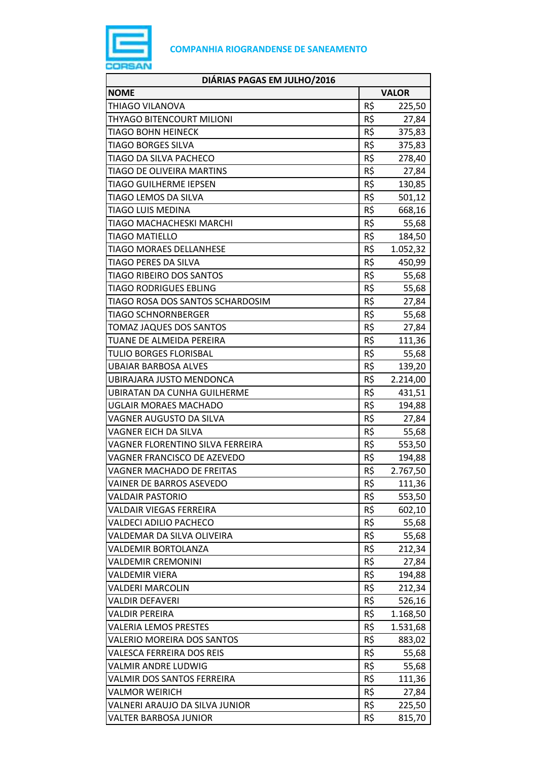

| DIÁRIAS PAGAS EM JULHO/2016        |              |          |
|------------------------------------|--------------|----------|
| <b>NOME</b>                        | <b>VALOR</b> |          |
| THIAGO VILANOVA                    | R\$          | 225,50   |
| THYAGO BITENCOURT MILIONI          | R\$          | 27,84    |
| <b>TIAGO BOHN HEINECK</b>          | R\$          | 375,83   |
| <b>TIAGO BORGES SILVA</b>          | R\$          | 375,83   |
| TIAGO DA SILVA PACHECO             | R\$          | 278,40   |
| <b>TIAGO DE OLIVEIRA MARTINS</b>   | R\$          | 27,84    |
| <b>TIAGO GUILHERME IEPSEN</b>      | R\$          | 130,85   |
| TIAGO LEMOS DA SILVA               | R\$          | 501,12   |
| <b>TIAGO LUIS MEDINA</b>           | R\$          | 668,16   |
| TIAGO MACHACHESKI MARCHI           | R\$          | 55,68    |
| <b>TIAGO MATIELLO</b>              | R\$          | 184,50   |
| <b>TIAGO MORAES DELLANHESE</b>     | R\$          | 1.052,32 |
| TIAGO PERES DA SILVA               | R\$          | 450,99   |
| <b>TIAGO RIBEIRO DOS SANTOS</b>    | R\$          | 55,68    |
| <b>TIAGO RODRIGUES EBLING</b>      | R\$          | 55,68    |
| TIAGO ROSA DOS SANTOS SCHARDOSIM   | R\$          | 27,84    |
| <b>TIAGO SCHNORNBERGER</b>         | R\$          | 55,68    |
| TOMAZ JAQUES DOS SANTOS            | R\$          | 27,84    |
| TUANE DE ALMEIDA PEREIRA           | R\$          | 111,36   |
| <b>TULIO BORGES FLORISBAL</b>      | R\$          | 55,68    |
| <b>UBAIAR BARBOSA ALVES</b>        | R\$          | 139,20   |
| UBIRAJARA JUSTO MENDONCA           | R\$          | 2.214,00 |
| <b>UBIRATAN DA CUNHA GUILHERME</b> | R\$          | 431,51   |
| <b>UGLAIR MORAES MACHADO</b>       | R\$          | 194,88   |
| VAGNER AUGUSTO DA SILVA            | R\$          | 27,84    |
| VAGNER EICH DA SILVA               | R\$          | 55,68    |
| VAGNER FLORENTINO SILVA FERREIRA   | R\$          | 553,50   |
| VAGNER FRANCISCO DE AZEVEDO        | R\$          | 194,88   |
| <b>VAGNER MACHADO DE FREITAS</b>   | R\$          | 2.767,50 |
| VAINER DE BARROS ASEVEDO           | R\$          | 111,36   |
| <b>VALDAIR PASTORIO</b>            | R\$          | 553,50   |
| <b>VALDAIR VIEGAS FERREIRA</b>     | R\$          | 602,10   |
| <b>VALDECI ADILIO PACHECO</b>      | R\$          | 55,68    |
| VALDEMAR DA SILVA OLIVEIRA         | R\$          | 55,68    |
| <b>VALDEMIR BORTOLANZA</b>         | R\$          | 212,34   |
| <b>VALDEMIR CREMONINI</b>          | R\$          | 27,84    |
| <b>VALDEMIR VIERA</b>              | R\$          | 194,88   |
| <b>VALDERI MARCOLIN</b>            | R\$          | 212,34   |
| VALDIR DEFAVERI                    | R\$          | 526,16   |
| <b>VALDIR PEREIRA</b>              | R\$          | 1.168,50 |
| <b>VALERIA LEMOS PRESTES</b>       | R\$          | 1.531,68 |
| VALERIO MOREIRA DOS SANTOS         | R\$          | 883,02   |
| <b>VALESCA FERREIRA DOS REIS</b>   | R\$          | 55,68    |
| VALMIR ANDRE LUDWIG                | R\$          | 55,68    |
| <b>VALMIR DOS SANTOS FERREIRA</b>  | R\$          | 111,36   |
| <b>VALMOR WEIRICH</b>              | R\$          | 27,84    |
| VALNERI ARAUJO DA SILVA JUNIOR     | R\$          | 225,50   |
| <b>VALTER BARBOSA JUNIOR</b>       | R\$          | 815,70   |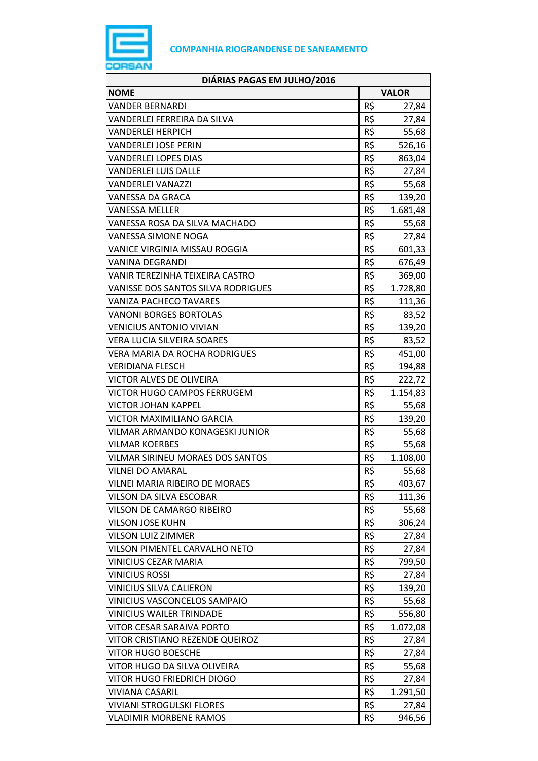

| DIÁRIAS PAGAS EM JULHO/2016               |     |              |
|-------------------------------------------|-----|--------------|
| <b>NOME</b>                               |     | <b>VALOR</b> |
| <b>VANDER BERNARDI</b>                    | R\$ | 27,84        |
| VANDERLEI FERREIRA DA SILVA               | R\$ | 27,84        |
| <b>VANDERLEI HERPICH</b>                  | R\$ | 55,68        |
| VANDERLEI JOSE PERIN                      | R\$ | 526,16       |
| <b>VANDERLEI LOPES DIAS</b>               | R\$ | 863,04       |
| <b>VANDERLEI LUIS DALLE</b>               | R\$ | 27,84        |
| VANDERLEI VANAZZI                         | R\$ | 55,68        |
| VANESSA DA GRACA                          | R\$ | 139,20       |
| VANESSA MELLER                            | R\$ | 1.681,48     |
| VANESSA ROSA DA SILVA MACHADO             | R\$ | 55,68        |
| VANESSA SIMONE NOGA                       | R\$ | 27,84        |
| VANICE VIRGINIA MISSAU ROGGIA             | R\$ | 601,33       |
| <b>VANINA DEGRANDI</b>                    | R\$ | 676,49       |
| VANIR TEREZINHA TEIXEIRA CASTRO           | R\$ | 369,00       |
| <b>VANISSE DOS SANTOS SILVA RODRIGUES</b> | R\$ | 1.728,80     |
| <b>VANIZA PACHECO TAVARES</b>             | R\$ | 111,36       |
| <b>VANONI BORGES BORTOLAS</b>             | R\$ | 83,52        |
| <b>VENICIUS ANTONIO VIVIAN</b>            | R\$ | 139,20       |
| VERA LUCIA SILVEIRA SOARES                | R\$ | 83,52        |
| VERA MARIA DA ROCHA RODRIGUES             | R\$ | 451,00       |
| <b>VERIDIANA FLESCH</b>                   | R\$ | 194,88       |
| VICTOR ALVES DE OLIVEIRA                  | R\$ | 222,72       |
| VICTOR HUGO CAMPOS FERRUGEM               | R\$ | 1.154,83     |
| VICTOR JOHAN KAPPEL                       | R\$ | 55,68        |
| VICTOR MAXIMILIANO GARCIA                 | R\$ | 139,20       |
| VILMAR ARMANDO KONAGESKI JUNIOR           | R\$ | 55,68        |
| <b>VILMAR KOERBES</b>                     | R\$ | 55,68        |
| VILMAR SIRINEU MORAES DOS SANTOS          | R\$ | 1.108,00     |
| <b>VILNEI DO AMARAL</b>                   | R\$ | 55,68        |
| <b>VILNEI MARIA RIBEIRO DE MORAES</b>     | R\$ | 403,67       |
| VILSON DA SILVA ESCOBAR                   | R\$ | 111,36       |
| <b>VILSON DE CAMARGO RIBEIRO</b>          | R\$ | 55,68        |
| <b>VILSON JOSE KUHN</b>                   | R\$ | 306,24       |
| VILSON LUIZ ZIMMER                        | R\$ | 27,84        |
| VILSON PIMENTEL CARVALHO NETO             | R\$ | 27,84        |
| <b>VINICIUS CEZAR MARIA</b>               | R\$ | 799,50       |
| <b>VINICIUS ROSSI</b>                     | R\$ | 27,84        |
| VINICIUS SILVA CALIERON                   | R\$ | 139,20       |
| VINICIUS VASCONCELOS SAMPAIO              | R\$ | 55,68        |
| <b>VINICIUS WAILER TRINDADE</b>           | R\$ | 556,80       |
| <b>VITOR CESAR SARAIVA PORTO</b>          | R\$ | 1.072,08     |
| VITOR CRISTIANO REZENDE QUEIROZ           | R\$ | 27,84        |
| <b>VITOR HUGO BOESCHE</b>                 | R\$ | 27,84        |
| VITOR HUGO DA SILVA OLIVEIRA              | R\$ | 55,68        |
| <b>VITOR HUGO FRIEDRICH DIOGO</b>         | R\$ | 27,84        |
| <b>VIVIANA CASARIL</b>                    | R\$ | 1.291,50     |
| <b>VIVIANI STROGULSKI FLORES</b>          | R\$ | 27,84        |
| <b>VLADIMIR MORBENE RAMOS</b>             | R\$ | 946,56       |